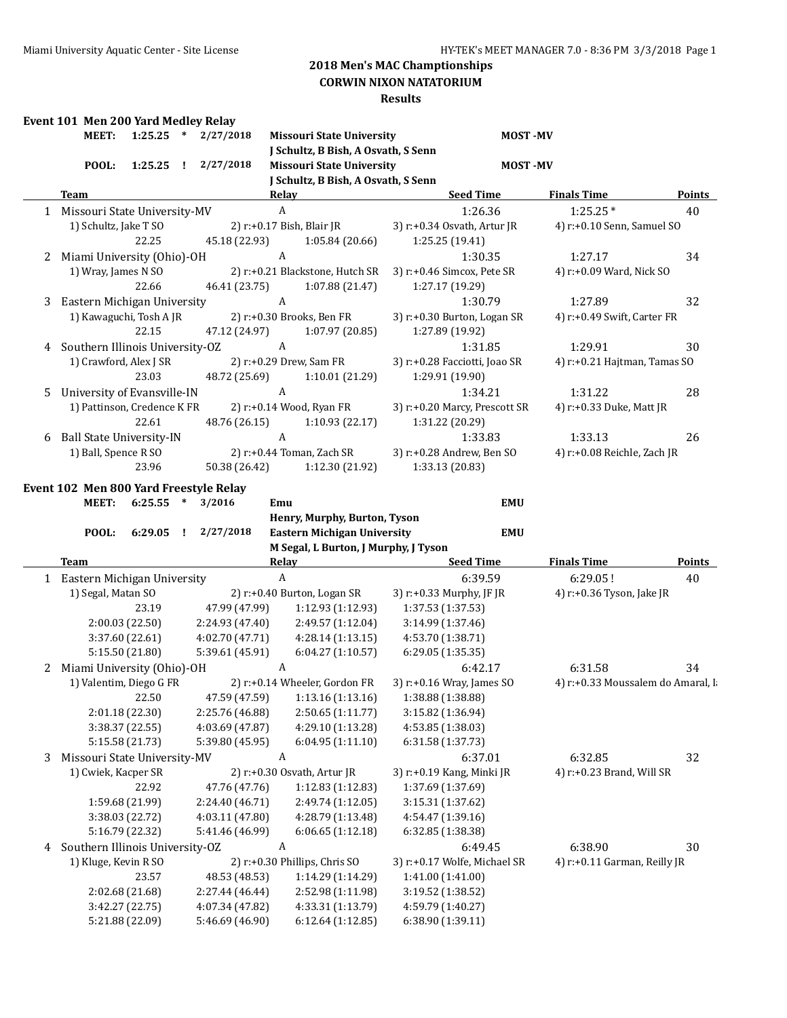### **CORWIN NIXON NATATORIUM**

|   | Event 101 Men 200 Yard Medley Relay |             |                                    |                                                    |                                        |                                                  |                                   |               |
|---|-------------------------------------|-------------|------------------------------------|----------------------------------------------------|----------------------------------------|--------------------------------------------------|-----------------------------------|---------------|
|   | <b>MEET:</b>                        |             | $1:25.25$ * $2/27/2018$            | <b>Missouri State University</b>                   |                                        | <b>MOST-MV</b>                                   |                                   |               |
|   | POOL:                               | $1:25.25$ ! | 2/27/2018                          | <b>Missouri State University</b>                   | J Schultz, B Bish, A Osvath, S Senn    | <b>MOST-MV</b>                                   |                                   |               |
|   |                                     |             |                                    |                                                    | J Schultz, B Bish, A Osvath, S Senn    |                                                  |                                   |               |
|   | Team                                |             |                                    | Relay <b>Example 2018</b>                          |                                        | <b>Seed Time</b>                                 | <b>Finals Time</b>                | Points        |
|   | 1 Missouri State University-MV      |             |                                    | $\boldsymbol{A}$                                   |                                        | 1:26.36                                          | $1:25.25*$                        | 40            |
|   | 1) Schultz, Jake T SO               | 22.25       | 45.18 (22.93)                      | 2) r:+0.17 Bish, Blair JR<br>1:05.84 (20.66)       |                                        | 3) r:+0.34 Osvath, Artur JR<br>1:25.25 (19.41)   | 4) r:+0.10 Senn, Samuel SO        |               |
| 2 | Miami University (Ohio)-OH          |             |                                    | A                                                  |                                        | 1:30.35                                          | 1:27.17                           | 34            |
|   | 1) Wray, James N SO                 | 22.66       | 46.41 (23.75)                      | 2) r:+0.21 Blackstone, Hutch SR<br>1:07.88 (21.47) |                                        | 3) r:+0.46 Simcox, Pete SR<br>1:27.17 (19.29)    | 4) r:+0.09 Ward, Nick SO          |               |
| 3 | Eastern Michigan University         |             |                                    | $\boldsymbol{A}$                                   |                                        | 1:30.79                                          | 1:27.89                           | 32            |
|   | 1) Kawaguchi, Tosh A JR             | 22.15       | 47.12 (24.97)                      | 2) r:+0.30 Brooks, Ben FR<br>1:07.97 (20.85)       |                                        | 3) r:+0.30 Burton, Logan SR<br>1:27.89 (19.92)   | 4) r:+0.49 Swift, Carter FR       |               |
| 4 | Southern Illinois University-OZ     |             |                                    | $\mathbf{A}$                                       |                                        | 1:31.85                                          | 1:29.91                           | 30            |
|   | 1) Crawford, Alex J SR              | 23.03       | 48.72 (25.69)                      | 2) r:+0.29 Drew, Sam FR<br>1:10.01 (21.29)         |                                        | 3) r:+0.28 Facciotti, Joao SR<br>1:29.91 (19.90) | 4) r:+0.21 Hajtman, Tamas SO      |               |
| 5 | University of Evansville-IN         |             |                                    | $\mathbf{A}$                                       |                                        | 1:34.21                                          | 1:31.22                           | 28            |
|   | 1) Pattinson, Credence K FR         | 22.61       |                                    | 2) r:+0.14 Wood, Ryan FR<br>1:10.93(22.17)         |                                        | 3) r:+0.20 Marcy, Prescott SR                    | 4) r:+0.33 Duke, Matt JR          |               |
|   | <b>Ball State University-IN</b>     |             | 48.76 (26.15)                      | $\boldsymbol{A}$                                   |                                        | 1:31.22 (20.29)<br>1:33.83                       | 1:33.13                           | 26            |
| 6 | 1) Ball, Spence R SO                |             |                                    | 2) r:+0.44 Toman, Zach SR                          |                                        | 3) r:+0.28 Andrew, Ben SO                        | 4) r:+0.08 Reichle, Zach JR       |               |
|   |                                     | 23.96       | 50.38 (26.42)                      | 1:12.30 (21.92)                                    |                                        | 1:33.13 (20.83)                                  |                                   |               |
|   |                                     |             |                                    | Henry, Murphy, Burton, Tyson                       |                                        |                                                  |                                   |               |
|   | POOL:                               |             | $6:29.05$ ! $2/27/2018$            | <b>Eastern Michigan University</b>                 | M Segal, L Burton, J Murphy, J Tyson   | <b>EMU</b>                                       |                                   |               |
|   | Team                                |             |                                    | <b>Relay</b>                                       |                                        | <b>Seed Time</b>                                 | <b>Finals Time</b>                |               |
|   | 1 Eastern Michigan University       |             |                                    | $\boldsymbol{A}$                                   |                                        | 6:39.59                                          | 6:29.05!                          | 40            |
|   | 1) Segal, Matan SO                  |             |                                    | 2) r:+0.40 Burton, Logan SR                        |                                        | 3) r:+0.33 Murphy, JF JR                         | 4) r:+0.36 Tyson, Jake JR         |               |
|   |                                     | 23.19       | 47.99 (47.99)                      | 1:12.93 (1:12.93)                                  | 1:37.53 (1:37.53)                      |                                                  |                                   |               |
|   | 2:00.03(22.50)<br>3:37.60 (22.61)   |             | 2:24.93 (47.40)<br>4:02.70 (47.71) | 2:49.57 (1:12.04)<br>4:28.14 (1:13.15)             | 3:14.99 (1:37.46)<br>4:53.70 (1:38.71) |                                                  |                                   |               |
|   | 5:15.50(21.80)                      |             | 5:39.61 (45.91)                    | 6:04.27 (1:10.57)                                  | 6:29.05(1:35.35)                       |                                                  |                                   |               |
| 2 | Miami University (Ohio)-OH          |             |                                    | A                                                  |                                        | 6:42.17                                          | 6:31.58                           | 34            |
|   | 1) Valentim, Diego G FR             |             |                                    | 2) r:+0.14 Wheeler, Gordon FR                      |                                        | 3) r:+0.16 Wray, James SO                        | 4) r:+0.33 Moussalem do Amaral, I |               |
|   |                                     | 22.50       | 47.59 (47.59)                      | 1:13.16 (1:13.16)                                  | 1:38.88 (1:38.88)                      |                                                  |                                   |               |
|   | 2:01.18 (22.30)                     |             | 2:25.76 (46.88)                    | 2:50.65 (1:11.77)                                  | 3:15.82 (1:36.94)                      |                                                  |                                   |               |
|   | 3:38.37 (22.55)                     |             | 4:03.69 (47.87)                    | 4:29.10 (1:13.28)                                  | 4:53.85 (1:38.03)                      |                                                  |                                   |               |
|   | 5:15.58 (21.73)                     |             | 5:39.80 (45.95)                    | 6:04.95 (1:11.10)                                  | 6:31.58 (1:37.73)                      |                                                  |                                   |               |
| 3 | Missouri State University-MV        |             |                                    | A                                                  |                                        | 6:37.01                                          | 6:32.85                           | 32            |
|   | 1) Cwiek, Kacper SR                 |             |                                    | 2) r:+0.30 Osvath, Artur JR                        |                                        | 3) r:+0.19 Kang, Minki JR                        | 4) r:+0.23 Brand, Will SR         |               |
|   |                                     | 22.92       | 47.76 (47.76)                      | 1:12.83 (1:12.83)                                  | 1:37.69 (1:37.69)                      |                                                  |                                   |               |
|   | 1:59.68 (21.99)                     |             | 2:24.40 (46.71)                    | 2:49.74 (1:12.05)                                  | 3:15.31 (1:37.62)                      |                                                  |                                   |               |
|   | 3:38.03 (22.72)                     |             | 4:03.11 (47.80)                    | 4:28.79 (1:13.48)                                  | 4:54.47 (1:39.16)                      |                                                  |                                   |               |
|   | 5:16.79 (22.32)                     |             | 5:41.46 (46.99)                    | 6:06.65(1:12.18)                                   | 6:32.85 (1:38.38)                      |                                                  |                                   |               |
| 4 | Southern Illinois University-OZ     |             |                                    | A                                                  |                                        | 6:49.45                                          | 6:38.90                           | 30            |
|   | 1) Kluge, Kevin R SO                |             |                                    | 2) r:+0.30 Phillips, Chris SO                      |                                        | 3) r:+0.17 Wolfe, Michael SR                     | 4) r:+0.11 Garman, Reilly JR      |               |
|   | 2:02.68 (21.68)                     | 23.57       | 48.53 (48.53)<br>2:27.44 (46.44)   | 1:14.29 (1:14.29)<br>2:52.98 (1:11.98)             | 1:41.00 (1:41.00)<br>3:19.52 (1:38.52) |                                                  |                                   |               |
|   | 3:42.27 (22.75)                     |             | 4:07.34 (47.82)                    | 4:33.31 (1:13.79)                                  | 4:59.79 (1:40.27)                      |                                                  |                                   | <b>Points</b> |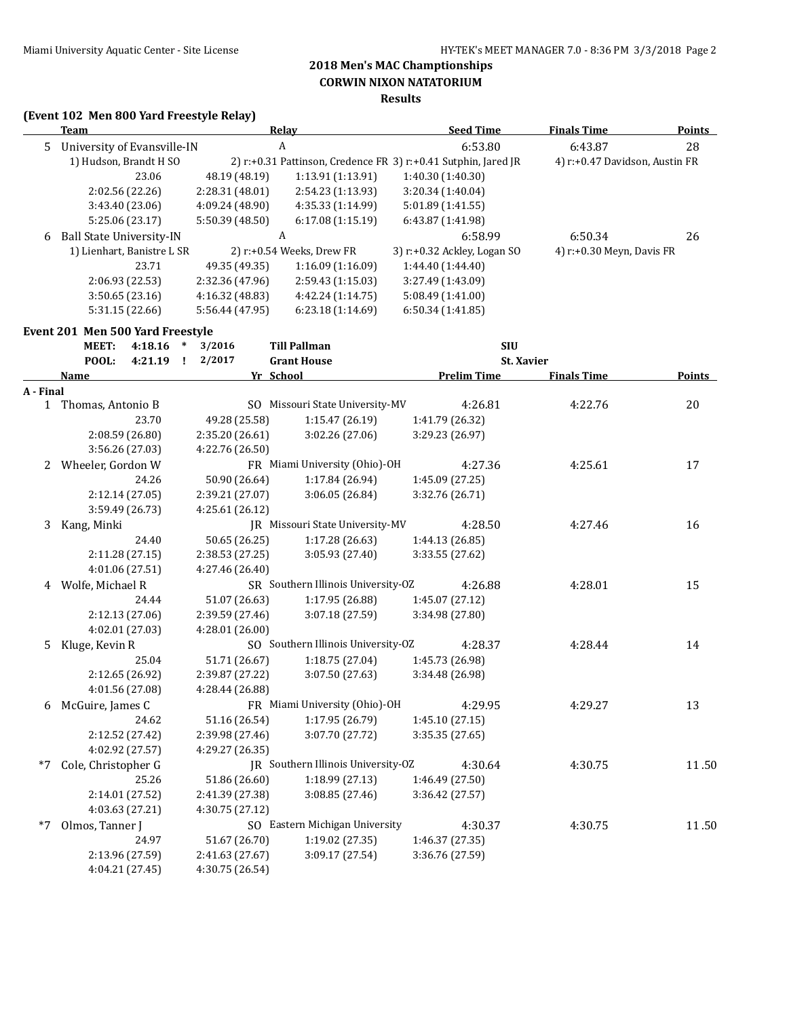## **Results**

### **(Event 102 Men 800 Yard Freestyle Relay)**

|    | Team                             | <b>Relav</b>    |                              | <b>Seed Time</b>                                                     | <b>Finals Time</b>             | <b>Points</b> |
|----|----------------------------------|-----------------|------------------------------|----------------------------------------------------------------------|--------------------------------|---------------|
| 5. | University of Evansville-IN      | A               |                              | 6:53.80                                                              | 6:43.87                        | 28            |
|    | 1) Hudson, Brandt H SO           |                 |                              | 2) $r: +0.31$ Pattinson, Credence FR 3) $r: +0.41$ Sutphin, Jared JR | 4) r:+0.47 Davidson, Austin FR |               |
|    | 23.06                            | 48.19 (48.19)   | 1:13.91(1:13.91)             | 1:40.30(1:40.30)                                                     |                                |               |
|    | 2:02.56(22.26)                   | 2:28.31(48.01)  | 2:54.23 (1:13.93)            | 3:20.34(1:40.04)                                                     |                                |               |
|    | 3:43.40 (23.06)                  | 4:09.24 (48.90) | 4:35.33(1:14.99)             | 5:01.89 (1:41.55)                                                    |                                |               |
|    | 5:25.06 (23.17)                  | 5:50.39 (48.50) | 6:17.08(1:15.19)             | 6:43.87 (1:41.98)                                                    |                                |               |
| 6  | <b>Ball State University-IN</b>  | A               |                              | 6:58.99                                                              | 6:50.34                        | 26            |
|    | 1) Lienhart, Banistre L SR       |                 | 2) $r: +0.54$ Weeks, Drew FR | $3$ ) r: $+0.32$ Ackley, Logan SO                                    | 4) r:+0.30 Meyn, Davis FR      |               |
|    | 23.71                            | 49.35 (49.35)   | 1:16.09(1:16.09)             | 1:44.40(1:44.40)                                                     |                                |               |
|    | 2:06.93(22.53)                   | 2:32.36 (47.96) | 2:59.43(1:15.03)             | 3:27.49 (1:43.09)                                                    |                                |               |
|    | 3:50.65(23.16)                   | 4:16.32 (48.83) | 4:42.24(1:14.75)             | 5:08.49 (1:41.00)                                                    |                                |               |
|    | 5:31.15 (22.66)                  | 5:56.44 (47.95) | 6:23.18(1:14.69)             | 6:50.34(1:41.85)                                                     |                                |               |
|    | Event 201 Men 500 Yard Freestyle |                 |                              |                                                                      |                                |               |
|    | MEET:<br>4:18.16<br>∗            | 3/2016          | <b>Till Pallman</b>          | <b>SIU</b>                                                           |                                |               |
|    | POOL:<br>4:21.19                 | 2/2017          | <b>Grant House</b>           | <b>St. Xavier</b>                                                    |                                |               |
|    | <b>Name</b>                      | Yr School       |                              | Prelim Time                                                          | <b>Finals Time</b>             | Points        |

|           | маше                |                 | <u>senool</u>                      | <u>гтенин тише</u> | <u>гшаіз і шіе</u> | <u>rviilis </u> |
|-----------|---------------------|-----------------|------------------------------------|--------------------|--------------------|-----------------|
| A - Final |                     |                 |                                    |                    |                    |                 |
|           | 1 Thomas, Antonio B |                 | SO Missouri State University-MV    | 4:26.81            | 4:22.76            | 20              |
|           | 23.70               | 49.28 (25.58)   | 1:15.47(26.19)                     | 1:41.79 (26.32)    |                    |                 |
|           | 2:08.59 (26.80)     | 2:35.20 (26.61) | 3:02.26(27.06)                     | 3:29.23 (26.97)    |                    |                 |
|           | 3:56.26 (27.03)     | 4:22.76 (26.50) |                                    |                    |                    |                 |
|           | 2 Wheeler, Gordon W |                 | FR Miami University (Ohio)-OH      | 4:27.36            | 4:25.61            | 17              |
|           | 24.26               | 50.90 (26.64)   | 1:17.84 (26.94)                    | 1:45.09 (27.25)    |                    |                 |
|           | 2:12.14 (27.05)     | 2:39.21 (27.07) | 3:06.05(26.84)                     | 3:32.76 (26.71)    |                    |                 |
|           | 3:59.49 (26.73)     | 4:25.61 (26.12) |                                    |                    |                    |                 |
| 3         | Kang, Minki         |                 | JR Missouri State University-MV    | 4:28.50            | 4:27.46            | 16              |
|           | 24.40               | 50.65 (26.25)   | 1:17.28(26.63)                     | 1:44.13 (26.85)    |                    |                 |
|           | 2:11.28 (27.15)     | 2:38.53 (27.25) | 3:05.93 (27.40)                    | 3:33.55 (27.62)    |                    |                 |
|           | 4:01.06 (27.51)     | 4:27.46 (26.40) |                                    |                    |                    |                 |
| 4         | Wolfe, Michael R    |                 | SR Southern Illinois University-OZ | 4:26.88            | 4:28.01            | 15              |
|           | 24.44               | 51.07 (26.63)   | 1:17.95(26.88)                     | 1:45.07 (27.12)    |                    |                 |
|           | 2:12.13 (27.06)     | 2:39.59 (27.46) | 3:07.18 (27.59)                    | 3:34.98 (27.80)    |                    |                 |
|           | 4:02.01 (27.03)     | 4:28.01(26.00)  |                                    |                    |                    |                 |
| 5         | Kluge, Kevin R      |                 | SO Southern Illinois University-OZ | 4:28.37            | 4:28.44            | 14              |
|           | 25.04               | 51.71 (26.67)   | 1:18.75(27.04)                     | 1:45.73 (26.98)    |                    |                 |
|           | 2:12.65 (26.92)     | 2:39.87 (27.22) | 3:07.50(27.63)                     | 3:34.48 (26.98)    |                    |                 |
|           | 4:01.56 (27.08)     | 4:28.44 (26.88) |                                    |                    |                    |                 |
| 6         | McGuire, James C    |                 | FR Miami University (Ohio)-OH      | 4:29.95            | 4:29.27            | 13              |
|           | 24.62               | 51.16 (26.54)   | 1:17.95(26.79)                     | 1:45.10 (27.15)    |                    |                 |
|           | 2:12.52 (27.42)     | 2:39.98 (27.46) | 3:07.70 (27.72)                    | 3:35.35(27.65)     |                    |                 |
|           | 4:02.92 (27.57)     | 4:29.27 (26.35) |                                    |                    |                    |                 |
| *7        | Cole, Christopher G |                 | JR Southern Illinois University-OZ | 4:30.64            | 4:30.75            | 11.50           |
|           | 25.26               | 51.86 (26.60)   | 1:18.99(27.13)                     | 1:46.49 (27.50)    |                    |                 |
|           | 2:14.01 (27.52)     | 2:41.39 (27.38) | 3:08.85(27.46)                     | 3:36.42 (27.57)    |                    |                 |
|           | 4:03.63 (27.21)     | 4:30.75 (27.12) |                                    |                    |                    |                 |
| $*7$      | Olmos, Tanner J     |                 | SO Eastern Michigan University     | 4:30.37            | 4:30.75            | 11.50           |
|           | 24.97               | 51.67 (26.70)   | 1:19.02 (27.35)                    | 1:46.37 (27.35)    |                    |                 |
|           | 2:13.96 (27.59)     | 2:41.63 (27.67) | 3:09.17 (27.54)                    | 3:36.76 (27.59)    |                    |                 |
|           | 4:04.21 (27.45)     | 4:30.75 (26.54) |                                    |                    |                    |                 |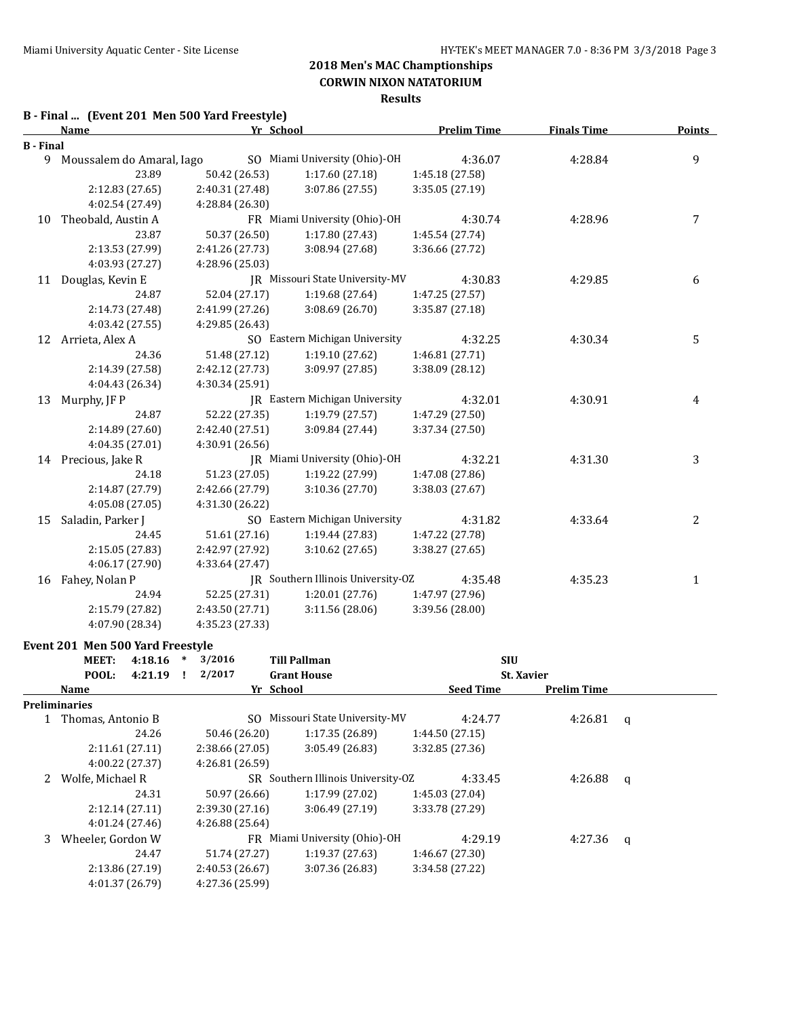**CORWIN NIXON NATATORIUM**

### **Results**

### **B - Final ... (Event 201 Men 500 Yard Freestyle)**

|                  | <b>Name</b>                 |                 | Yr School                             | <b>Prelim Time</b> | <b>Finals Time</b> | <b>Points</b> |  |
|------------------|-----------------------------|-----------------|---------------------------------------|--------------------|--------------------|---------------|--|
| <b>B</b> - Final |                             |                 |                                       |                    |                    |               |  |
|                  | 9 Moussalem do Amaral, Iago |                 | SO Miami University (Ohio)-OH         | 4:36.07            | 4:28.84            | 9             |  |
|                  | 23.89                       | 50.42 (26.53)   | 1:17.60(27.18)                        | 1:45.18 (27.58)    |                    |               |  |
|                  | 2:12.83 (27.65)             | 2:40.31 (27.48) | 3:07.86 (27.55)                       | 3:35.05 (27.19)    |                    |               |  |
|                  | 4:02.54 (27.49)             | 4:28.84 (26.30) |                                       |                    |                    |               |  |
| 10               | Theobald, Austin A          |                 | FR Miami University (Ohio)-OH         | 4:30.74            | 4:28.96            | 7             |  |
|                  | 23.87                       | 50.37 (26.50)   | 1:17.80(27.43)                        | 1:45.54 (27.74)    |                    |               |  |
|                  | 2:13.53 (27.99)             | 2:41.26 (27.73) | 3:08.94 (27.68)                       | 3:36.66 (27.72)    |                    |               |  |
|                  | 4:03.93 (27.27)             | 4:28.96 (25.03) |                                       |                    |                    |               |  |
| 11               | Douglas, Kevin E            |                 | JR Missouri State University-MV       | 4:30.83            | 4:29.85            | 6             |  |
|                  | 24.87                       | 52.04 (27.17)   | 1:19.68(27.64)                        | 1:47.25 (27.57)    |                    |               |  |
|                  | 2:14.73 (27.48)             | 2:41.99 (27.26) | 3:08.69(26.70)                        | 3:35.87 (27.18)    |                    |               |  |
|                  | 4:03.42 (27.55)             | 4:29.85 (26.43) |                                       |                    |                    |               |  |
| 12               | Arrieta, Alex A             |                 | SO Eastern Michigan University        | 4:32.25            | 4:30.34            | 5             |  |
|                  | 24.36                       | 51.48 (27.12)   | 1:19.10(27.62)                        | 1:46.81 (27.71)    |                    |               |  |
|                  | 2:14.39 (27.58)             | 2:42.12 (27.73) | 3:09.97(27.85)                        | 3:38.09 (28.12)    |                    |               |  |
|                  | 4:04.43 (26.34)             | 4:30.34 (25.91) |                                       |                    |                    |               |  |
| 13               | Murphy, JF P                |                 | <b>IR</b> Eastern Michigan University | 4:32.01            | 4:30.91            | 4             |  |
|                  | 24.87                       | 52.22 (27.35)   | 1:19.79(27.57)                        | 1:47.29 (27.50)    |                    |               |  |
|                  | 2:14.89 (27.60)             | 2:42.40 (27.51) | 3:09.84 (27.44)                       | 3:37.34 (27.50)    |                    |               |  |
|                  | 4:04.35 (27.01)             | 4:30.91 (26.56) |                                       |                    |                    |               |  |
|                  | 14 Precious, Jake R         |                 | JR Miami University (Ohio)-OH         | 4:32.21            | 4:31.30            | 3             |  |
|                  | 24.18                       | 51.23 (27.05)   | 1:19.22(27.99)                        | 1:47.08 (27.86)    |                    |               |  |
|                  | 2:14.87 (27.79)             | 2:42.66 (27.79) | 3:10.36 (27.70)                       | 3:38.03 (27.67)    |                    |               |  |
|                  | 4:05.08 (27.05)             | 4:31.30 (26.22) |                                       |                    |                    |               |  |
| 15               | Saladin, Parker J           |                 | SO Eastern Michigan University        | 4:31.82            | 4:33.64            | 2             |  |
|                  | 24.45                       | 51.61 (27.16)   | 1:19.44(27.83)                        | 1:47.22 (27.78)    |                    |               |  |
|                  | 2:15.05 (27.83)             | 2:42.97 (27.92) | 3:10.62 (27.65)                       | 3:38.27 (27.65)    |                    |               |  |
|                  | 4:06.17 (27.90)             | 4:33.64 (27.47) |                                       |                    |                    |               |  |
|                  | 16 Fahey, Nolan P           |                 | JR Southern Illinois University-OZ    | 4:35.48            | 4:35.23            | 1             |  |
|                  | 24.94                       | 52.25 (27.31)   | 1:20.01(27.76)                        | 1:47.97 (27.96)    |                    |               |  |
|                  | 2:15.79 (27.82)             | 2:43.50 (27.71) | 3:11.56(28.06)                        | 3:39.56 (28.00)    |                    |               |  |
|                  | 4:07.90 (28.34)             | 4:35.23 (27.33) |                                       |                    |                    |               |  |

#### **Event 201 Men 500 Yard Freestyle**

|   | <b>MEET:</b><br>4:18.16 | ∗ | 3/2016          | <b>Till Pallman</b>                | <b>SIU</b>       |                    |   |
|---|-------------------------|---|-----------------|------------------------------------|------------------|--------------------|---|
|   | POOL:<br>4:21.19        |   | 2/2017          | <b>Grant House</b>                 |                  | <b>St. Xavier</b>  |   |
|   | Name                    |   |                 | Yr School                          | <b>Seed Time</b> | <b>Prelim Time</b> |   |
|   | <b>Preliminaries</b>    |   |                 |                                    |                  |                    |   |
|   | Thomas, Antonio B       |   |                 | SO Missouri State University-MV    | 4:24.77          | 4:26.81            | q |
|   | 24.26                   |   | 50.46 (26.20)   | 1:17.35(26.89)                     | 1:44.50(27.15)   |                    |   |
|   | 2:11.61(27.11)          |   | 2:38.66 (27.05) | 3:05.49(26.83)                     | 3:32.85(27.36)   |                    |   |
|   | 4:00.22 (27.37)         |   | 4:26.81 (26.59) |                                    |                  |                    |   |
|   | Wolfe, Michael R        |   |                 | SR Southern Illinois University-OZ | 4:33.45          | 4:26.88            | q |
|   | 24.31                   |   | 50.97 (26.66)   | 1:17.99(27.02)                     | 1:45.03(27.04)   |                    |   |
|   | 2:12.14(27.11)          |   | 2:39.30(27.16)  | 3:06.49(27.19)                     | 3:33.78 (27.29)  |                    |   |
|   | 4:01.24 (27.46)         |   | 4:26.88 (25.64) |                                    |                  |                    |   |
| 3 | Wheeler, Gordon W       |   | FR              | Miami University (Ohio)-OH         | 4:29.19          | 4:27.36            | q |
|   | 24.47                   |   | 51.74 (27.27)   | 1:19.37(27.63)                     | 1:46.67(27.30)   |                    |   |
|   | 2:13.86 (27.19)         |   | 2:40.53(26.67)  | 3:07.36(26.83)                     | 3:34.58 (27.22)  |                    |   |
|   | 4:01.37 (26.79)         |   | 4:27.36 (25.99) |                                    |                  |                    |   |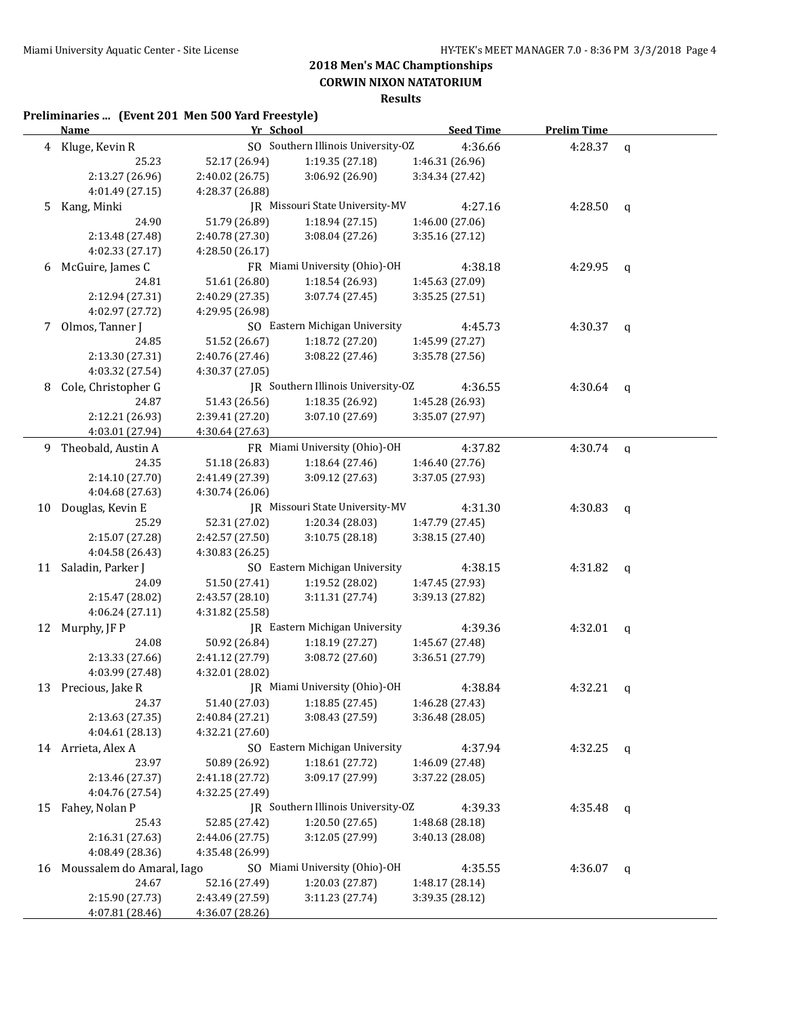**CORWIN NIXON NATATORIUM Results**

## **Preliminaries ... (Event 201 Men 500 Yard Freestyle)**

|    | <b>Name</b>               | Yr School       |                                    | <b>Seed Time</b> | <b>Prelim Time</b> |   |
|----|---------------------------|-----------------|------------------------------------|------------------|--------------------|---|
|    | 4 Kluge, Kevin R          |                 | SO Southern Illinois University-OZ | 4:36.66          | 4:28.37            | q |
|    | 25.23                     | 52.17 (26.94)   | 1:19.35(27.18)                     | 1:46.31 (26.96)  |                    |   |
|    | 2:13.27 (26.96)           | 2:40.02 (26.75) | 3:06.92 (26.90)                    | 3:34.34 (27.42)  |                    |   |
|    | 4:01.49 (27.15)           | 4:28.37 (26.88) |                                    |                  |                    |   |
| 5. | Kang, Minki               |                 | JR Missouri State University-MV    | 4:27.16          | 4:28.50            | q |
|    | 24.90                     | 51.79 (26.89)   | 1:18.94(27.15)                     | 1:46.00 (27.06)  |                    |   |
|    | 2:13.48 (27.48)           | 2:40.78 (27.30) | 3:08.04 (27.26)                    | 3:35.16 (27.12)  |                    |   |
|    | 4:02.33 (27.17)           | 4:28.50 (26.17) |                                    |                  |                    |   |
| 6  | McGuire, James C          |                 | FR Miami University (Ohio)-OH      | 4:38.18          | 4:29.95            | q |
|    | 24.81                     | 51.61 (26.80)   | 1:18.54(26.93)                     | 1:45.63 (27.09)  |                    |   |
|    | 2:12.94 (27.31)           | 2:40.29 (27.35) | 3:07.74 (27.45)                    | 3:35.25 (27.51)  |                    |   |
|    | 4:02.97 (27.72)           | 4:29.95 (26.98) |                                    |                  |                    |   |
| 7  | Olmos, Tanner J           |                 | SO Eastern Michigan University     | 4:45.73          | 4:30.37            | q |
|    | 24.85                     | 51.52 (26.67)   | 1:18.72 (27.20)                    | 1:45.99 (27.27)  |                    |   |
|    | 2:13.30 (27.31)           | 2:40.76 (27.46) | 3:08.22 (27.46)                    | 3:35.78 (27.56)  |                    |   |
|    | 4:03.32 (27.54)           | 4:30.37 (27.05) |                                    |                  |                    |   |
| 8  | Cole, Christopher G       |                 | JR Southern Illinois University-OZ | 4:36.55          | 4:30.64            | q |
|    | 24.87                     | 51.43 (26.56)   | 1:18.35 (26.92)                    | 1:45.28 (26.93)  |                    |   |
|    | 2:12.21 (26.93)           | 2:39.41 (27.20) | 3:07.10(27.69)                     | 3:35.07 (27.97)  |                    |   |
|    | 4:03.01 (27.94)           | 4:30.64 (27.63) |                                    |                  |                    |   |
|    | 9 Theobald, Austin A      |                 | FR Miami University (Ohio)-OH      | 4:37.82          | 4:30.74            | q |
|    | 24.35                     | 51.18 (26.83)   | 1:18.64 (27.46)                    | 1:46.40 (27.76)  |                    |   |
|    | 2:14.10 (27.70)           | 2:41.49 (27.39) | 3:09.12 (27.63)                    | 3:37.05 (27.93)  |                    |   |
|    | 4:04.68 (27.63)           | 4:30.74 (26.06) |                                    |                  |                    |   |
| 10 | Douglas, Kevin E          |                 | JR Missouri State University-MV    | 4:31.30          | 4:30.83            | q |
|    | 25.29                     | 52.31 (27.02)   | 1:20.34 (28.03)                    | 1:47.79 (27.45)  |                    |   |
|    | 2:15.07 (27.28)           | 2:42.57 (27.50) | 3:10.75(28.18)                     | 3:38.15 (27.40)  |                    |   |
|    | 4:04.58 (26.43)           | 4:30.83 (26.25) |                                    |                  |                    |   |
|    | 11 Saladin, Parker J      |                 | SO Eastern Michigan University     | 4:38.15          | 4:31.82            | q |
|    | 24.09                     | 51.50 (27.41)   | 1:19.52 (28.02)                    | 1:47.45 (27.93)  |                    |   |
|    | 2:15.47 (28.02)           | 2:43.57 (28.10) | 3:11.31 (27.74)                    | 3:39.13 (27.82)  |                    |   |
|    | 4:06.24(27.11)            | 4:31.82 (25.58) |                                    |                  |                    |   |
|    | 12 Murphy, JF P           |                 | JR Eastern Michigan University     | 4:39.36          | 4:32.01            | q |
|    | 24.08                     | 50.92 (26.84)   | 1:18.19 (27.27)                    | 1:45.67 (27.48)  |                    |   |
|    | 2:13.33 (27.66)           | 2:41.12 (27.79) | 3:08.72(27.60)                     | 3:36.51 (27.79)  |                    |   |
|    | 4:03.99 (27.48)           | 4:32.01 (28.02) |                                    |                  |                    |   |
|    | 13 Precious, Jake R       |                 | JR Miami University (Ohio)-OH      | 4:38.84          | 4:32.21            |   |
|    | 24.37                     | 51.40 (27.03)   | 1:18.85 (27.45)                    | 1:46.28 (27.43)  |                    | q |
|    | 2:13.63 (27.35)           | 2:40.84 (27.21) | 3:08.43 (27.59)                    | 3:36.48 (28.05)  |                    |   |
|    | 4:04.61 (28.13)           | 4:32.21 (27.60) |                                    |                  |                    |   |
|    |                           |                 | SO Eastern Michigan University     |                  |                    |   |
|    | 14 Arrieta, Alex A        |                 |                                    | 4:37.94          | 4:32.25            | q |
|    | 23.97                     | 50.89 (26.92)   | 1:18.61 (27.72)                    | 1:46.09 (27.48)  |                    |   |
|    | 2:13.46 (27.37)           | 2:41.18 (27.72) | 3:09.17 (27.99)                    | 3:37.22 (28.05)  |                    |   |
|    | 4:04.76 (27.54)           | 4:32.25 (27.49) |                                    |                  |                    |   |
| 15 | Fahey, Nolan P            |                 | JR Southern Illinois University-OZ | 4:39.33          | 4:35.48            | q |
|    | 25.43                     | 52.85 (27.42)   | 1:20.50 (27.65)                    | 1:48.68 (28.18)  |                    |   |
|    | 2:16.31 (27.63)           | 2:44.06 (27.75) | 3:12.05 (27.99)                    | 3:40.13 (28.08)  |                    |   |
|    | 4:08.49 (28.36)           | 4:35.48 (26.99) |                                    |                  |                    |   |
| 16 | Moussalem do Amaral, Iago |                 | SO Miami University (Ohio)-OH      | 4:35.55          | 4:36.07            | q |
|    | 24.67                     | 52.16 (27.49)   | 1:20.03 (27.87)                    | 1:48.17 (28.14)  |                    |   |
|    | 2:15.90 (27.73)           | 2:43.49 (27.59) | 3:11.23 (27.74)                    | 3:39.35 (28.12)  |                    |   |
|    | 4:07.81 (28.46)           | 4:36.07 (28.26) |                                    |                  |                    |   |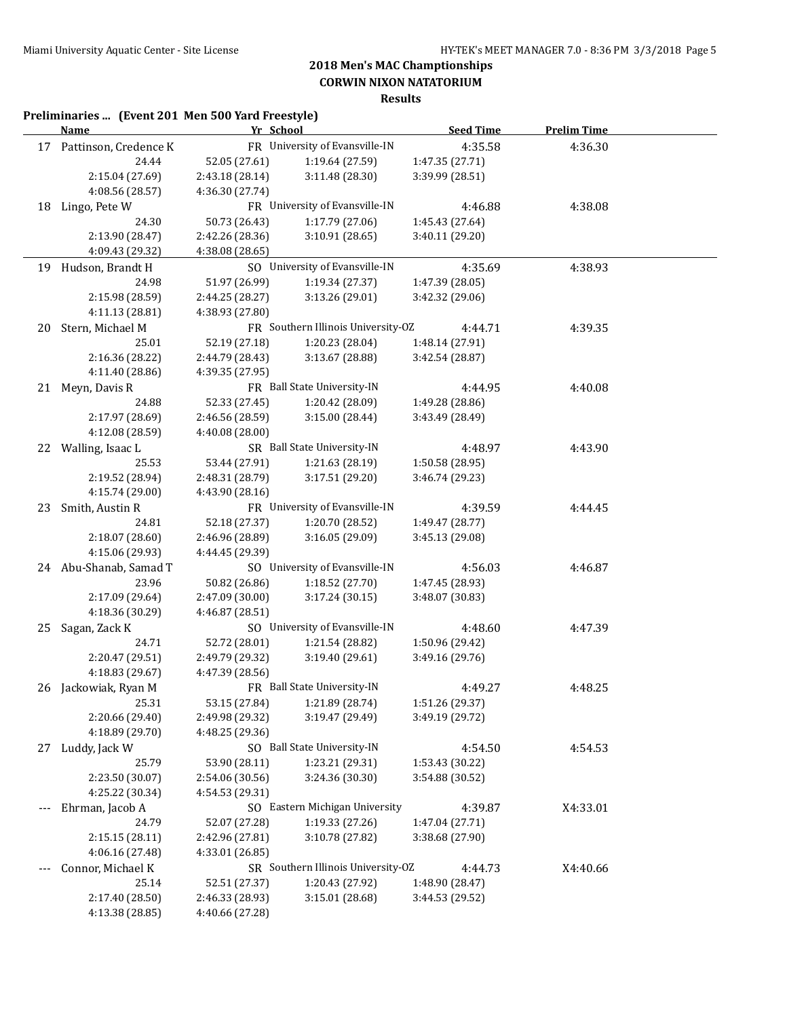**CORWIN NIXON NATATORIUM**

|     | Preliminaries  (Event 201 Men 500 Yard Freestyle)<br><b>Name</b> | Yr School       |                                    | <b>Seed Time</b>                   | <b>Prelim Time</b> |  |
|-----|------------------------------------------------------------------|-----------------|------------------------------------|------------------------------------|--------------------|--|
|     | 17 Pattinson, Credence K                                         |                 | FR University of Evansville-IN     | 4:35.58                            | 4:36.30            |  |
|     | 24.44                                                            | 52.05 (27.61)   | 1:19.64 (27.59)                    | 1:47.35 (27.71)                    |                    |  |
|     | 2:15.04 (27.69)                                                  | 2:43.18 (28.14) | 3:11.48 (28.30)                    | 3:39.99 (28.51)                    |                    |  |
|     | 4:08.56 (28.57)                                                  | 4:36.30 (27.74) |                                    |                                    |                    |  |
| 18  | Lingo, Pete W                                                    |                 | FR University of Evansville-IN     | 4:46.88                            | 4:38.08            |  |
|     | 24.30                                                            | 50.73 (26.43)   | 1:17.79 (27.06)                    | 1:45.43 (27.64)                    |                    |  |
|     | 2:13.90 (28.47)                                                  | 2:42.26 (28.36) | 3:10.91(28.65)                     | 3:40.11 (29.20)                    |                    |  |
|     | 4:09.43 (29.32)                                                  | 4:38.08 (28.65) |                                    |                                    |                    |  |
| 19  | Hudson, Brandt H                                                 |                 | SO University of Evansville-IN     | 4:35.69                            | 4:38.93            |  |
|     | 24.98                                                            | 51.97 (26.99)   | 1:19.34 (27.37)                    | 1:47.39 (28.05)                    |                    |  |
|     | 2:15.98 (28.59)                                                  | 2:44.25 (28.27) | 3:13.26 (29.01)                    | 3:42.32 (29.06)                    |                    |  |
|     | 4:11.13 (28.81)                                                  | 4:38.93 (27.80) |                                    |                                    |                    |  |
| 20  | Stern, Michael M                                                 |                 | FR Southern Illinois University-OZ | 4:44.71                            | 4:39.35            |  |
|     | 25.01                                                            | 52.19 (27.18)   | 1:20.23 (28.04)                    | 1:48.14 (27.91)                    |                    |  |
|     | 2:16.36 (28.22)                                                  | 2:44.79 (28.43) | 3:13.67 (28.88)                    | 3:42.54 (28.87)                    |                    |  |
|     | 4:11.40 (28.86)                                                  | 4:39.35 (27.95) |                                    |                                    |                    |  |
| 21  | Meyn, Davis R                                                    |                 | FR Ball State University-IN        | 4:44.95                            | 4:40.08            |  |
|     | 24.88                                                            | 52.33 (27.45)   | 1:20.42 (28.09)                    | 1:49.28 (28.86)                    |                    |  |
|     | 2:17.97 (28.69)                                                  | 2:46.56 (28.59) | 3:15.00 (28.44)                    | 3:43.49 (28.49)                    |                    |  |
|     | 4:12.08 (28.59)                                                  | 4:40.08 (28.00) |                                    |                                    |                    |  |
| 22  | Walling, Isaac L                                                 |                 | SR Ball State University-IN        | 4:48.97                            | 4:43.90            |  |
|     | 25.53                                                            | 53.44 (27.91)   | 1:21.63 (28.19)                    | 1:50.58(28.95)                     |                    |  |
|     | 2:19.52 (28.94)                                                  | 2:48.31 (28.79) | 3:17.51 (29.20)                    | 3:46.74 (29.23)                    |                    |  |
|     | 4:15.74 (29.00)                                                  | 4:43.90 (28.16) |                                    |                                    |                    |  |
| 23  | Smith, Austin R                                                  |                 | FR University of Evansville-IN     | 4:39.59                            | 4:44.45            |  |
|     | 24.81                                                            | 52.18 (27.37)   | 1:20.70 (28.52)                    | 1:49.47 (28.77)                    |                    |  |
|     | 2:18.07 (28.60)                                                  | 2:46.96 (28.89) | 3:16.05 (29.09)                    | 3:45.13 (29.08)                    |                    |  |
|     | 4:15.06 (29.93)                                                  | 4:44.45 (29.39) |                                    |                                    |                    |  |
|     | 24 Abu-Shanab, Samad T                                           |                 | SO University of Evansville-IN     | 4:56.03                            | 4:46.87            |  |
|     | 23.96                                                            | 50.82 (26.86)   | 1:18.52 (27.70)                    | 1:47.45 (28.93)                    |                    |  |
|     | 2:17.09 (29.64)                                                  | 2:47.09 (30.00) | 3:17.24 (30.15)                    | 3:48.07 (30.83)                    |                    |  |
|     | 4:18.36 (30.29)                                                  | 4:46.87 (28.51) |                                    |                                    |                    |  |
|     | Sagan, Zack K                                                    |                 | SO University of Evansville-IN     | 4:48.60                            | 4:47.39            |  |
| 25  |                                                                  |                 | 1:21.54 (28.82)                    |                                    |                    |  |
|     | 24.71<br>2:20.47 (29.51)                                         | 52.72 (28.01)   | 3:19.40 (29.61)                    | 1:50.96 (29.42)<br>3:49.16 (29.76) |                    |  |
|     |                                                                  | 2:49.79 (29.32) |                                    |                                    |                    |  |
| 26  | 4:18.83 (29.67)                                                  | 4:47.39 (28.56) | FR Ball State University-IN        | 4:49.27                            | 4:48.25            |  |
|     | Jackowiak, Ryan M<br>25.31                                       |                 | 1:21.89 (28.74)                    |                                    |                    |  |
|     |                                                                  | 53.15 (27.84)   |                                    | 1:51.26 (29.37)<br>3:49.19 (29.72) |                    |  |
|     | 2:20.66 (29.40)                                                  | 2:49.98 (29.32) | 3:19.47 (29.49)                    |                                    |                    |  |
|     | 4:18.89 (29.70)                                                  | 4:48.25 (29.36) |                                    |                                    |                    |  |
| 27  | Luddy, Jack W                                                    |                 | SO Ball State University-IN        | 4:54.50                            | 4:54.53            |  |
|     | 25.79                                                            | 53.90 (28.11)   | 1:23.21 (29.31)                    | 1:53.43 (30.22)                    |                    |  |
|     | 2:23.50 (30.07)                                                  | 2:54.06 (30.56) | 3:24.36 (30.30)                    | 3:54.88 (30.52)                    |                    |  |
|     | 4:25.22 (30.34)                                                  | 4:54.53 (29.31) |                                    |                                    |                    |  |
| --- | Ehrman, Jacob A                                                  |                 | SO Eastern Michigan University     | 4:39.87                            | X4:33.01           |  |
|     | 24.79                                                            | 52.07 (27.28)   | 1:19.33 (27.26)                    | 1:47.04 (27.71)                    |                    |  |
|     | 2:15.15 (28.11)                                                  | 2:42.96 (27.81) | 3:10.78 (27.82)                    | 3:38.68 (27.90)                    |                    |  |
|     | 4:06.16 (27.48)                                                  | 4:33.01 (26.85) |                                    |                                    |                    |  |
|     | Connor, Michael K                                                |                 | SR Southern Illinois University-OZ | 4:44.73                            | X4:40.66           |  |
|     | 25.14                                                            | 52.51 (27.37)   | 1:20.43 (27.92)                    | 1:48.90 (28.47)                    |                    |  |
|     | 2:17.40 (28.50)                                                  | 2:46.33 (28.93) | 3:15.01 (28.68)                    | 3:44.53 (29.52)                    |                    |  |
|     | 4:13.38 (28.85)                                                  | 4:40.66 (27.28) |                                    |                                    |                    |  |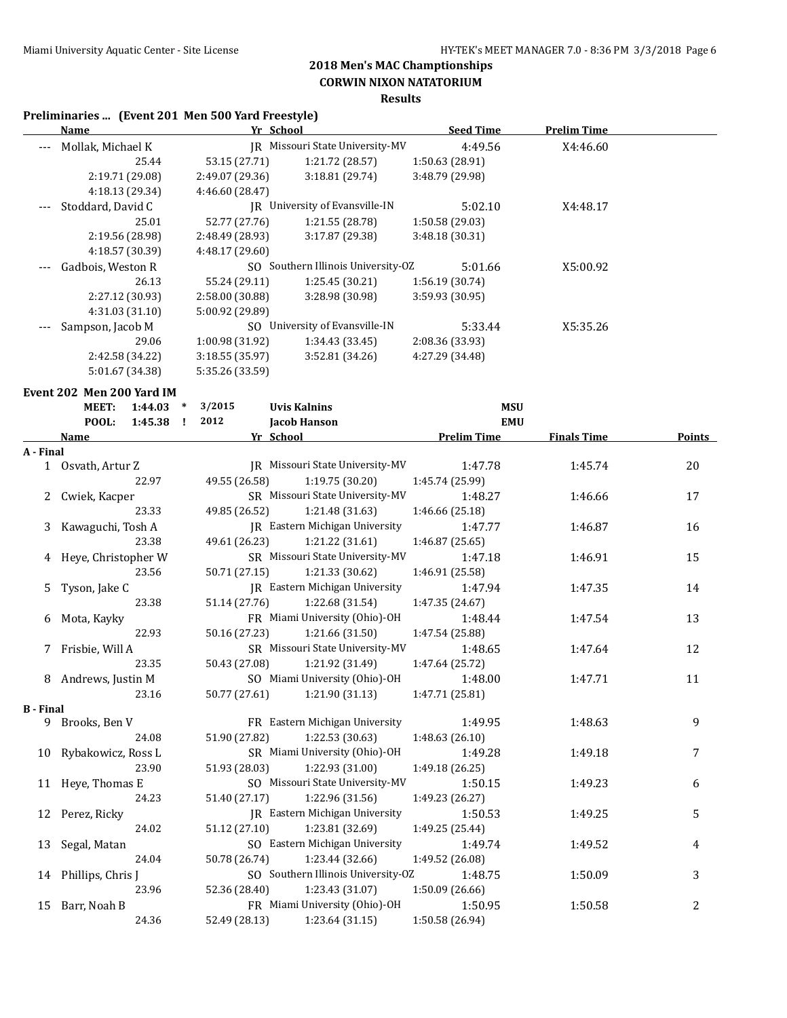## **CORWIN NIXON NATATORIUM**

### **Results**

## **Preliminaries ... (Event 201 Men 500 Yard Freestyle)**

| Yr School<br>Name |                 |                 | <b>Seed Time</b>                                              | <b>Prelim Time</b>                                                    |  |
|-------------------|-----------------|-----------------|---------------------------------------------------------------|-----------------------------------------------------------------------|--|
| Mollak, Michael K |                 |                 | 4:49.56                                                       | X4:46.60                                                              |  |
| 25.44             | 53.15 (27.71)   | 1:21.72 (28.57) | 1:50.63(28.91)                                                |                                                                       |  |
| 2:19.71 (29.08)   | 2:49.07 (29.36) | 3:18.81(29.74)  | 3:48.79 (29.98)                                               |                                                                       |  |
| 4:18.13 (29.34)   | 4:46.60 (28.47) |                 |                                                               |                                                                       |  |
| Stoddard, David C | IR              |                 | 5:02.10                                                       | X4:48.17                                                              |  |
| 25.01             | 52.77 (27.76)   | 1:21.55(28.78)  | 1:50.58 (29.03)                                               |                                                                       |  |
| 2:19.56 (28.98)   | 2:48.49 (28.93) | 3:17.87(29.38)  | 3:48.18 (30.31)                                               |                                                                       |  |
| 4:18.57 (30.39)   | 4:48.17 (29.60) |                 |                                                               |                                                                       |  |
| Gadbois, Weston R |                 |                 | 5:01.66                                                       | X5:00.92                                                              |  |
| 26.13             | 55.24 (29.11)   | 1:25.45(30.21)  | 1:56.19(30.74)                                                |                                                                       |  |
| 2:27.12 (30.93)   | 2:58.00 (30.88) | 3:28.98 (30.98) | 3:59.93 (30.95)                                               |                                                                       |  |
| 4:31.03(31.10)    | 5:00.92 (29.89) |                 |                                                               |                                                                       |  |
| Sampson, Jacob M  |                 |                 | 5:33.44                                                       | X5:35.26                                                              |  |
| 29.06             | 1:00.98 (31.92) | 1:34.43 (33.45) | 2:08.36 (33.93)                                               |                                                                       |  |
| 2:42.58 (34.22)   | 3:18.55(35.97)  | 3:52.81(34.26)  | 4:27.29 (34.48)                                               |                                                                       |  |
| 5:01.67 (34.38)   | 5:35.26 (33.59) |                 |                                                               |                                                                       |  |
|                   |                 |                 | University of Evansville-IN<br>SO University of Evansville-IN | IR Missouri State University-MV<br>SO Southern Illinois University-OZ |  |

#### **Event 202 Men 200 Yard IM**

|                  | <b>MEET:</b>          | 1:44.03 | $\ast$ | 3/2015                         | <b>Uvis Kalnins</b>                   | <b>MSU</b>         |                    |                |
|------------------|-----------------------|---------|--------|--------------------------------|---------------------------------------|--------------------|--------------------|----------------|
|                  | POOL:                 | 1:45.38 | I.     | 2012                           | <b>Jacob Hanson</b>                   | <b>EMU</b>         |                    |                |
|                  | Name                  |         |        |                                | Yr School                             | <b>Prelim Time</b> | <b>Finals Time</b> | <b>Points</b>  |
| A - Final        |                       |         |        |                                |                                       |                    |                    |                |
|                  | 1 Osvath, Artur Z     |         |        |                                | IR Missouri State University-MV       | 1:47.78            | 1:45.74            | 20             |
|                  |                       | 22.97   |        | 49.55 (26.58)                  | 1:19.75(30.20)                        | 1:45.74 (25.99)    |                    |                |
|                  | 2 Cwiek, Kacper       |         |        |                                | SR Missouri State University-MV       | 1:48.27            | 1:46.66            | 17             |
|                  |                       | 23.33   |        | 49.85 (26.52)                  | 1:21.48(31.63)                        | 1:46.66 (25.18)    |                    |                |
|                  | 3 Kawaguchi, Tosh A   |         |        |                                | <b>IR</b> Eastern Michigan University | 1:47.77            | 1:46.87            | 16             |
|                  |                       | 23.38   |        | 49.61 (26.23)                  | 1:21.22 (31.61)                       | 1:46.87 (25.65)    |                    |                |
|                  | 4 Heye, Christopher W |         |        |                                | SR Missouri State University-MV       | 1:47.18            | 1:46.91            | 15             |
|                  |                       | 23.56   |        | 50.71 (27.15)                  | 1:21.33 (30.62)                       | 1:46.91 (25.58)    |                    |                |
| 5                | Tyson, Jake C         |         |        |                                | JR Eastern Michigan University        | 1:47.94            | 1:47.35            | 14             |
|                  |                       | 23.38   |        | 51.14 (27.76)                  | 1:22.68 (31.54)                       | 1:47.35 (24.67)    |                    |                |
|                  | 6 Mota, Kayky         |         |        |                                | FR Miami University (Ohio)-OH         | 1:48.44            | 1:47.54            | 13             |
|                  |                       | 22.93   |        | 50.16 (27.23)                  | 1:21.66 (31.50)                       | 1:47.54 (25.88)    |                    |                |
|                  | 7 Frisbie, Will A     |         |        |                                | SR Missouri State University-MV       | 1:48.65            | 1:47.64            | 12             |
|                  |                       | 23.35   |        | 50.43 (27.08)                  | 1:21.92 (31.49)                       | 1:47.64 (25.72)    |                    |                |
|                  | 8 Andrews, Justin M   |         |        |                                | SO Miami University (Ohio)-OH         | 1:48.00            | 1:47.71            | 11             |
|                  |                       | 23.16   |        |                                | 50.77 (27.61) 1:21.90 (31.13)         | 1:47.71 (25.81)    |                    |                |
| <b>B</b> - Final |                       |         |        |                                |                                       |                    |                    |                |
|                  | 9 Brooks, Ben V       |         |        | FR Eastern Michigan University |                                       | 1:49.95            | 1:48.63            | 9              |
|                  |                       | 24.08   |        | 51.90 (27.82)                  | 1:22.53 (30.63)                       | 1:48.63 (26.10)    |                    |                |
|                  | 10 Rybakowicz, Ross L |         |        |                                | SR Miami University (Ohio)-OH         | 1:49.28            | 1:49.18            | $\overline{7}$ |
|                  |                       | 23.90   |        |                                | $51.93(28.03)$ $1:22.93(31.00)$       | 1:49.18 (26.25)    |                    |                |
|                  | 11 Heye, Thomas E     |         |        |                                | SO Missouri State University-MV       | 1:50.15            | 1:49.23            | 6              |
|                  |                       | 24.23   |        | 51.40 (27.17)                  | 1:22.96 (31.56)                       | 1:49.23 (26.27)    |                    |                |
|                  | 12 Perez, Ricky       |         |        |                                | <b>IR</b> Eastern Michigan University | 1:50.53            | 1:49.25            | 5              |
|                  |                       | 24.02   |        | 51.12 (27.10)                  | 1:23.81 (32.69)                       | 1:49.25 (25.44)    |                    |                |
|                  | 13 Segal, Matan       |         |        |                                | SO Eastern Michigan University        | 1:49.74            | 1:49.52            | 4              |
|                  |                       | 24.04   |        | 50.78 (26.74)                  | 1:23.44 (32.66)                       | 1:49.52 (26.08)    |                    |                |
|                  | 14 Phillips, Chris J  |         |        |                                | SO Southern Illinois University-OZ    | 1:48.75            | 1:50.09            | 3              |
|                  |                       | 23.96   |        | 52.36 (28.40)                  | 1:23.43 (31.07)                       | 1:50.09 (26.66)    |                    |                |
| 15               | Barr, Noah B          |         |        |                                | FR Miami University (Ohio)-OH         | 1:50.95            | 1:50.58            | 2              |
|                  |                       | 24.36   |        | 52.49 (28.13)                  | 1:23.64(31.15)                        | 1:50.58 (26.94)    |                    |                |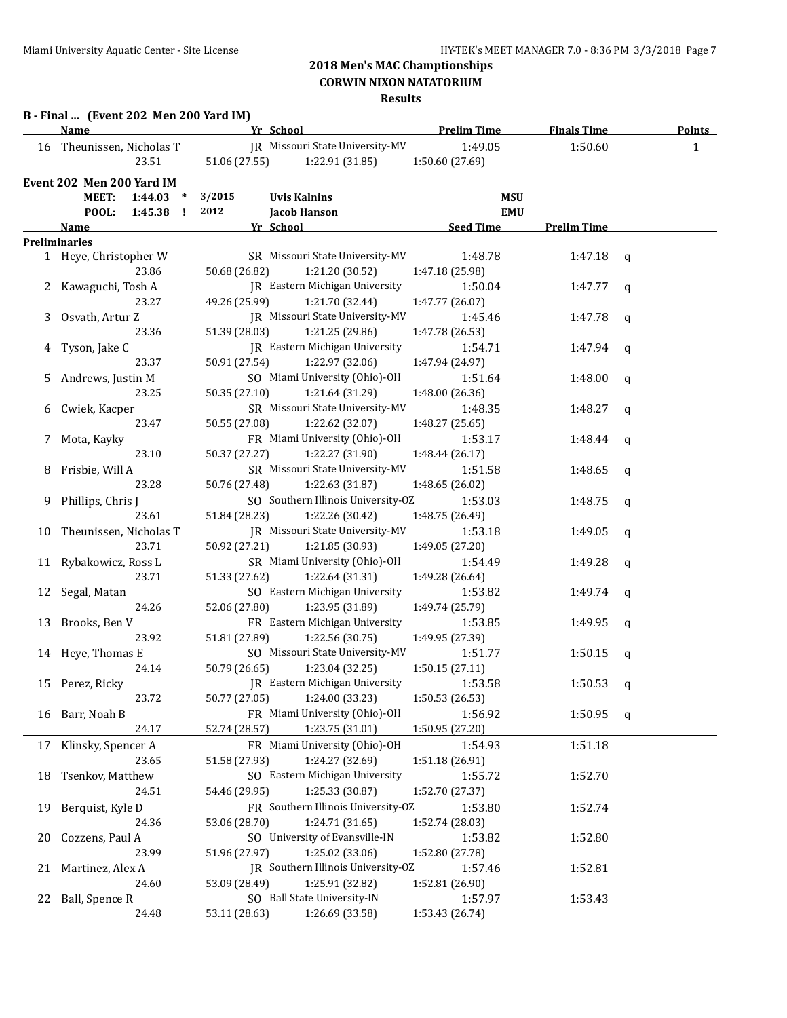|    | Name                              | Yr School     |                                        | <b>Prelim Time</b>         | <b>Finals Time</b> | <b>Points</b> |
|----|-----------------------------------|---------------|----------------------------------------|----------------------------|--------------------|---------------|
|    | 16 Theunissen, Nicholas T         |               | JR Missouri State University-MV        | 1:49.05                    | 1:50.60            | 1             |
|    | 23.51                             | 51.06 (27.55) | 1:22.91 (31.85)                        | 1:50.60 (27.69)            |                    |               |
|    | Event 202 Men 200 Yard IM         |               |                                        |                            |                    |               |
|    | <b>MEET:</b><br>1:44.03<br>$\ast$ | 3/2015        | <b>Uvis Kalnins</b>                    | <b>MSU</b>                 |                    |               |
|    | POOL:<br>1:45.38 !                | 2012          | Jacob Hanson                           | <b>EMU</b>                 |                    |               |
|    | <u>Name</u>                       | Yr School     |                                        | <b>Seed Time</b>           | <b>Prelim Time</b> |               |
|    | <b>Preliminaries</b>              |               |                                        |                            |                    |               |
|    | 1 Heye, Christopher W             |               | SR Missouri State University-MV        | 1:48.78                    | 1:47.18            | $\mathbf{q}$  |
|    | 23.86                             | 50.68 (26.82) | 1:21.20 (30.52)                        | 1:47.18 (25.98)            |                    |               |
|    | Kawaguchi, Tosh A                 |               | JR Eastern Michigan University         | 1:50.04                    | 1:47.77            | q             |
|    | 23.27                             | 49.26 (25.99) | 1:21.70 (32.44)                        | 1:47.77 (26.07)            |                    |               |
|    | Osvath, Artur Z                   |               | JR Missouri State University-MV        | 1:45.46                    | 1:47.78            | q             |
|    | 23.36                             | 51.39 (28.03) | 1:21.25 (29.86)                        | 1:47.78 (26.53)            |                    |               |
|    | Tyson, Jake C                     |               | JR Eastern Michigan University         | 1:54.71                    | 1:47.94            | q             |
|    | 23.37                             | 50.91 (27.54) | 1:22.97 (32.06)                        | 1:47.94 (24.97)            |                    |               |
|    | Andrews, Justin M                 |               | SO Miami University (Ohio)-OH          | 1:51.64                    | 1:48.00            | q             |
|    | 23.25                             | 50.35 (27.10) | 1:21.64 (31.29)                        | 1:48.00 (26.36)            |                    |               |
|    | Cwiek, Kacper                     |               | SR Missouri State University-MV        | 1:48.35                    | 1:48.27            | q             |
|    | 23.47                             | 50.55 (27.08) | 1:22.62 (32.07)                        | 1:48.27 (25.65)            |                    |               |
|    | Mota, Kayky                       |               | FR Miami University (Ohio)-OH          | 1:53.17                    | 1:48.44            | $\mathbf q$   |
|    | 23.10                             | 50.37 (27.27) | 1:22.27 (31.90)                        | 1:48.44(26.17)             |                    |               |
| 8  | Frisbie, Will A                   |               | SR Missouri State University-MV        | 1:51.58                    | 1:48.65            | $\mathbf q$   |
|    | 23.28                             | 50.76 (27.48) | 1:22.63 (31.87)                        | 1:48.65 (26.02)            |                    |               |
| 9. | Phillips, Chris J                 |               | SO Southern Illinois University-OZ     | 1:53.03                    | 1:48.75            | q             |
|    | 23.61                             | 51.84 (28.23) | 1:22.26 (30.42)                        | 1:48.75 (26.49)            |                    |               |
| 10 | Theunissen, Nicholas T            |               | JR Missouri State University-MV        | 1:53.18                    | 1:49.05            | $\mathbf q$   |
|    | 23.71                             | 50.92 (27.21) | 1:21.85 (30.93)                        | 1:49.05 (27.20)            |                    |               |
| 11 | Rybakowicz, Ross L                |               | SR Miami University (Ohio)-OH          | 1:54.49                    | 1:49.28            | q             |
|    | 23.71                             | 51.33 (27.62) | 1:22.64 (31.31)                        | 1:49.28 (26.64)            |                    |               |
| 12 | Segal, Matan                      |               | SO Eastern Michigan University         | 1:53.82                    | 1:49.74            | q             |
|    | 24.26                             | 52.06 (27.80) | 1:23.95 (31.89)                        | 1:49.74 (25.79)            |                    |               |
| 13 | Brooks, Ben V                     |               | FR Eastern Michigan University         | 1:53.85                    | 1:49.95            | q             |
|    | 23.92                             | 51.81 (27.89) | 1:22.56 (30.75)                        | 1:49.95 (27.39)            |                    |               |
|    | 14 Heye, Thomas E                 |               | SO Missouri State University-MV        | 1:51.77                    | 1:50.15            | q             |
|    | 24.14                             | 50.79 (26.65) | 1:23.04 (32.25)                        | 1:50.15(27.11)             |                    |               |
|    | 15 Perez, Ricky                   |               | JR Eastern Michigan University 1:53.58 |                            | 1:50.53            | $\mathbf{q}$  |
|    | 23.72                             | 50.77 (27.05) | 1:24.00 (33.23)                        | 1:50.53 (26.53)            |                    |               |
| 16 | Barr, Noah B                      |               | FR Miami University (Ohio)-OH          | 1:56.92                    | 1:50.95            | q             |
|    | 24.17                             | 52.74 (28.57) | 1:23.75 (31.01)                        | 1:50.95 (27.20)            |                    |               |
| 17 | Klinsky, Spencer A                |               | FR Miami University (Ohio)-OH          | 1:54.93                    | 1:51.18            |               |
|    | 23.65                             | 51.58 (27.93) | 1:24.27 (32.69)                        | 1:51.18 (26.91)            |                    |               |
| 18 | Tsenkov, Matthew                  |               | SO Eastern Michigan University         | 1:55.72                    | 1:52.70            |               |
|    | 24.51                             | 54.46 (29.95) | 1:25.33 (30.87)                        | 1:52.70 (27.37)            |                    |               |
|    | 19 Berquist, Kyle D               |               | FR Southern Illinois University-OZ     | 1:53.80                    | 1:52.74            |               |
|    | 24.36                             | 53.06 (28.70) | 1:24.71 (31.65)                        | 1:52.74 (28.03)            |                    |               |
| 20 | Cozzens, Paul A                   |               | SO University of Evansville-IN         | 1:53.82                    | 1:52.80            |               |
|    | 23.99                             | 51.96 (27.97) | 1:25.02 (33.06)                        | 1:52.80 (27.78)            |                    |               |
| 21 | Martinez, Alex A                  |               | JR Southern Illinois University-OZ     | 1:57.46                    | 1:52.81            |               |
|    | 24.60                             | 53.09 (28.49) | 1:25.91 (32.82)                        | 1:52.81 (26.90)            |                    |               |
|    |                                   |               | SO Ball State University-IN            |                            |                    |               |
| 22 | Ball, Spence R                    |               | 1:26.69 (33.58)                        | 1:57.97<br>1:53.43 (26.74) | 1:53.43            |               |
|    | 24.48                             | 53.11 (28.63) |                                        |                            |                    |               |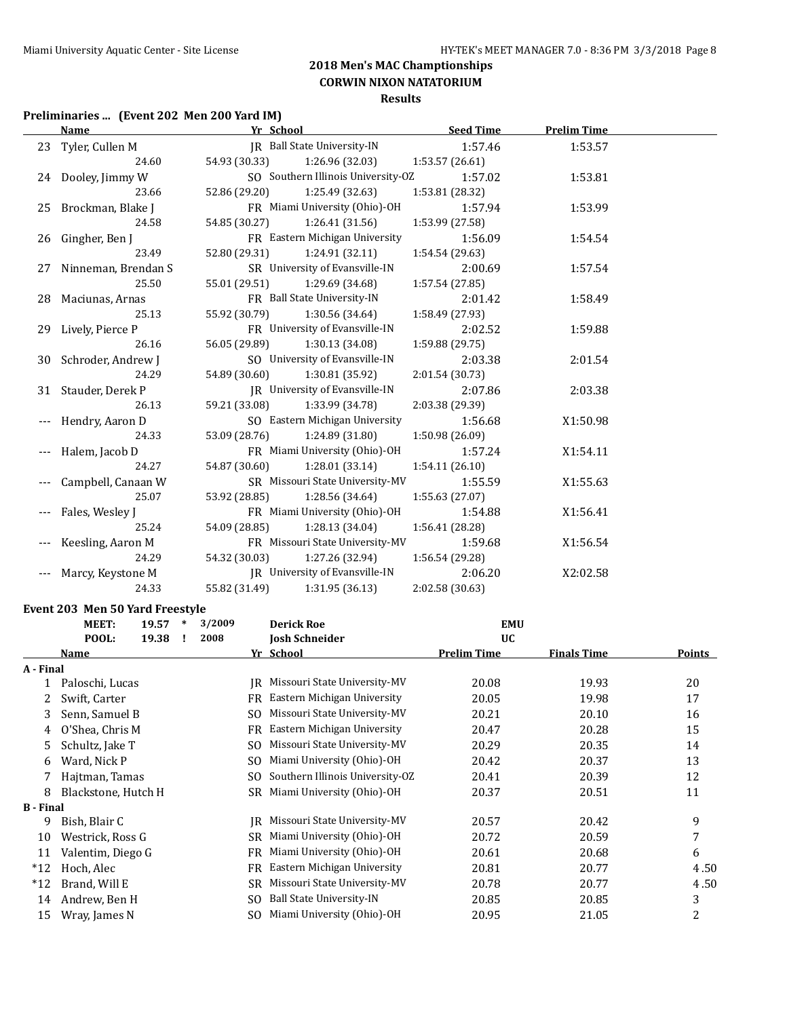## **Preliminaries ... (Event 202 Men 200 Yard IM)**

| <b>Name</b> |                        | Yr School     |                                    | <b>Seed Time</b> | <b>Prelim Time</b> |  |
|-------------|------------------------|---------------|------------------------------------|------------------|--------------------|--|
|             | 23 Tyler, Cullen M     |               | JR Ball State University-IN        | 1:57.46          | 1:53.57            |  |
|             | 24.60                  | 54.93 (30.33) | 1:26.96 (32.03)                    | 1:53.57 (26.61)  |                    |  |
|             | 24 Dooley, Jimmy W     |               | SO Southern Illinois University-OZ | 1:57.02          | 1:53.81            |  |
|             | 23.66                  | 52.86 (29.20) | 1:25.49 (32.63)                    | 1:53.81 (28.32)  |                    |  |
|             | 25 Brockman, Blake J   |               | FR Miami University (Ohio)-OH      | 1:57.94          | 1:53.99            |  |
|             | 24.58                  | 54.85 (30.27) | 1:26.41(31.56)                     | 1:53.99 (27.58)  |                    |  |
|             | 26 Gingher, Ben J      |               | FR Eastern Michigan University     | 1:56.09          | 1:54.54            |  |
|             | 23.49                  | 52.80 (29.31) | 1:24.91 (32.11)                    | 1:54.54 (29.63)  |                    |  |
|             | 27 Ninneman, Brendan S |               | SR University of Evansville-IN     | 2:00.69          | 1:57.54            |  |
|             | 25.50                  | 55.01 (29.51) | 1:29.69 (34.68)                    | 1:57.54 (27.85)  |                    |  |
|             | 28 Maciunas, Arnas     |               | FR Ball State University-IN        | 2:01.42          | 1:58.49            |  |
|             | 25.13                  | 55.92 (30.79) | 1:30.56 (34.64)                    | 1:58.49 (27.93)  |                    |  |
|             | 29 Lively, Pierce P    |               | FR University of Evansville-IN     | 2:02.52          | 1:59.88            |  |
|             | 26.16                  | 56.05 (29.89) | 1:30.13(34.08)                     | 1:59.88 (29.75)  |                    |  |
|             | 30 Schroder, Andrew J  |               | SO University of Evansville-IN     | 2:03.38          | 2:01.54            |  |
|             | 24.29                  |               | 54.89 (30.60) 1:30.81 (35.92)      | 2:01.54 (30.73)  |                    |  |
|             | 31 Stauder, Derek P    |               | JR University of Evansville-IN     | 2:07.86          | 2:03.38            |  |
|             | 26.13                  | 59.21 (33.08) | 1:33.99 (34.78)                    | 2:03.38 (29.39)  |                    |  |
|             | Hendry, Aaron D        |               | SO Eastern Michigan University     | 1:56.68          | X1:50.98           |  |
|             | 24.33                  | 53.09 (28.76) | 1:24.89(31.80)                     | 1:50.98 (26.09)  |                    |  |
|             | Halem, Jacob D         |               | FR Miami University (Ohio)-OH      | 1:57.24          | X1:54.11           |  |
|             | 24.27                  | 54.87 (30.60) | 1:28.01(33.14)                     | 1:54.11 (26.10)  |                    |  |
|             | Campbell, Canaan W     |               | SR Missouri State University-MV    | 1:55.59          | X1:55.63           |  |
|             | 25.07                  | 53.92 (28.85) | 1:28.56 (34.64)                    | 1:55.63 (27.07)  |                    |  |
|             | Fales, Wesley J        |               | FR Miami University (Ohio)-OH      | 1:54.88          | X1:56.41           |  |
|             | 25.24                  | 54.09 (28.85) | 1:28.13 (34.04)                    | 1:56.41 (28.28)  |                    |  |
|             | Keesling, Aaron M      |               | FR Missouri State University-MV    | 1:59.68          | X1:56.54           |  |
|             | 24.29                  | 54.32 (30.03) | 1:27.26 (32.94)                    | 1:56.54 (29.28)  |                    |  |
|             | Marcy, Keystone M      |               | JR University of Evansville-IN     | 2:06.20          | X2:02.58           |  |
|             | 24.33                  | 55.82 (31.49) | 1:31.95 (36.13)                    | 2:02.58 (30.63)  |                    |  |

#### **Event 203 Men 50 Yard Freestyle**

| MEET:            | 19.57 |                                                                                                                                        | 3/2009 |                | <b>Derick Roe</b>               | <b>EMU</b>         |                    |               |  |                       |           |  |  |
|------------------|-------|----------------------------------------------------------------------------------------------------------------------------------------|--------|----------------|---------------------------------|--------------------|--------------------|---------------|--|-----------------------|-----------|--|--|
| POOL:            | 19.38 |                                                                                                                                        |        |                |                                 |                    |                    | 2008          |  | <b>Josh Schneider</b> | <b>UC</b> |  |  |
| Name             |       |                                                                                                                                        |        |                |                                 | <b>Prelim Time</b> | <b>Finals Time</b> | <b>Points</b> |  |                       |           |  |  |
| A - Final        |       |                                                                                                                                        |        |                |                                 |                    |                    |               |  |                       |           |  |  |
| $\mathbf{1}$     |       |                                                                                                                                        |        | IR             | Missouri State University-MV    | 20.08              | 19.93              | 20            |  |                       |           |  |  |
| Swift, Carter    |       |                                                                                                                                        |        | FR             | Eastern Michigan University     | 20.05              | 19.98              | 17            |  |                       |           |  |  |
|                  |       |                                                                                                                                        |        | SO             | Missouri State University-MV    | 20.21              | 20.10              | 16            |  |                       |           |  |  |
|                  |       |                                                                                                                                        |        | FR             | Eastern Michigan University     | 20.47              | 20.28              | 15            |  |                       |           |  |  |
| Schultz, Jake T  |       |                                                                                                                                        |        | SO.            | Missouri State University-MV    | 20.29              | 20.35              | 14            |  |                       |           |  |  |
| Ward, Nick P     |       |                                                                                                                                        |        | SO.            | Miami University (Ohio)-OH      | 20.42              | 20.37              | 13            |  |                       |           |  |  |
|                  |       |                                                                                                                                        |        | SO.            | Southern Illinois University-OZ | 20.41              | 20.39              | 12            |  |                       |           |  |  |
|                  |       |                                                                                                                                        |        | SR             | Miami University (Ohio)-OH      | 20.37              | 20.51              | 11            |  |                       |           |  |  |
| <b>B</b> - Final |       |                                                                                                                                        |        |                |                                 |                    |                    |               |  |                       |           |  |  |
| Bish, Blair C    |       |                                                                                                                                        |        | IR             | Missouri State University-MV    | 20.57              | 20.42              | 9             |  |                       |           |  |  |
|                  |       |                                                                                                                                        |        | SR             | Miami University (Ohio)-OH      | 20.72              | 20.59              | 7             |  |                       |           |  |  |
|                  |       |                                                                                                                                        |        | FR             | Miami University (Ohio)-OH      | 20.61              | 20.68              | 6             |  |                       |           |  |  |
| Hoch, Alec       |       |                                                                                                                                        |        | FR             | Eastern Michigan University     | 20.81              | 20.77              | 4.50          |  |                       |           |  |  |
| Brand, Will E    |       |                                                                                                                                        |        | SR.            | Missouri State University-MV    | 20.78              | 20.77              | 4.50          |  |                       |           |  |  |
| Andrew, Ben H    |       |                                                                                                                                        |        | S <sub>O</sub> | <b>Ball State University-IN</b> | 20.85              | 20.85              | 3             |  |                       |           |  |  |
| Wray, James N    |       |                                                                                                                                        |        |                | Miami University (Ohio)-OH      | 20.95              | 21.05              | 2             |  |                       |           |  |  |
|                  |       | Paloschi, Lucas<br>Senn, Samuel B<br>O'Shea, Chris M<br>Hajtman, Tamas<br>Blackstone, Hutch H<br>Westrick, Ross G<br>Valentim, Diego G | $\ast$ |                |                                 | Yr School<br>SO.   |                    |               |  |                       |           |  |  |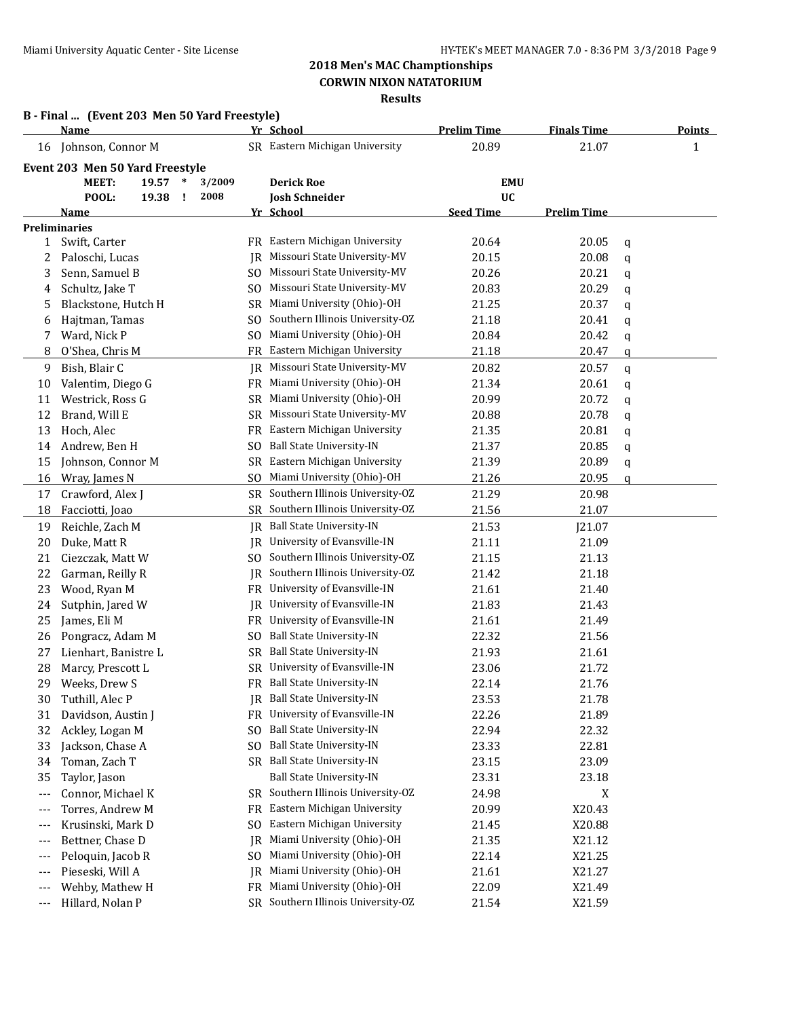|              | B - Final  (Event 203 Men 50 Yard Freestyle)<br><b>Name</b> |           | Yr School                          | <b>Prelim Time</b> | <b>Finals Time</b> | <b>Points</b> |
|--------------|-------------------------------------------------------------|-----------|------------------------------------|--------------------|--------------------|---------------|
|              |                                                             |           | SR Eastern Michigan University     | 20.89              | 21.07              |               |
| 16           | Johnson, Connor M                                           |           |                                    |                    |                    | 1             |
|              | Event 203 Men 50 Yard Freestyle                             |           |                                    |                    |                    |               |
|              | <b>MEET:</b><br>19.57<br>$\ast$                             | 3/2009    | <b>Derick Roe</b>                  | <b>EMU</b>         |                    |               |
|              | POOL:<br>19.38<br>÷                                         | 2008      | <b>Josh Schneider</b>              | <b>UC</b>          |                    |               |
|              | Name                                                        |           | Yr School                          | <b>Seed Time</b>   | <b>Prelim Time</b> |               |
|              | <b>Preliminaries</b>                                        |           |                                    |                    |                    |               |
| $\mathbf{1}$ | Swift, Carter                                               |           | FR Eastern Michigan University     | 20.64              | 20.05              | q             |
| 2            | Paloschi, Lucas                                             | IR        | Missouri State University-MV       | 20.15              | 20.08              | q             |
| 3            | Senn, Samuel B                                              | SO.       | Missouri State University-MV       | 20.26              | 20.21              | q             |
| 4            | Schultz, Jake T                                             | SO.       | Missouri State University-MV       | 20.83              | 20.29              | q             |
| 5            | Blackstone, Hutch H                                         | SR.       | Miami University (Ohio)-OH         | 21.25              | 20.37              | q             |
| 6            | Hajtman, Tamas                                              | SO.       | Southern Illinois University-OZ    | 21.18              | 20.41              | q             |
| 7            | Ward, Nick P                                                | SO.       | Miami University (Ohio)-OH         | 20.84              | 20.42              | q             |
| 8            | O'Shea, Chris M                                             | FR        | Eastern Michigan University        | 21.18              | 20.47              | q             |
| 9            | Bish, Blair C                                               | IR        | Missouri State University-MV       | 20.82              | 20.57              | q             |
| 10           | Valentim, Diego G                                           | FR.       | Miami University (Ohio)-OH         | 21.34              | 20.61              | q             |
| 11           | Westrick, Ross G                                            | SR.       | Miami University (Ohio)-OH         | 20.99              | 20.72              | q             |
| 12           | Brand, Will E                                               | SR        | Missouri State University-MV       | 20.88              | 20.78              | q             |
| 13           | Hoch, Alec                                                  | FR.       | Eastern Michigan University        | 21.35              | 20.81              | q             |
| 14           | Andrew, Ben H                                               | SO.       | <b>Ball State University-IN</b>    | 21.37              | 20.85              | q             |
| 15           | Johnson, Connor M                                           | SR        | Eastern Michigan University        | 21.39              | 20.89              | q             |
| 16           | Wray, James N                                               | SO.       | Miami University (Ohio)-OH         | 21.26              | 20.95              | a             |
| 17           | Crawford, Alex J                                            |           | SR Southern Illinois University-OZ | 21.29              | 20.98              |               |
| 18           | Facciotti, Joao                                             | SR        | Southern Illinois University-OZ    | 21.56              | 21.07              |               |
| 19           | Reichle, Zach M                                             |           | JR Ball State University-IN        | 21.53              | J21.07             |               |
| 20           | Duke, Matt R                                                | IR        | University of Evansville-IN        | 21.11              | 21.09              |               |
| 21           | Ciezczak, Matt W                                            | SO.       | Southern Illinois University-OZ    | 21.15              | 21.13              |               |
| 22           | Garman, Reilly R                                            | IR        | Southern Illinois University-OZ    | 21.42              | 21.18              |               |
| 23           | Wood, Ryan M                                                | FR.       | University of Evansville-IN        | 21.61              | 21.40              |               |
| 24           | Sutphin, Jared W                                            | IR        | University of Evansville-IN        | 21.83              | 21.43              |               |
| 25           | James, Eli M                                                | FR.       | University of Evansville-IN        | 21.61              | 21.49              |               |
| 26           | Pongracz, Adam M                                            | SO.       | <b>Ball State University-IN</b>    | 22.32              | 21.56              |               |
| 27           | Lienhart, Banistre L                                        | SR        | <b>Ball State University-IN</b>    | 21.93              | 21.61              |               |
| 28           | Marcy, Prescott L                                           |           | SR University of Evansville-IN     | 23.06              | 21.72              |               |
|              | 29 Weeks, Drew S                                            |           | FR Ball State University-IN        | 22.14              | 21.76              |               |
| 30           | Tuthill, Alec P                                             |           | JR Ball State University-IN        | 23.53              | 21.78              |               |
| 31           | Davidson, Austin J                                          | FR        | University of Evansville-IN        | 22.26              | 21.89              |               |
| 32           | Ackley, Logan M                                             | SO.       | Ball State University-IN           | 22.94              | 22.32              |               |
| 33           | Jackson, Chase A                                            | SO.       | Ball State University-IN           | 23.33              | 22.81              |               |
| 34           | Toman, Zach T                                               |           | SR Ball State University-IN        | 23.15              | 23.09              |               |
| 35           | Taylor, Jason                                               |           | <b>Ball State University-IN</b>    | 23.31              | 23.18              |               |
|              | Connor, Michael K                                           |           | SR Southern Illinois University-OZ | 24.98              | X                  |               |
| ---          | Torres, Andrew M                                            | FR.       | Eastern Michigan University        | 20.99              | X20.43             |               |
| ---          | Krusinski, Mark D                                           | SO.       | Eastern Michigan University        | 21.45              | X20.88             |               |
| ---          |                                                             | IR        | Miami University (Ohio)-OH         |                    |                    |               |
| ---          | Bettner, Chase D                                            |           | Miami University (Ohio)-OH         | 21.35              | X21.12             |               |
| ---          | Peloquin, Jacob R                                           | SO.       | Miami University (Ohio)-OH         | 22.14              | X21.25             |               |
| ---          | Pieseski, Will A                                            | IR        | Miami University (Ohio)-OH         | 21.61              | X21.27             |               |
| ---          | Wehby, Mathew H                                             | <b>FR</b> |                                    | 22.09              | X21.49             |               |
| ---          | Hillard, Nolan P                                            |           | SR Southern Illinois University-OZ | 21.54              | X21.59             |               |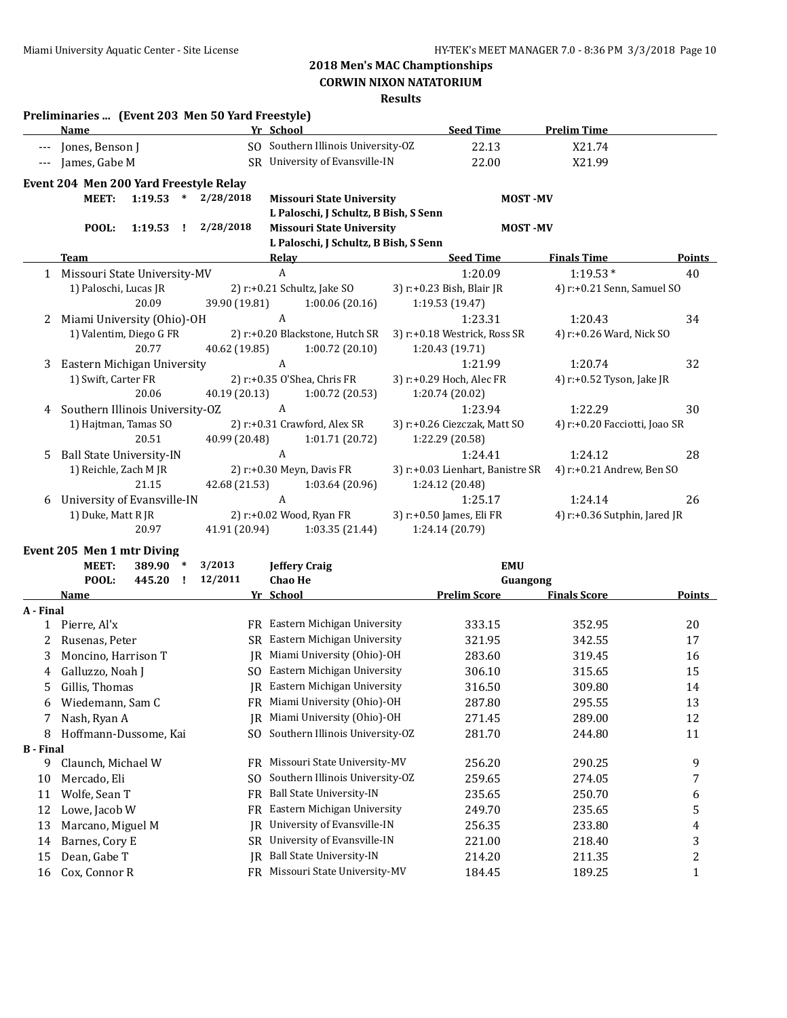**CORWIN NIXON NATATORIUM**

|                  | Preliminaries  (Event 203 Men 50 Yard Freestyle)<br>Name       |               | Yr School                             | <b>Seed Time</b>                    | <b>Prelim Time</b>            |               |
|------------------|----------------------------------------------------------------|---------------|---------------------------------------|-------------------------------------|-------------------------------|---------------|
|                  | Jones, Benson J                                                |               | SO Southern Illinois University-OZ    | 22.13                               | X21.74                        |               |
|                  |                                                                |               | SR University of Evansville-IN        |                                     |                               |               |
| $---$            | James, Gabe M                                                  |               |                                       | 22.00                               | X21.99                        |               |
|                  | Event 204 Men 200 Yard Freestyle Relay                         |               |                                       |                                     |                               |               |
|                  | $1:19.53$ *<br><b>MEET:</b>                                    | 2/28/2018     | <b>Missouri State University</b>      | <b>MOST-MV</b>                      |                               |               |
|                  |                                                                |               | L Paloschi, J Schultz, B Bish, S Senn |                                     |                               |               |
|                  | POOL:<br>1:19.53<br>- 1                                        | 2/28/2018     | <b>Missouri State University</b>      | <b>MOST-MV</b>                      |                               |               |
|                  |                                                                |               | L Paloschi, J Schultz, B Bish, S Senn |                                     |                               |               |
|                  | <b>Team</b>                                                    |               | <b>Relay</b>                          | <b>Seed Time</b>                    | <b>Finals Time</b>            | Points        |
| $\mathbf{1}$     | Missouri State University-MV                                   |               | $\boldsymbol{A}$                      | 1:20.09                             | $1:19.53*$                    | 40            |
|                  | 1) Paloschi, Lucas JR                                          |               | 2) r:+0.21 Schultz, Jake SO           | 3) r:+0.23 Bish, Blair JR           | 4) r:+0.21 Senn, Samuel SO    |               |
|                  | 20.09                                                          | 39.90 (19.81) | 1:00.06(20.16)                        | 1:19.53 (19.47)                     |                               |               |
| 2                | Miami University (Ohio)-OH                                     |               | $\boldsymbol{A}$                      | 1:23.31                             | 1:20.43                       | 34            |
|                  | 1) Valentim, Diego G FR<br>20.77                               |               | 2) r:+0.20 Blackstone, Hutch SR       | 3) r:+0.18 Westrick, Ross SR        | 4) r:+0.26 Ward, Nick SO      |               |
|                  |                                                                | 40.62 (19.85) | 1:00.72(20.10)<br>A                   | 1:20.43 (19.71)                     | 1:20.74                       |               |
| 3                | Eastern Michigan University<br>1) Swift, Carter FR             |               | 2) r:+0.35 O'Shea, Chris FR           | 1:21.99<br>3) r:+0.29 Hoch, Alec FR | 4) r:+0.52 Tyson, Jake JR     | 32            |
|                  | 20.06                                                          | 40.19 (20.13) | 1:00.72(20.53)                        | 1:20.74 (20.02)                     |                               |               |
| 4                | Southern Illinois University-OZ                                |               | $\boldsymbol{A}$                      | 1:23.94                             | 1:22.29                       | 30            |
|                  | 1) Hajtman, Tamas SO                                           |               | 2) r:+0.31 Crawford, Alex SR          | 3) r:+0.26 Ciezczak, Matt SO        | 4) r:+0.20 Facciotti, Joao SR |               |
|                  | 20.51                                                          | 40.99 (20.48) | 1:01.71(20.72)                        | 1:22.29 (20.58)                     |                               |               |
| 5.               | <b>Ball State University-IN</b>                                |               | A                                     | 1:24.41                             | 1:24.12                       | 28            |
|                  | 1) Reichle, Zach M JR                                          |               | 2) r:+0.30 Meyn, Davis FR             | 3) r:+0.03 Lienhart, Banistre SR    | 4) r:+0.21 Andrew, Ben SO     |               |
|                  | 21.15                                                          | 42.68 (21.53) | 1:03.64(20.96)                        | 1:24.12 (20.48)                     |                               |               |
| 6                | University of Evansville-IN                                    |               | A                                     | 1:25.17                             | 1:24.14                       | 26            |
|                  | 1) Duke, Matt R JR                                             |               | 2) r:+0.02 Wood, Ryan FR              | 3) r:+0.50 James, Eli FR            | 4) r:+0.36 Sutphin, Jared JR  |               |
|                  | 20.97                                                          | 41.91 (20.94) | 1:03.35(21.44)                        | 1:24.14 (20.79)                     |                               |               |
|                  |                                                                |               |                                       |                                     |                               |               |
|                  | Event 205 Men 1 mtr Diving<br><b>MEET:</b><br>389.90<br>$\ast$ | 3/2013        | <b>Jeffery Craig</b>                  | <b>EMU</b>                          |                               |               |
|                  | POOL:<br>445.20<br>$\mathbf{I}$                                | 12/2011       | <b>Chao He</b>                        | Guangong                            |                               |               |
|                  | <b>Name</b>                                                    |               | Yr School                             | <b>Prelim Score</b>                 | <b>Finals Score</b>           | <b>Points</b> |
| A - Final        |                                                                |               |                                       |                                     |                               |               |
|                  | 1 Pierre, Al'x                                                 |               | FR Eastern Michigan University        | 333.15                              | 352.95                        | 20            |
| 2                | Rusenas, Peter                                                 |               | SR Eastern Michigan University        | 321.95                              | 342.55                        | 17            |
| 3                | Moncino, Harrison T                                            |               | JR Miami University (Ohio)-OH         | 283.60                              | 319.45                        | 16            |
| 4                | Galluzzo, Noah J                                               |               | SO Eastern Michigan University        | 306.10                              | 315.65                        | 15            |
|                  | 5 Gillis, Thomas                                               |               | JR Eastern Michigan University        | 316.50                              | 309.80                        | 14            |
| 6                | Wiedemann, Sam C                                               |               | FR Miami University (Ohio)-OH         | 287.80                              | 295.55                        | 13            |
| 7                | Nash, Ryan A                                                   | IR            | Miami University (Ohio)-OH            | 271.45                              | 289.00                        | 12            |
| 8                | Hoffmann-Dussome, Kai                                          | SO.           | Southern Illinois University-OZ       | 281.70                              | 244.80                        | 11            |
| <b>B</b> - Final |                                                                |               |                                       |                                     |                               |               |
| 9                | Claunch, Michael W                                             | FR.           | Missouri State University-MV          | 256.20                              | 290.25                        | 9             |
| 10               | Mercado, Eli                                                   | SO.           | Southern Illinois University-OZ       | 259.65                              | 274.05                        | 7             |
| 11               | Wolfe, Sean T                                                  | <b>FR</b>     | <b>Ball State University-IN</b>       | 235.65                              | 250.70                        | 6             |
| 12               | Lowe, Jacob W                                                  | FR            | Eastern Michigan University           | 249.70                              | 235.65                        | 5             |
| 13               | Marcano, Miguel M                                              | IR            | University of Evansville-IN           | 256.35                              | 233.80                        | 4             |
| 14               | Barnes, Cory E                                                 | SR            | University of Evansville-IN           | 221.00                              | 218.40                        | 3             |
| 15               | Dean, Gabe T                                                   | IR            | <b>Ball State University-IN</b>       | 214.20                              | 211.35                        | 2             |
| 16               | Cox, Connor R                                                  |               | FR Missouri State University-MV       | 184.45                              | 189.25                        | $\mathbf{1}$  |
|                  |                                                                |               |                                       |                                     |                               |               |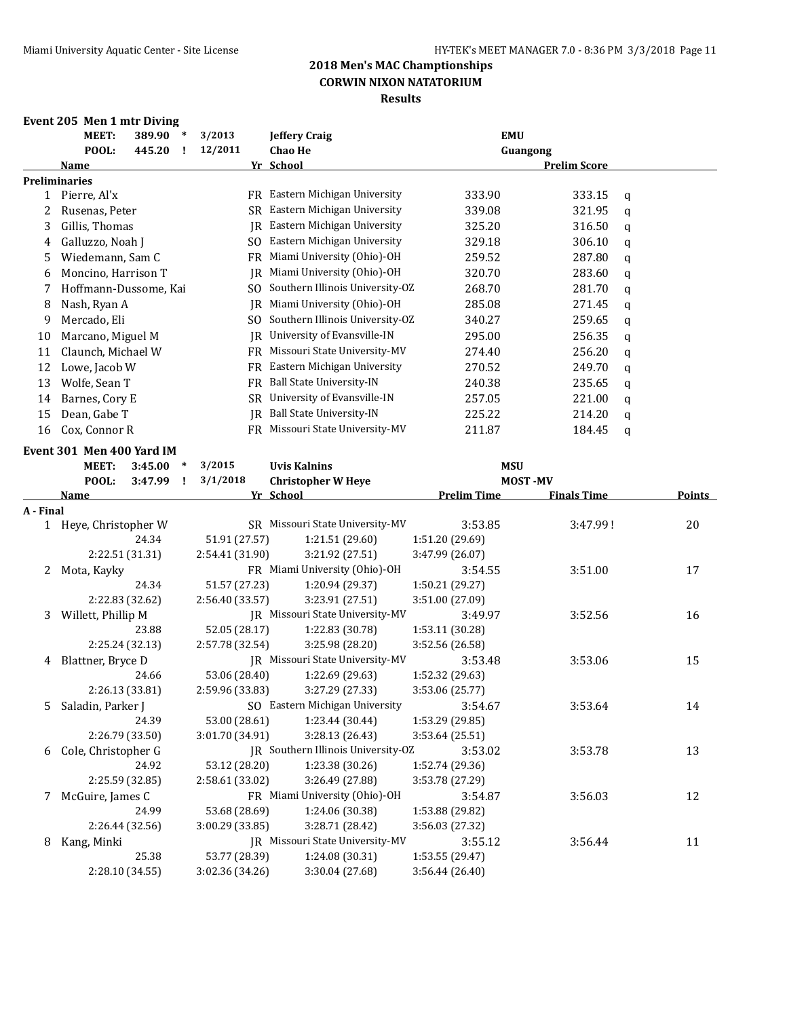### **Event 205 Men 1 mtr Diving**

|    | MEET:                 | 389.90 | $\ast$ | 3/2013  |     | <b>Jeffery Craig</b>            | <b>EMU</b> |                     |   |
|----|-----------------------|--------|--------|---------|-----|---------------------------------|------------|---------------------|---|
|    | POOL:                 | 445.20 |        | 12/2011 |     | <b>Chao He</b>                  | Guangong   |                     |   |
|    | Name                  |        |        |         |     | Yr School                       |            | <b>Prelim Score</b> |   |
|    | <b>Preliminaries</b>  |        |        |         |     |                                 |            |                     |   |
|    | Pierre, Al'x          |        |        |         | FR  | Eastern Michigan University     | 333.90     | 333.15              | a |
|    | Rusenas, Peter        |        |        |         | SR. | Eastern Michigan University     | 339.08     | 321.95              | a |
| 3  | Gillis, Thomas        |        |        |         | IR  | Eastern Michigan University     | 325.20     | 316.50              | a |
| 4  | Galluzzo, Noah J      |        |        |         | SO. | Eastern Michigan University     | 329.18     | 306.10              | q |
| 5. | Wiedemann, Sam C      |        |        |         | FR  | Miami University (Ohio)-OH      | 259.52     | 287.80              | a |
| 6  | Moncino, Harrison T   |        |        |         | IR  | Miami University (Ohio)-OH      | 320.70     | 283.60              | q |
|    | Hoffmann-Dussome, Kai |        |        |         | SO. | Southern Illinois University-OZ | 268.70     | 281.70              | a |
| 8  | Nash, Ryan A          |        |        |         | IR  | Miami University (Ohio)-OH      | 285.08     | 271.45              | q |
| 9  | Mercado, Eli          |        |        |         | SO. | Southern Illinois University-OZ | 340.27     | 259.65              | a |
| 10 | Marcano, Miguel M     |        |        |         | IR  | University of Evansville-IN     | 295.00     | 256.35              | q |
| 11 | Claunch, Michael W    |        |        |         | FR  | Missouri State University-MV    | 274.40     | 256.20              | a |
| 12 | Lowe, Jacob W         |        |        |         | FR  | Eastern Michigan University     | 270.52     | 249.70              | a |
| 13 | Wolfe, Sean T         |        |        |         | FR. | <b>Ball State University-IN</b> | 240.38     | 235.65              | a |
| 14 | Barnes, Cory E        |        |        |         | SR. | University of Evansville-IN     | 257.05     | 221.00              | a |
| 15 | Dean, Gabe T          |        |        |         | IR  | <b>Ball State University-IN</b> | 225.22     | 214.20              | a |
| 16 | Cox, Connor R         |        |        |         | FR  | Missouri State University-MV    | 211.87     | 184.45              | a |

#### **Event 301 Men 400 Yard IM**

|           | елент эрт мен тоо тага нд<br><b>MEET:</b> | 3:45.00         | $\ast$       | 3/2015          | <b>Uvis Kalnins</b>                |                    | <b>MSU</b>     |                    |        |
|-----------|-------------------------------------------|-----------------|--------------|-----------------|------------------------------------|--------------------|----------------|--------------------|--------|
|           | POOL:                                     | 3:47.99         | $\mathbf{I}$ | 3/1/2018        | <b>Christopher W Heye</b>          |                    | <b>MOST-MV</b> |                    |        |
|           | <b>Name</b>                               |                 |              |                 | Yr School                          | <b>Prelim Time</b> |                | <b>Finals Time</b> | Points |
| A - Final |                                           |                 |              |                 |                                    |                    |                |                    |        |
|           | 1 Heye, Christopher W                     |                 |              |                 | SR Missouri State University-MV    | 3:53.85            |                | 3:47.99!           | 20     |
|           |                                           | 24.34           |              | 51.91 (27.57)   | 1:21.51(29.60)                     | 1:51.20 (29.69)    |                |                    |        |
|           | 2:22.51 (31.31)                           |                 |              | 2:54.41(31.90)  | 3:21.92 (27.51)                    | 3:47.99 (26.07)    |                |                    |        |
| 2         | Mota, Kayky                               |                 |              |                 | FR Miami University (Ohio)-OH      | 3:54.55            |                | 3:51.00            | 17     |
|           |                                           | 24.34           |              | 51.57 (27.23)   | 1:20.94 (29.37)                    | 1:50.21(29.27)     |                |                    |        |
|           |                                           | 2:22.83 (32.62) |              | 2:56.40(33.57)  | 3:23.91 (27.51)                    | 3:51.00 (27.09)    |                |                    |        |
| 3         | Willett, Phillip M                        |                 |              |                 | JR Missouri State University-MV    | 3:49.97            |                | 3:52.56            | 16     |
|           |                                           | 23.88           |              | 52.05 (28.17)   | 1:22.83 (30.78)                    | 1:53.11 (30.28)    |                |                    |        |
|           | 2:25.24 (32.13)                           |                 |              | 2:57.78 (32.54) | 3:25.98 (28.20)                    | 3:52.56 (26.58)    |                |                    |        |
| 4         | Blattner, Bryce D                         |                 |              |                 | IR Missouri State University-MV    | 3:53.48            |                | 3:53.06            | 15     |
|           |                                           | 24.66           |              | 53.06 (28.40)   | 1:22.69 (29.63)                    | 1:52.32 (29.63)    |                |                    |        |
|           | 2:26.13 (33.81)                           |                 |              | 2:59.96 (33.83) | 3:27.29 (27.33)                    | 3:53.06 (25.77)    |                |                    |        |
| 5.        | Saladin, Parker J                         |                 |              |                 | SO Eastern Michigan University     | 3:54.67            |                | 3:53.64            | 14     |
|           |                                           | 24.39           |              | 53.00 (28.61)   | 1:23.44 (30.44)                    | 1:53.29 (29.85)    |                |                    |        |
|           | 2:26.79 (33.50)                           |                 |              | 3:01.70(34.91)  | 3:28.13 (26.43)                    | 3:53.64 (25.51)    |                |                    |        |
| 6         | Cole, Christopher G                       |                 |              |                 | IR Southern Illinois University-OZ | 3:53.02            |                | 3:53.78            | 13     |
|           |                                           | 24.92           |              | 53.12 (28.20)   | 1:23.38(30.26)                     | 1:52.74 (29.36)    |                |                    |        |
|           | 2:25.59 (32.85)                           |                 |              | 2:58.61(33.02)  | 3:26.49 (27.88)                    | 3:53.78 (27.29)    |                |                    |        |
| 7         | McGuire, James C                          |                 |              |                 | FR Miami University (Ohio)-OH      | 3:54.87            |                | 3:56.03            | 12     |
|           |                                           | 24.99           |              | 53.68 (28.69)   | 1:24.06 (30.38)                    | 1:53.88 (29.82)    |                |                    |        |
|           | 2:26.44 (32.56)                           |                 |              | 3:00.29(33.85)  | 3:28.71 (28.42)                    | 3:56.03 (27.32)    |                |                    |        |
| 8         | Kang, Minki                               |                 |              |                 | IR Missouri State University-MV    | 3:55.12            |                | 3:56.44            | 11     |
|           |                                           | 25.38           |              | 53.77 (28.39)   | 1:24.08 (30.31)                    | 1:53.55(29.47)     |                |                    |        |
|           | 2:28.10 (34.55)                           |                 |              | 3:02.36(34.26)  | 3:30.04 (27.68)                    | 3:56.44(26.40)     |                |                    |        |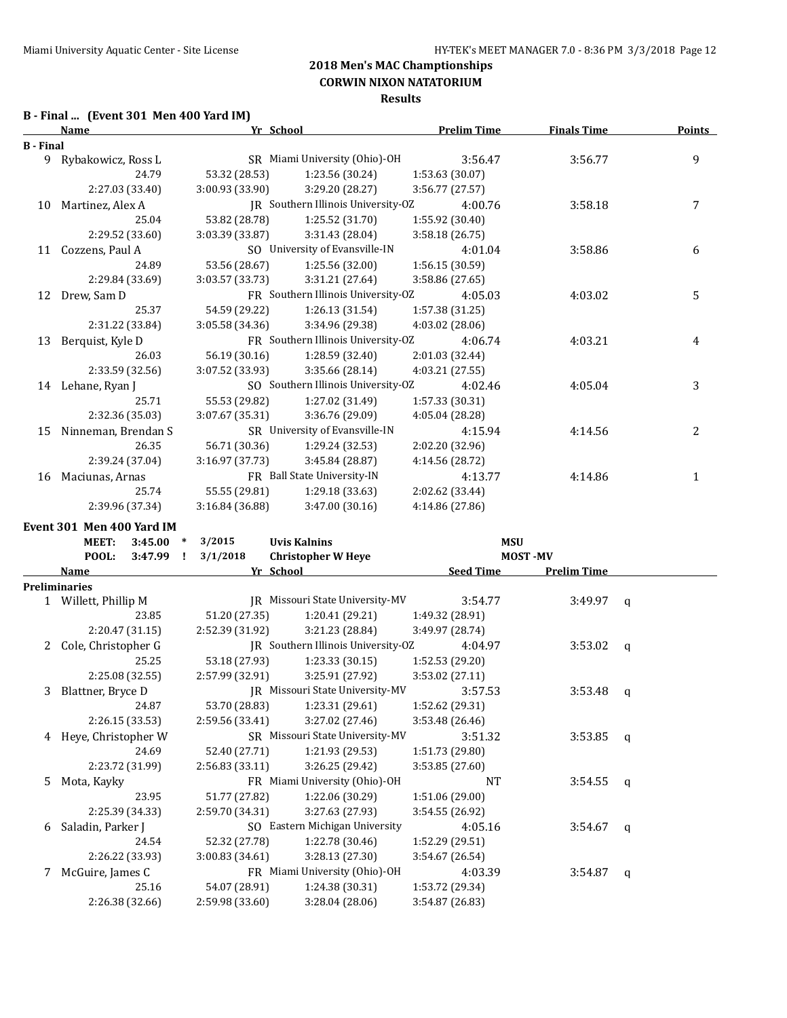**Results**

## **B - Final ... (Event 301 Men 400 Yard IM)**

|                  | Name                | Yr School       |                                    | <b>Prelim Time</b> | <b>Finals Time</b> | <b>Points</b> |
|------------------|---------------------|-----------------|------------------------------------|--------------------|--------------------|---------------|
| <b>B</b> - Final |                     |                 |                                    |                    |                    |               |
| 9                | Rybakowicz, Ross L  |                 | SR Miami University (Ohio)-OH      | 3:56.47            | 3:56.77            | 9             |
|                  | 24.79               | 53.32 (28.53)   | 1:23.56 (30.24)                    | 1:53.63 (30.07)    |                    |               |
|                  | 2:27.03 (33.40)     | 3:00.93 (33.90) | 3:29.20 (28.27)                    | 3:56.77 (27.57)    |                    |               |
| 10               | Martinez, Alex A    |                 | JR Southern Illinois University-OZ | 4:00.76            | 3:58.18            | 7             |
|                  | 25.04               | 53.82 (28.78)   | 1:25.52(31.70)                     | 1:55.92 (30.40)    |                    |               |
|                  | 2:29.52 (33.60)     | 3:03.39 (33.87) | 3:31.43 (28.04)                    | 3:58.18(26.75)     |                    |               |
| 11               | Cozzens, Paul A     |                 | SO University of Evansville-IN     | 4:01.04            | 3:58.86            | 6             |
|                  | 24.89               | 53.56 (28.67)   | 1:25.56 (32.00)                    | 1:56.15 (30.59)    |                    |               |
|                  | 2:29.84 (33.69)     | 3:03.57 (33.73) | 3:31.21 (27.64)                    | 3:58.86 (27.65)    |                    |               |
| 12               | Drew, Sam D         |                 | FR Southern Illinois University-OZ | 4:05.03            | 4:03.02            | 5             |
|                  | 25.37               | 54.59 (29.22)   | 1:26.13 (31.54)                    | 1:57.38 (31.25)    |                    |               |
|                  | 2:31.22 (33.84)     | 3:05.58 (34.36) | 3:34.96 (29.38)                    | $4:03.02$ (28.06)  |                    |               |
| 13               | Berquist, Kyle D    |                 | FR Southern Illinois University-OZ | 4:06.74            | 4:03.21            | 4             |
|                  | 26.03               | 56.19 (30.16)   | 1:28.59 (32.40)                    | 2:01.03 (32.44)    |                    |               |
|                  | 2:33.59 (32.56)     | 3:07.52 (33.93) | 3:35.66 (28.14)                    | 4:03.21 (27.55)    |                    |               |
| 14               | Lehane, Ryan J      |                 | SO Southern Illinois University-OZ | 4:02.46            | 4:05.04            | 3             |
|                  | 25.71               | 55.53 (29.82)   | 1:27.02 (31.49)                    | 1:57.33 (30.31)    |                    |               |
|                  | 2:32.36 (35.03)     | 3:07.67(35.31)  | 3:36.76 (29.09)                    | 4:05.04 (28.28)    |                    |               |
| 15               | Ninneman, Brendan S |                 | SR University of Evansville-IN     | 4:15.94            | 4:14.56            | 2             |
|                  | 26.35               | 56.71 (30.36)   | 1:29.24 (32.53)                    | 2:02.20 (32.96)    |                    |               |
|                  | 2:39.24 (37.04)     | 3:16.97 (37.73) | 3:45.84 (28.87)                    | 4:14.56 (28.72)    |                    |               |
| 16               | Maciunas, Arnas     |                 | FR Ball State University-IN        | 4:13.77            | 4:14.86            | 1             |
|                  | 25.74               | 55.55 (29.81)   | 1:29.18 (33.63)                    | 2:02.62 (33.44)    |                    |               |
|                  | 2:39.96 (37.34)     | 3:16.84 (36.88) | 3:47.00 (30.16)                    | 4:14.86 (27.86)    |                    |               |

**Event 301 Men 400 Yard IM**

|    | <b>MEET:</b>         | 3:45.00         | $\ast$ | 3/2015          | <b>Uvis Kalnins</b>                |                  | <b>MSU</b>         |              |
|----|----------------------|-----------------|--------|-----------------|------------------------------------|------------------|--------------------|--------------|
|    | POOL:                | 3:47.99         | - 11   | 3/1/2018        | <b>Christopher W Heye</b>          |                  | <b>MOST-MV</b>     |              |
|    | <b>Name</b>          |                 |        |                 | Yr School                          | <b>Seed Time</b> | <b>Prelim Time</b> |              |
|    | <b>Preliminaries</b> |                 |        |                 |                                    |                  |                    |              |
|    | 1 Willett, Phillip M |                 |        |                 | JR Missouri State University-MV    | 3:54.77          | $3:49.97$ q        |              |
|    |                      | 23.85           |        | 51.20 (27.35)   | 1:20.41(29.21)                     | 1:49.32 (28.91)  |                    |              |
|    |                      | 2:20.47(31.15)  |        | 2:52.39 (31.92) | 3:21.23 (28.84)                    | 3:49.97 (28.74)  |                    |              |
| 2  | Cole, Christopher G  |                 |        |                 | JR Southern Illinois University-OZ | 4:04.97          | 3:53.02            | q            |
|    |                      | 25.25           |        | 53.18 (27.93)   | 1:23.33(30.15)                     | 1:52.53 (29.20)  |                    |              |
|    |                      | 2:25.08 (32.55) |        | 2:57.99 (32.91) | 3:25.91 (27.92)                    | 3:53.02 (27.11)  |                    |              |
| 3  | Blattner, Bryce D    |                 |        |                 | JR Missouri State University-MV    | 3:57.53          | 3:53.48            | $\mathbf{q}$ |
|    |                      | 24.87           |        | 53.70 (28.83)   | 1:23.31(29.61)                     | 1:52.62 (29.31)  |                    |              |
|    |                      | 2:26.15 (33.53) |        | 2:59.56 (33.41) | 3:27.02(27.46)                     | 3:53.48(26.46)   |                    |              |
| 4  | Heye, Christopher W  |                 |        |                 | SR Missouri State University-MV    | 3:51.32          | 3:53.85            | q            |
|    |                      | 24.69           |        | 52.40 (27.71)   | 1:21.93(29.53)                     | 1:51.73 (29.80)  |                    |              |
|    |                      | 2:23.72 (31.99) |        | 2:56.83 (33.11) | 3:26.25(29.42)                     | 3:53.85 (27.60)  |                    |              |
| 5. | Mota, Kayky          |                 |        |                 | FR Miami University (Ohio)-OH      | <b>NT</b>        | 3:54.55            | q            |
|    |                      | 23.95           |        | 51.77 (27.82)   | 1:22.06 (30.29)                    | 1:51.06 (29.00)  |                    |              |
|    |                      | 2:25.39 (34.33) |        | 2:59.70 (34.31) | 3:27.63(27.93)                     | 3:54.55(26.92)   |                    |              |
| 6  | Saladin, Parker J    |                 |        |                 | SO Eastern Michigan University     | 4:05.16          | 3:54.67            | q            |
|    |                      | 24.54           |        | 52.32 (27.78)   | 1:22.78 (30.46)                    | 1:52.29 (29.51)  |                    |              |
|    |                      | 2:26.22 (33.93) |        | 3:00.83(34.61)  | 3:28.13(27.30)                     | 3:54.67(26.54)   |                    |              |
| 7  | McGuire, James C     |                 |        |                 | FR Miami University (Ohio)-OH      | 4:03.39          | 3:54.87            | q            |
|    |                      | 25.16           |        | 54.07 (28.91)   | 1:24.38(30.31)                     | 1:53.72 (29.34)  |                    |              |
|    |                      | 2:26.38 (32.66) |        | 2:59.98 (33.60) | 3:28.04(28.06)                     | 3:54.87 (26.83)  |                    |              |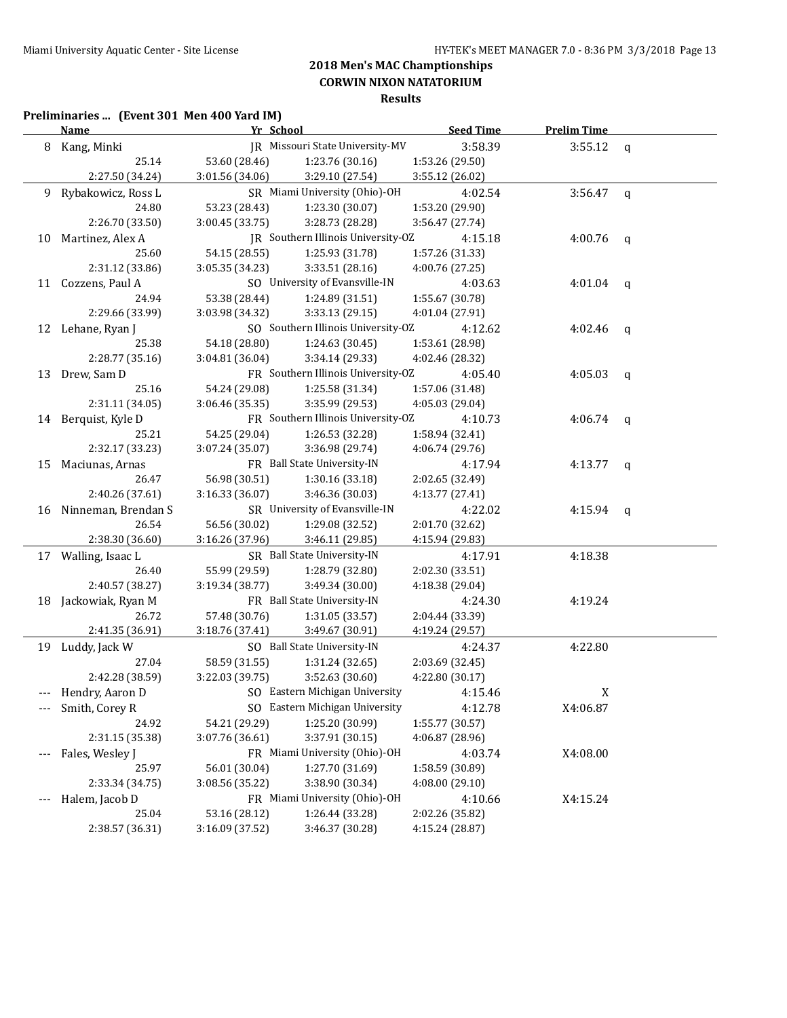**Results**

## **Preliminaries ... (Event 301 Men 400 Yard IM)**

|         | <b>Name</b>            | Yr School       |                                    | <b>Seed Time</b> | <b>Prelim Time</b> |              |
|---------|------------------------|-----------------|------------------------------------|------------------|--------------------|--------------|
|         | 8 Kang, Minki          |                 | JR Missouri State University-MV    | 3:58.39          | 3:55.12            | q            |
|         | 25.14                  | 53.60 (28.46)   | 1:23.76 (30.16)                    | 1:53.26 (29.50)  |                    |              |
|         | 2:27.50 (34.24)        | 3:01.56 (34.06) | 3:29.10 (27.54)                    | 3:55.12 (26.02)  |                    |              |
| 9.      | Rybakowicz, Ross L     |                 | SR Miami University (Ohio)-OH      | 4:02.54          | 3:56.47            | $\mathbf q$  |
|         | 24.80                  | 53.23 (28.43)   | 1:23.30 (30.07)                    | 1:53.20 (29.90)  |                    |              |
|         | 2:26.70 (33.50)        | 3:00.45 (33.75) | 3:28.73 (28.28)                    | 3:56.47 (27.74)  |                    |              |
| 10      | Martinez, Alex A       |                 | JR Southern Illinois University-OZ | 4:15.18          | 4:00.76            | q            |
|         | 25.60                  | 54.15 (28.55)   | 1:25.93 (31.78)                    | 1:57.26 (31.33)  |                    |              |
|         | 2:31.12 (33.86)        | 3:05.35(34.23)  | 3:33.51 (28.16)                    | 4:00.76 (27.25)  |                    |              |
| 11      | Cozzens, Paul A        |                 | SO University of Evansville-IN     | 4:03.63          | 4:01.04            | q            |
|         | 24.94                  | 53.38 (28.44)   | 1:24.89 (31.51)                    | 1:55.67 (30.78)  |                    |              |
|         | 2:29.66 (33.99)        | 3:03.98 (34.32) | 3:33.13(29.15)                     | 4:01.04 (27.91)  |                    |              |
|         | 12 Lehane, Ryan J      |                 | SO Southern Illinois University-OZ | 4:12.62          | 4:02.46            | q            |
|         | 25.38                  | 54.18 (28.80)   | 1:24.63 (30.45)                    | 1:53.61 (28.98)  |                    |              |
|         | 2:28.77 (35.16)        | 3:04.81 (36.04) | 3:34.14 (29.33)                    | 4:02.46 (28.32)  |                    |              |
|         | 13 Drew, Sam D         |                 | FR Southern Illinois University-OZ | 4:05.40          | 4:05.03            | q            |
|         | 25.16                  | 54.24 (29.08)   | 1:25.58 (31.34)                    | 1:57.06 (31.48)  |                    |              |
|         | 2:31.11 (34.05)        | 3:06.46 (35.35) | 3:35.99 (29.53)                    | 4:05.03 (29.04)  |                    |              |
|         | 14 Berquist, Kyle D    |                 | FR Southern Illinois University-OZ | 4:10.73          | 4:06.74            | q            |
|         | 25.21                  | 54.25 (29.04)   | 1:26.53 (32.28)                    | 1:58.94 (32.41)  |                    |              |
|         | 2:32.17 (33.23)        | 3:07.24 (35.07) | 3:36.98 (29.74)                    | 4:06.74 (29.76)  |                    |              |
| 15      | Maciunas, Arnas        |                 | FR Ball State University-IN        | 4:17.94          | 4:13.77            | q            |
|         | 26.47                  | 56.98 (30.51)   | 1:30.16 (33.18)                    | 2:02.65 (32.49)  |                    |              |
|         | 2:40.26 (37.61)        | 3:16.33 (36.07) | 3:46.36 (30.03)                    | 4:13.77 (27.41)  |                    |              |
|         | 16 Ninneman, Brendan S |                 | SR University of Evansville-IN     | 4:22.02          | 4:15.94            | $\mathbf{q}$ |
|         | 26.54                  | 56.56 (30.02)   | 1:29.08 (32.52)                    | 2:01.70 (32.62)  |                    |              |
|         | 2:38.30 (36.60)        | 3:16.26 (37.96) | 3:46.11 (29.85)                    | 4:15.94 (29.83)  |                    |              |
|         | 17 Walling, Isaac L    |                 | SR Ball State University-IN        | 4:17.91          | 4:18.38            |              |
|         | 26.40                  | 55.99 (29.59)   | 1:28.79 (32.80)                    | 2:02.30 (33.51)  |                    |              |
|         | 2:40.57 (38.27)        | 3:19.34 (38.77) | 3:49.34 (30.00)                    | 4:18.38 (29.04)  |                    |              |
| 18      | Jackowiak, Ryan M      |                 | FR Ball State University-IN        | 4:24.30          | 4:19.24            |              |
|         | 26.72                  | 57.48 (30.76)   | 1:31.05 (33.57)                    | 2:04.44 (33.39)  |                    |              |
|         | 2:41.35 (36.91)        | 3:18.76 (37.41) | 3:49.67 (30.91)                    | 4:19.24 (29.57)  |                    |              |
|         | 19 Luddy, Jack W       |                 | SO Ball State University-IN        | 4:24.37          | 4:22.80            |              |
|         | 27.04                  | 58.59 (31.55)   | 1:31.24 (32.65)                    | 2:03.69 (32.45)  |                    |              |
|         | 2:42.28 (38.59)        | 3:22.03 (39.75) | 3:52.63 (30.60)                    | 4:22.80 (30.17)  |                    |              |
|         | Hendry, Aaron D        |                 | SO Eastern Michigan University     | 4:15.46          | X                  |              |
| $- - -$ | Smith, Corey R         |                 | SO Eastern Michigan University     | 4:12.78          | X4:06.87           |              |
|         | 24.92                  | 54.21 (29.29)   | 1:25.20 (30.99)                    | 1:55.77 (30.57)  |                    |              |
|         | 2:31.15 (35.38)        | 3:07.76 (36.61) | 3:37.91 (30.15)                    | 4:06.87 (28.96)  |                    |              |
|         | Fales, Wesley J        |                 | FR Miami University (Ohio)-OH      | 4:03.74          | X4:08.00           |              |
|         | 25.97                  | 56.01 (30.04)   | 1:27.70 (31.69)                    | 1:58.59 (30.89)  |                    |              |
|         | 2:33.34 (34.75)        | 3:08.56 (35.22) | 3:38.90 (30.34)                    | 4:08.00 (29.10)  |                    |              |
|         | Halem, Jacob D         |                 | FR Miami University (Ohio)-OH      | 4:10.66          | X4:15.24           |              |
|         | 25.04                  | 53.16 (28.12)   | 1:26.44 (33.28)                    | 2:02.26 (35.82)  |                    |              |
|         | 2:38.57 (36.31)        | 3:16.09 (37.52) | 3:46.37 (30.28)                    | 4:15.24 (28.87)  |                    |              |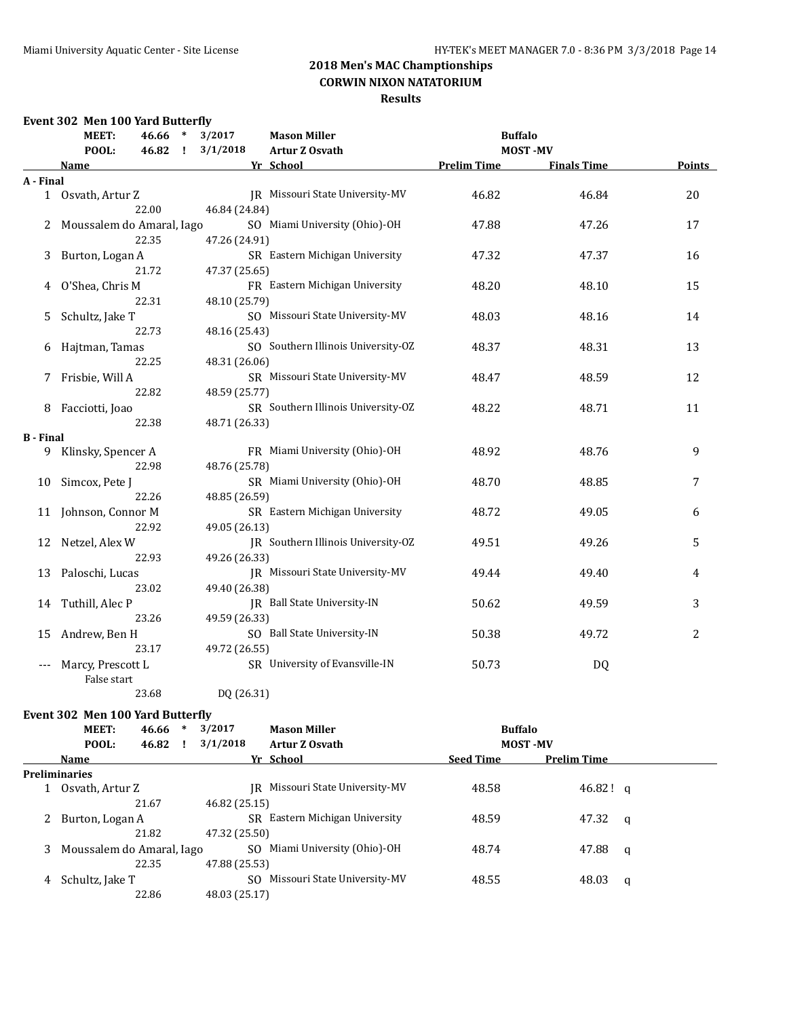### **Results**

|                  | Event 302 Men 100 Yard Butterfly |                          |                                    |                    |                    |                |
|------------------|----------------------------------|--------------------------|------------------------------------|--------------------|--------------------|----------------|
|                  | MEET:<br>46.66                   | 3/2017<br>$\ast$         | <b>Mason Miller</b>                | <b>Buffalo</b>     |                    |                |
|                  | POOL:<br>46.82                   | 3/1/2018<br>$\mathbf{I}$ | Artur Z Osvath                     |                    | <b>MOST-MV</b>     |                |
|                  | Name                             |                          | Yr School                          | <b>Prelim Time</b> | <b>Finals Time</b> | Points         |
| A - Final        |                                  |                          |                                    |                    |                    |                |
|                  | 1 Osvath, Artur Z                |                          | IR Missouri State University-MV    | 46.82              | 46.84              | 20             |
|                  | 22.00                            | 46.84 (24.84)            |                                    |                    |                    |                |
| 2                | Moussalem do Amaral, Iago        |                          | SO Miami University (Ohio)-OH      | 47.88              | 47.26              | 17             |
|                  | 22.35                            | 47.26 (24.91)            |                                    |                    |                    |                |
| 3                | Burton, Logan A                  |                          | SR Eastern Michigan University     | 47.32              | 47.37              | 16             |
|                  | 21.72                            | 47.37 (25.65)            |                                    |                    |                    |                |
| 4                | O'Shea, Chris M                  |                          | FR Eastern Michigan University     | 48.20              | 48.10              | 15             |
|                  | 22.31                            | 48.10 (25.79)            |                                    |                    |                    |                |
| 5                | Schultz, Jake T                  |                          | SO Missouri State University-MV    | 48.03              | 48.16              | 14             |
|                  | 22.73                            | 48.16 (25.43)            |                                    |                    |                    |                |
| 6                | Hajtman, Tamas                   |                          | SO Southern Illinois University-OZ | 48.37              | 48.31              | 13             |
|                  | 22.25                            | 48.31 (26.06)            |                                    |                    |                    |                |
| 7                | Frisbie, Will A                  |                          | SR Missouri State University-MV    | 48.47              | 48.59              | 12             |
|                  | 22.82                            | 48.59 (25.77)            |                                    |                    |                    |                |
| 8                | Facciotti, Joao                  |                          | SR Southern Illinois University-OZ | 48.22              | 48.71              | 11             |
|                  | 22.38                            | 48.71 (26.33)            |                                    |                    |                    |                |
| <b>B</b> - Final |                                  |                          |                                    |                    |                    |                |
| 9                | Klinsky, Spencer A               |                          | FR Miami University (Ohio)-OH      | 48.92              | 48.76              | 9              |
|                  | 22.98                            | 48.76 (25.78)            |                                    |                    |                    |                |
| 10               | Simcox, Pete J                   |                          | SR Miami University (Ohio)-OH      | 48.70              | 48.85              | 7              |
|                  | 22.26                            | 48.85 (26.59)            |                                    |                    |                    |                |
| 11               | Johnson, Connor M                |                          | SR Eastern Michigan University     | 48.72              | 49.05              | 6              |
|                  | 22.92                            | 49.05 (26.13)            |                                    |                    |                    |                |
| 12               | Netzel, Alex W                   |                          | JR Southern Illinois University-OZ | 49.51              | 49.26              | 5              |
|                  | 22.93                            | 49.26 (26.33)            |                                    |                    |                    |                |
| 13               | Paloschi, Lucas                  |                          | JR Missouri State University-MV    | 49.44              | 49.40              | 4              |
|                  | 23.02                            | 49.40 (26.38)            |                                    |                    |                    |                |
| 14               | Tuthill, Alec P                  |                          | JR Ball State University-IN        | 50.62              | 49.59              | 3              |
|                  | 23.26                            | 49.59 (26.33)            |                                    |                    |                    |                |
| 15               | Andrew, Ben H                    |                          | SO Ball State University-IN        | 50.38              | 49.72              | $\overline{2}$ |
|                  | 23.17                            | 49.72 (26.55)            |                                    |                    |                    |                |
| $---$            | Marcy, Prescott L<br>False start |                          | SR University of Evansville-IN     | 50.73              | DQ                 |                |

23.68 DQ (26.31)

### **Event 302 Men 100 Yard Butterfly**

|   | <b>MEET:</b><br>46.66     | $\ast$ | 3/2017        | <b>Mason Miller</b>          | <b>Buffalo</b>   |                    |   |
|---|---------------------------|--------|---------------|------------------------------|------------------|--------------------|---|
|   | POOL:<br>46.82            |        | 3/1/2018      | <b>Artur Z Osvath</b>        | <b>MOST-MV</b>   |                    |   |
|   | Name                      |        |               | Yr School                    | <b>Seed Time</b> | <b>Prelim Time</b> |   |
|   | <b>Preliminaries</b>      |        |               |                              |                  |                    |   |
|   | Osvath, Artur Z           |        | IR            | Missouri State University-MV | 48.58            | $46.82!$ g         |   |
|   | 21.67                     |        | 46.82 (25.15) |                              |                  |                    |   |
| 2 | Burton, Logan A           |        | SR.           | Eastern Michigan University  | 48.59            | 47.32              | q |
|   | 21.82                     |        | 47.32 (25.50) |                              |                  |                    |   |
| 3 | Moussalem do Amaral, Iago |        | SO.           | Miami University (Ohio)-OH   | 48.74            | 47.88              | q |
|   | 22.35                     |        | 47.88 (25.53) |                              |                  |                    |   |
| 4 | Schultz, Jake T           |        | SO.           | Missouri State University-MV | 48.55            | 48.03              | a |
|   | 22.86                     |        | 48.03 (25.17) |                              |                  |                    |   |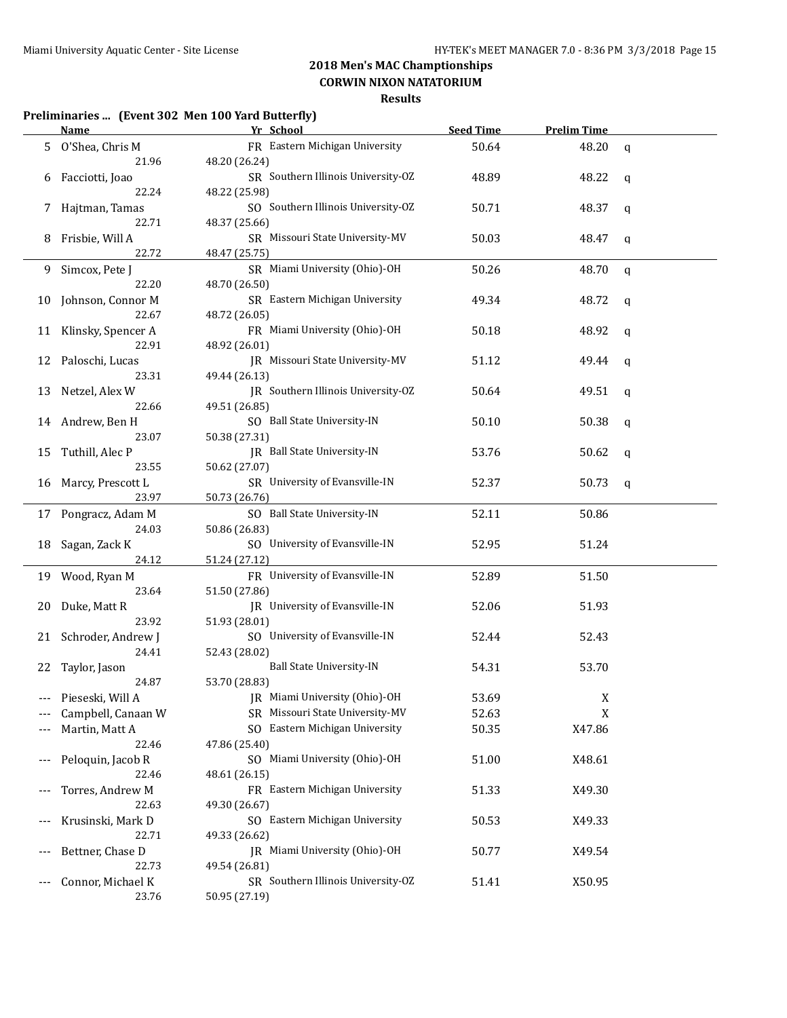## **CORWIN NIXON NATATORIUM**

### **Results**

### **Preliminaries ... (Event 302 Men 100 Yard Butterfly)**

|       | <b>Name</b>                 | Yr School                                 | <b>Seed Time</b> | <b>Prelim Time</b> |             |
|-------|-----------------------------|-------------------------------------------|------------------|--------------------|-------------|
| 5     | O'Shea, Chris M             | FR Eastern Michigan University            | 50.64            | 48.20              | $\mathbf q$ |
|       | 21.96                       | 48.20 (26.24)                             |                  |                    |             |
| 6     | Facciotti, Joao             | SR Southern Illinois University-OZ        | 48.89            | 48.22              | q           |
|       | 22.24                       | 48.22 (25.98)                             |                  |                    |             |
| 7     | Hajtman, Tamas              | SO Southern Illinois University-OZ        | 50.71            | 48.37              | q           |
|       | 22.71                       | 48.37 (25.66)                             |                  |                    |             |
| 8     | Frisbie, Will A             | SR Missouri State University-MV           | 50.03            | 48.47              | q           |
|       | 22.72                       | 48.47 (25.75)                             |                  |                    |             |
| 9     | Simcox, Pete J              | SR Miami University (Ohio)-OH             | 50.26            | 48.70              | $\mathbf q$ |
|       | 22.20                       | 48.70 (26.50)                             |                  |                    |             |
| 10    | Johnson, Connor M           | SR Eastern Michigan University            | 49.34            | 48.72              | q           |
|       | 22.67                       | 48.72 (26.05)                             |                  |                    |             |
|       | 11 Klinsky, Spencer A       | FR Miami University (Ohio)-OH             | 50.18            | 48.92              | q           |
|       | 22.91                       | 48.92 (26.01)                             |                  |                    |             |
| 12    | Paloschi, Lucas             | JR Missouri State University-MV           | 51.12            | 49.44              | q           |
|       | 23.31                       | 49.44 (26.13)                             |                  |                    |             |
| 13    | Netzel, Alex W              | JR Southern Illinois University-OZ        | 50.64            | 49.51              | q           |
|       | 22.66                       | 49.51 (26.85)                             |                  |                    |             |
|       | 14 Andrew, Ben H            | SO Ball State University-IN               | 50.10            | 50.38              | q           |
|       | 23.07                       | 50.38 (27.31)                             |                  |                    |             |
| 15    | Tuthill, Alec P             | JR Ball State University-IN               | 53.76            | 50.62              | q           |
|       | 23.55                       | 50.62 (27.07)                             |                  |                    |             |
| 16    | Marcy, Prescott L           | SR University of Evansville-IN            | 52.37            | 50.73              | $\mathbf q$ |
|       | 23.97                       | 50.73 (26.76)                             |                  |                    |             |
|       | 17 Pongracz, Adam M         | SO Ball State University-IN               | 52.11            | 50.86              |             |
|       | 24.03                       | 50.86 (26.83)                             |                  |                    |             |
| 18    | Sagan, Zack K               | SO University of Evansville-IN            | 52.95            | 51.24              |             |
|       | 24.12                       | 51.24 (27.12)                             |                  |                    |             |
| 19    |                             | FR University of Evansville-IN            | 52.89            | 51.50              |             |
|       | Wood, Ryan M<br>23.64       | 51.50 (27.86)                             |                  |                    |             |
|       |                             | JR University of Evansville-IN            |                  |                    |             |
| 20    | Duke, Matt R<br>23.92       | 51.93 (28.01)                             | 52.06            | 51.93              |             |
|       |                             | SO University of Evansville-IN            | 52.44            | 52.43              |             |
| 21    | Schroder, Andrew J<br>24.41 |                                           |                  |                    |             |
|       |                             | 52.43 (28.02)<br>Ball State University-IN | 54.31            | 53.70              |             |
| 22    | Taylor, Jason<br>24.87      | 53.70 (28.83)                             |                  |                    |             |
|       |                             | JR Miami University (Ohio)-OH             |                  |                    |             |
|       | Pieseski, Will A            |                                           | 53.69            | X                  |             |
|       | Campbell, Canaan W          | SR Missouri State University-MV           | 52.63            | X                  |             |
|       | Martin, Matt A              | SO Eastern Michigan University            | 50.35            | X47.86             |             |
|       | 22.46                       | 47.86 (25.40)                             |                  |                    |             |
|       | Peloquin, Jacob R           | SO Miami University (Ohio)-OH             | 51.00            | X48.61             |             |
|       | 22.46                       | 48.61 (26.15)                             |                  |                    |             |
|       | Torres, Andrew M            | FR Eastern Michigan University            | 51.33            | X49.30             |             |
|       | 22.63                       | 49.30 (26.67)                             |                  |                    |             |
| $---$ | Krusinski, Mark D           | SO Eastern Michigan University            | 50.53            | X49.33             |             |
|       | 22.71                       | 49.33 (26.62)                             |                  |                    |             |
| ---   | Bettner, Chase D            | JR Miami University (Ohio)-OH             | 50.77            | X49.54             |             |
|       | 22.73                       | 49.54 (26.81)                             |                  |                    |             |
|       | Connor, Michael K           | SR Southern Illinois University-OZ        | 51.41            | X50.95             |             |
|       | 23.76                       | 50.95 (27.19)                             |                  |                    |             |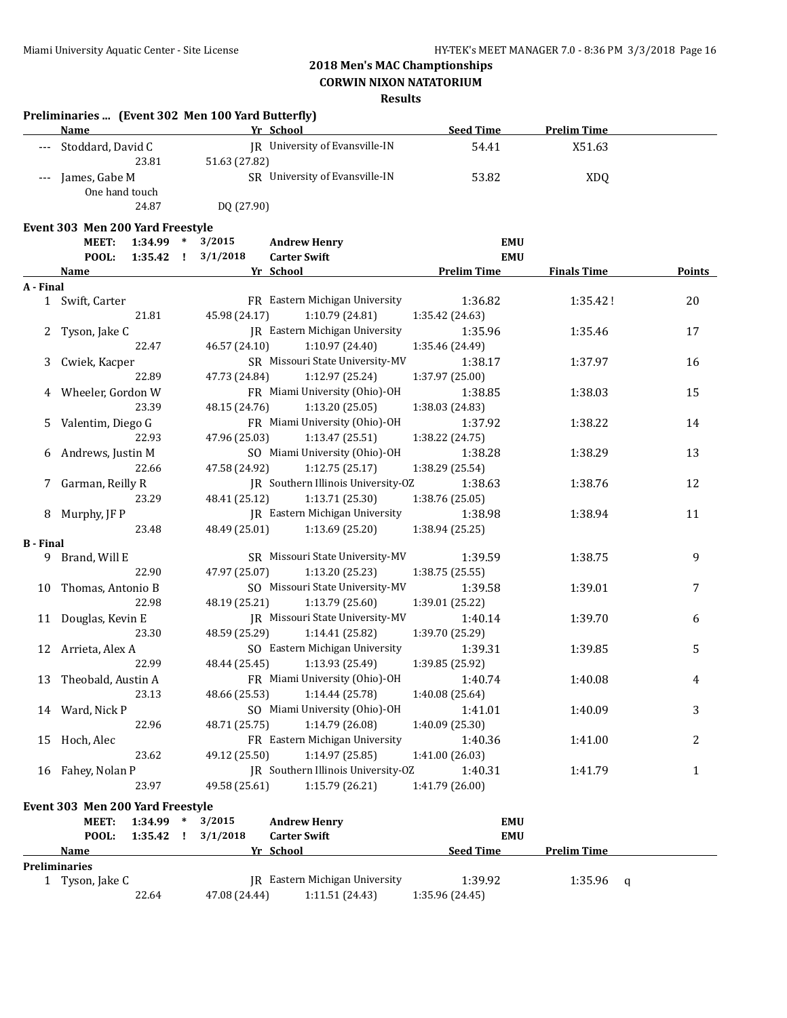**Preliminaries ... (Event 302 Men 100 Yard Butterfly)**

## **2018 Men's MAC Champtionships**

### **CORWIN NIXON NATATORIUM**

|                  | Name                                             |             |               | Yr School                                  | <b>Seed Time</b>   | <b>Prelim Time</b> |               |
|------------------|--------------------------------------------------|-------------|---------------|--------------------------------------------|--------------------|--------------------|---------------|
|                  | Stoddard, David C                                |             |               | IR University of Evansville-IN             | 54.41              | X51.63             |               |
|                  | 23.81                                            |             | 51.63 (27.82) |                                            |                    |                    |               |
| ---              | James, Gabe M                                    |             |               | SR University of Evansville-IN             | 53.82              | <b>XDQ</b>         |               |
|                  | One hand touch                                   |             |               |                                            |                    |                    |               |
|                  | 24.87                                            |             | DQ (27.90)    |                                            |                    |                    |               |
|                  |                                                  |             |               |                                            |                    |                    |               |
|                  | Event 303 Men 200 Yard Freestyle<br><b>MEET:</b> | 1:34.99 *   | 3/2015        |                                            | <b>EMU</b>         |                    |               |
|                  | POOL:                                            | $1:35.42$ ! | 3/1/2018      | <b>Andrew Henry</b><br><b>Carter Swift</b> | <b>EMU</b>         |                    |               |
|                  |                                                  |             |               |                                            |                    |                    |               |
| A - Final        | <u>Name</u>                                      |             |               | Yr School                                  | <b>Prelim Time</b> | <b>Finals Time</b> | <b>Points</b> |
|                  | 1 Swift, Carter                                  |             |               | FR Eastern Michigan University             | 1:36.82            | 1:35.42!           | 20            |
|                  | 21.81                                            |             | 45.98 (24.17) | 1:10.79 (24.81)                            | 1:35.42 (24.63)    |                    |               |
|                  |                                                  |             |               | JR Eastern Michigan University             | 1:35.96            | 1:35.46            | 17            |
| 2                | Tyson, Jake C<br>22.47                           |             | 46.57 (24.10) |                                            |                    |                    |               |
|                  |                                                  |             |               | 1:10.97 (24.40)                            | 1:35.46 (24.49)    |                    |               |
| 3                | Cwiek, Kacper                                    |             |               | SR Missouri State University-MV            | 1:38.17            | 1:37.97            | 16            |
|                  | 22.89                                            |             | 47.73 (24.84) | 1:12.97 (25.24)                            | 1:37.97 (25.00)    |                    |               |
| 4                | Wheeler, Gordon W                                |             |               | FR Miami University (Ohio)-OH              | 1:38.85            | 1:38.03            | 15            |
|                  | 23.39                                            |             | 48.15 (24.76) | 1:13.20(25.05)                             | 1:38.03 (24.83)    |                    |               |
| 5.               | Valentim, Diego G                                |             |               | FR Miami University (Ohio)-OH              | 1:37.92            | 1:38.22            | 14            |
|                  | 22.93                                            |             | 47.96 (25.03) | 1:13.47 (25.51)                            | 1:38.22 (24.75)    |                    |               |
| 6                | Andrews, Justin M                                |             |               | SO Miami University (Ohio)-OH              | 1:38.28            | 1:38.29            | 13            |
|                  | 22.66                                            |             | 47.58 (24.92) | 1:12.75(25.17)                             | 1:38.29 (25.54)    |                    |               |
| 7                | Garman, Reilly R                                 |             |               | JR Southern Illinois University-OZ         | 1:38.63            | 1:38.76            | 12            |
|                  | 23.29                                            |             | 48.41 (25.12) | 1:13.71 (25.30)                            | 1:38.76 (25.05)    |                    |               |
| 8                | Murphy, JF P                                     |             |               | JR Eastern Michigan University             | 1:38.98            | 1:38.94            | 11            |
|                  | 23.48                                            |             | 48.49 (25.01) | 1:13.69 (25.20)                            | 1:38.94 (25.25)    |                    |               |
| <b>B</b> - Final |                                                  |             |               |                                            |                    |                    |               |
|                  | 9 Brand, Will E                                  |             |               | SR Missouri State University-MV            | 1:39.59            | 1:38.75            | 9             |
|                  | 22.90                                            |             | 47.97 (25.07) | 1:13.20 (25.23)                            | 1:38.75 (25.55)    |                    |               |
| 10               | Thomas, Antonio B                                |             |               | SO Missouri State University-MV            | 1:39.58            | 1:39.01            | 7             |
|                  | 22.98                                            |             | 48.19 (25.21) | 1:13.79 (25.60)                            | 1:39.01 (25.22)    |                    |               |
|                  | 11 Douglas, Kevin E                              |             |               | JR Missouri State University-MV            | 1:40.14            | 1:39.70            | 6             |
|                  | 23.30                                            |             | 48.59 (25.29) | 1:14.41 (25.82)                            | 1:39.70 (25.29)    |                    |               |
|                  | 12 Arrieta, Alex A                               |             |               | SO Eastern Michigan University             | 1:39.31            | 1:39.85            | 5             |
|                  | 22.99                                            |             | 48.44 (25.45) | 1:13.93 (25.49)                            | 1:39.85 (25.92)    |                    |               |
| 13               | Theobald, Austin A                               |             |               | FR Miami University (Ohio)-OH              | 1:40.74            | 1:40.08            | 4             |
|                  | 23.13                                            |             | 48.66 (25.53) | 1:14.44 (25.78)                            | 1:40.08 (25.64)    |                    |               |
|                  | 14 Ward, Nick P                                  |             |               | SO Miami University (Ohio)-OH              | 1:41.01            | 1:40.09            | 3             |
|                  | 22.96                                            |             | 48.71 (25.75) | 1:14.79 (26.08)                            | 1:40.09 (25.30)    |                    |               |
| 15               | Hoch, Alec                                       |             |               | FR Eastern Michigan University             | 1:40.36            | 1:41.00            | 2             |
|                  | 23.62                                            |             | 49.12 (25.50) | 1:14.97 (25.85)                            | 1:41.00 (26.03)    |                    |               |
|                  | 16 Fahey, Nolan P                                |             |               | JR Southern Illinois University-OZ         | 1:40.31            | 1:41.79            | $\mathbf{1}$  |
|                  | 23.97                                            |             | 49.58 (25.61) | 1:15.79 (26.21)                            | 1:41.79 (26.00)    |                    |               |
|                  | Event 303 Men 200 Yard Freestyle                 |             |               |                                            |                    |                    |               |
|                  | MEET:                                            | 1:34.99 *   | 3/2015        |                                            | <b>EMU</b>         |                    |               |
|                  | POOL:                                            | 1:35.42 !   | 3/1/2018      | <b>Andrew Henry</b><br><b>Carter Swift</b> | <b>EMU</b>         |                    |               |
|                  | <u>Name</u>                                      |             |               | Yr School                                  | <b>Seed Time</b>   | <b>Prelim Time</b> |               |
|                  | Preliminaries                                    |             |               |                                            |                    |                    |               |
|                  | 1 Tyson, Jake C                                  |             |               | JR Eastern Michigan University             | 1:39.92            | 1:35.96            | q             |
|                  | 22.64                                            |             | 47.08 (24.44) | 1:11.51(24.43)                             | 1:35.96 (24.45)    |                    |               |
|                  |                                                  |             |               |                                            |                    |                    |               |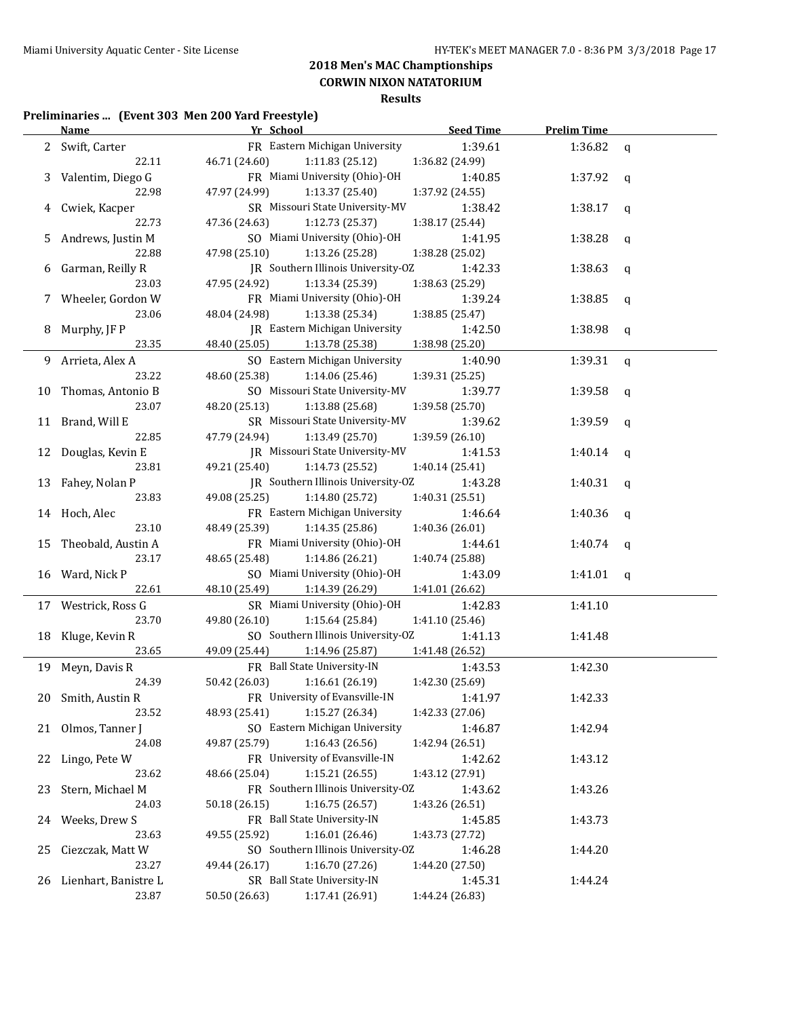**CORWIN NIXON NATATORIUM**

### **Results**

### **Preliminaries ... (Event 303 Men 200 Yard Freestyle)**

|     | <u>Name _____</u>       | Yr School                          | <b>Seed Time</b> | <b>Prelim Time</b> |             |
|-----|-------------------------|------------------------------------|------------------|--------------------|-------------|
|     | 2 Swift, Carter         | FR Eastern Michigan University     | 1:39.61          | 1:36.82            | $\mathbf q$ |
|     | 22.11                   | 46.71 (24.60)<br>1:11.83(25.12)    | 1:36.82 (24.99)  |                    |             |
| 3   | Valentim, Diego G       | FR Miami University (Ohio)-OH      | 1:40.85          | 1:37.92            | q           |
|     | 22.98                   | 1:13.37 (25.40)<br>47.97 (24.99)   | 1:37.92 (24.55)  |                    |             |
| 4   | Cwiek, Kacper           | SR Missouri State University-MV    | 1:38.42          | 1:38.17            | q           |
|     | 22.73                   | 47.36 (24.63)<br>1:12.73 (25.37)   | 1:38.17 (25.44)  |                    |             |
| 5   | Andrews, Justin M       | SO Miami University (Ohio)-OH      | 1:41.95          | 1:38.28            | q           |
|     | 22.88                   | 47.98 (25.10)<br>1:13.26 (25.28)   | 1:38.28 (25.02)  |                    |             |
| 6   | Garman, Reilly R        | JR Southern Illinois University-OZ | 1:42.33          | 1:38.63            | q           |
|     | 23.03                   | 47.95 (24.92)<br>1:13.34 (25.39)   | 1:38.63 (25.29)  |                    |             |
|     | 7 Wheeler, Gordon W     | FR Miami University (Ohio)-OH      | 1:39.24          | 1:38.85            | q           |
|     | 23.06                   | 48.04 (24.98)<br>1:13.38 (25.34)   | 1:38.85 (25.47)  |                    |             |
| 8   | Murphy, JF P            | JR Eastern Michigan University     | 1:42.50          | 1:38.98            | q           |
|     | 23.35                   | 48.40 (25.05)<br>1:13.78 (25.38)   | 1:38.98 (25.20)  |                    |             |
|     | 9 Arrieta, Alex A       | SO Eastern Michigan University     | 1:40.90          | 1:39.31            | q           |
|     | 23.22                   | 48.60 (25.38)<br>1:14.06 (25.46)   | 1:39.31 (25.25)  |                    |             |
|     | 10 Thomas, Antonio B    | SO Missouri State University-MV    | 1:39.77          | 1:39.58            | q           |
|     | 23.07                   | 48.20 (25.13)<br>1:13.88 (25.68)   | 1:39.58 (25.70)  |                    |             |
|     | 11 Brand, Will E        | SR Missouri State University-MV    | 1:39.62          | 1:39.59            | q           |
|     | 22.85                   | 47.79 (24.94)<br>1:13.49 (25.70)   | 1:39.59 (26.10)  |                    |             |
|     | 12 Douglas, Kevin E     | JR Missouri State University-MV    | 1:41.53          | 1:40.14            | q           |
|     | 23.81                   | 49.21 (25.40)<br>1:14.73 (25.52)   | 1:40.14 (25.41)  |                    |             |
|     | 13 Fahey, Nolan P       | JR Southern Illinois University-OZ | 1:43.28          | 1:40.31            | q           |
|     | 23.83                   | 49.08 (25.25)<br>1:14.80 (25.72)   | 1:40.31 (25.51)  |                    |             |
|     | 14 Hoch, Alec           | FR Eastern Michigan University     | 1:46.64          | 1:40.36            | q           |
|     | 23.10                   | 48.49 (25.39)<br>1:14.35 (25.86)   | 1:40.36 (26.01)  |                    |             |
|     | 15 Theobald, Austin A   | FR Miami University (Ohio)-OH      | 1:44.61          | 1:40.74            | q           |
|     | 23.17                   | 48.65 (25.48)<br>1:14.86 (26.21)   | 1:40.74 (25.88)  |                    |             |
|     | 16 Ward, Nick P         | SO Miami University (Ohio)-OH      | 1:43.09          | 1:41.01            | a           |
|     | 22.61                   | 48.10 (25.49)<br>1:14.39 (26.29)   | 1:41.01 (26.62)  |                    |             |
|     | 17 Westrick, Ross G     | SR Miami University (Ohio)-OH      | 1:42.83          | 1:41.10            |             |
|     | 23.70                   | 49.80 (26.10)<br>1:15.64 (25.84)   | 1:41.10 (25.46)  |                    |             |
|     | 18 Kluge, Kevin R       | SO Southern Illinois University-OZ | 1:41.13          | 1:41.48            |             |
|     | 23.65                   | 49.09 (25.44)<br>1:14.96 (25.87)   | 1:41.48 (26.52)  |                    |             |
|     | 19 Meyn, Davis R        | FR Ball State University-IN        | 1:43.53          | 1:42.30            |             |
|     | 24.39                   | 50.42 (26.03)<br>1:16.61 (26.19)   | 1:42.30 (25.69)  |                    |             |
|     | 20 Smith, Austin R      | FR University of Evansville-IN     | 1:41.97          | 1:42.33            |             |
|     | 23.52                   | 1:15.27 (26.34)<br>48.93 (25.41)   | 1:42.33 (27.06)  |                    |             |
|     | 21 Olmos, Tanner J      | SO Eastern Michigan University     | 1:46.87          | 1:42.94            |             |
|     | 24.08                   | 49.87 (25.79)<br>1:16.43 (26.56)   | 1:42.94 (26.51)  |                    |             |
|     | 22 Lingo, Pete W        | FR University of Evansville-IN     | 1:42.62          | 1:43.12            |             |
|     | 23.62                   | 1:15.21 (26.55)<br>48.66 (25.04)   | 1:43.12 (27.91)  |                    |             |
| 23. | Stern, Michael M        | FR Southern Illinois University-OZ | 1:43.62          | 1:43.26            |             |
|     | 24.03                   | 1:16.75 (26.57)<br>50.18 (26.15)   | 1:43.26 (26.51)  |                    |             |
|     | 24 Weeks, Drew S        | FR Ball State University-IN        | 1:45.85          | 1:43.73            |             |
|     | 23.63                   | 1:16.01(26.46)<br>49.55 (25.92)    | 1:43.73 (27.72)  |                    |             |
| 25  | Ciezczak, Matt W        | SO Southern Illinois University-OZ | 1:46.28          | 1:44.20            |             |
|     | 23.27                   | 1:16.70 (27.26)<br>49.44 (26.17)   | 1:44.20 (27.50)  |                    |             |
|     | 26 Lienhart, Banistre L | SR Ball State University-IN        | 1:45.31          | 1:44.24            |             |
|     | 23.87                   | 50.50 (26.63)<br>1:17.41 (26.91)   | 1:44.24 (26.83)  |                    |             |
|     |                         |                                    |                  |                    |             |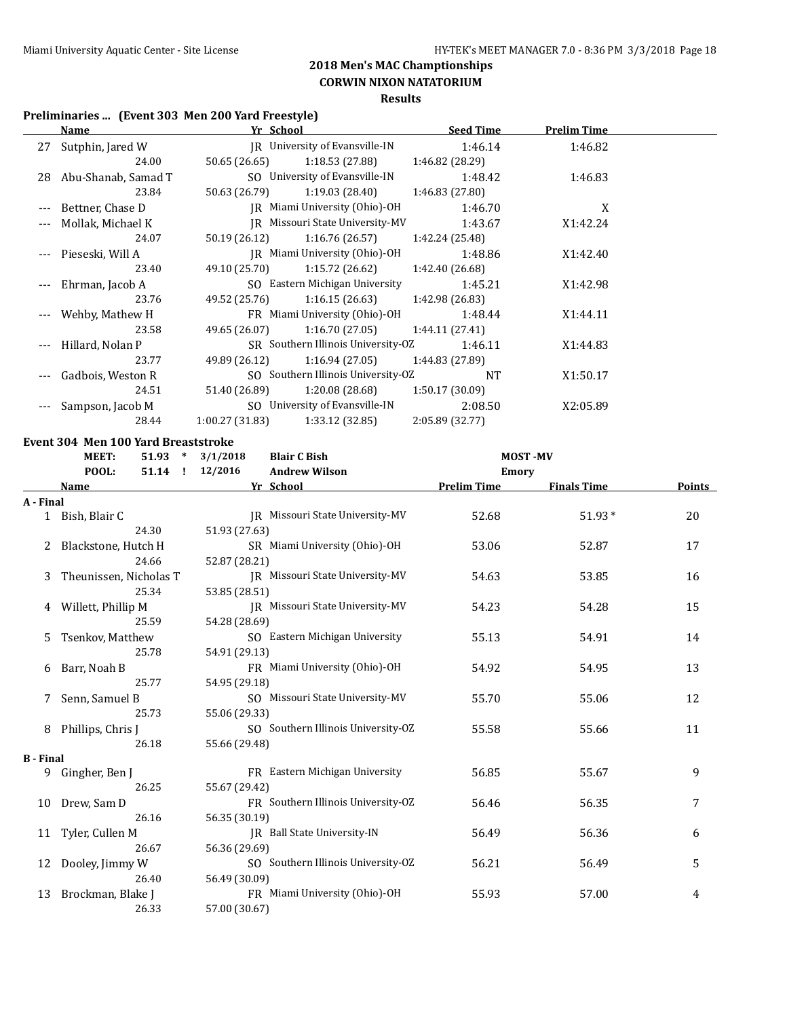**CORWIN NIXON NATATORIUM**

### **Results**

### **Preliminaries ... (Event 303 Men 200 Yard Freestyle)**

|          | <b>Name</b>            | Yr School      |                                    | <b>Seed Time</b> | <b>Prelim Time</b> |  |
|----------|------------------------|----------------|------------------------------------|------------------|--------------------|--|
|          | 27 Sutphin, Jared W    |                | IR University of Evansville-IN     | 1:46.14          | 1:46.82            |  |
|          | 24.00                  | 50.65 (26.65)  | 1:18.53 (27.88)                    | 1:46.82 (28.29)  |                    |  |
|          | 28 Abu-Shanab, Samad T |                | SO University of Evansville-IN     | 1:48.42          | 1:46.83            |  |
|          | 23.84                  | 50.63 (26.79)  | 1:19.03 (28.40)                    | 1:46.83 (27.80)  |                    |  |
|          | Bettner, Chase D       |                | IR Miami University (Ohio)-OH      | 1:46.70          | X                  |  |
|          | Mollak, Michael K      |                | IR Missouri State University-MV    | 1:43.67          | X1:42.24           |  |
|          | 24.07                  | 50.19 (26.12)  | 1:16.76 (26.57)                    | 1:42.24 (25.48)  |                    |  |
|          | Pieseski, Will A       |                | IR Miami University (Ohio)-OH      | 1:48.86          | X1:42.40           |  |
|          | 23.40                  | 49.10 (25.70)  | 1:15.72 (26.62)                    | 1:42.40 (26.68)  |                    |  |
| $\cdots$ | Ehrman, Jacob A        |                | SO Eastern Michigan University     | 1:45.21          | X1:42.98           |  |
|          | 23.76                  | 49.52 (25.76)  | 1:16.15 (26.63)                    | 1:42.98 (26.83)  |                    |  |
|          | --- Wehby, Mathew H    |                | FR Miami University (Ohio)-OH      | 1:48.44          | X1:44.11           |  |
|          | 23.58                  | 49.65 (26.07)  | 1:16.70 (27.05)                    | 1:44.11(27.41)   |                    |  |
|          | Hillard, Nolan P       |                | SR Southern Illinois University-OZ | 1:46.11          | X1:44.83           |  |
|          | 23.77                  |                | 49.89 (26.12) 1:16.94 (27.05)      | 1:44.83 (27.89)  |                    |  |
|          | Gadbois, Weston R      |                | SO Southern Illinois University-OZ | <b>NT</b>        | X1:50.17           |  |
|          | 24.51                  | 51.40 (26.89)  | 1:20.08 (28.68)                    | 1:50.17(30.09)   |                    |  |
|          | Sampson, Jacob M       |                | SO University of Evansville-IN     | 2:08.50          | X2:05.89           |  |
|          | 28.44                  | 1:00.27(31.83) | 1:33.12(32.85)                     | 2:05.89 (32.77)  |                    |  |

#### **Event 304 Men 100 Yard Breaststroke**

|                  | <b>MEET:</b>           |           |  | $51.93 * 3/1/2018$<br><b>Blair C Bish</b> |                                    | <b>MOST-MV</b>     |                    |        |
|------------------|------------------------|-----------|--|-------------------------------------------|------------------------------------|--------------------|--------------------|--------|
|                  | POOL:                  | $51.14$ ! |  | 12/2016                                   | <b>Andrew Wilson</b>               | Emory              |                    |        |
|                  | Name                   |           |  |                                           | Yr School                          | <b>Prelim Time</b> | <b>Finals Time</b> | Points |
| A - Final        |                        |           |  |                                           |                                    |                    |                    |        |
|                  | 1 Bish, Blair C        |           |  |                                           | IR Missouri State University-MV    | 52.68              | 51.93*             | 20     |
|                  |                        | 24.30     |  | 51.93 (27.63)                             |                                    |                    |                    |        |
| 2                | Blackstone, Hutch H    |           |  |                                           | SR Miami University (Ohio)-OH      | 53.06              | 52.87              | 17     |
|                  |                        | 24.66     |  | 52.87 (28.21)                             |                                    |                    |                    |        |
| 3                | Theunissen, Nicholas T |           |  |                                           | JR Missouri State University-MV    | 54.63              | 53.85              | 16     |
|                  |                        | 25.34     |  | 53.85 (28.51)                             |                                    |                    |                    |        |
| 4                | Willett, Phillip M     |           |  |                                           | JR Missouri State University-MV    | 54.23              | 54.28              | 15     |
|                  |                        | 25.59     |  | 54.28 (28.69)                             |                                    |                    |                    |        |
| 5.               | Tsenkov, Matthew       |           |  |                                           | SO Eastern Michigan University     | 55.13              | 54.91              | 14     |
|                  |                        | 25.78     |  | 54.91 (29.13)                             |                                    |                    |                    |        |
| 6                | Barr, Noah B           |           |  |                                           | FR Miami University (Ohio)-OH      | 54.92              | 54.95              | 13     |
|                  |                        | 25.77     |  | 54.95 (29.18)                             |                                    |                    |                    |        |
| 7                | Senn, Samuel B         |           |  |                                           | SO Missouri State University-MV    | 55.70              | 55.06              | 12     |
|                  |                        | 25.73     |  | 55.06 (29.33)                             |                                    |                    |                    |        |
| 8                | Phillips, Chris J      |           |  |                                           | SO Southern Illinois University-OZ | 55.58              | 55.66              | 11     |
|                  |                        | 26.18     |  | 55.66 (29.48)                             |                                    |                    |                    |        |
| <b>B</b> - Final |                        |           |  |                                           |                                    |                    |                    |        |
|                  | 9 Gingher, Ben J       |           |  |                                           | FR Eastern Michigan University     | 56.85              | 55.67              | 9      |
|                  |                        | 26.25     |  | 55.67 (29.42)                             |                                    |                    |                    |        |
| 10               | Drew, Sam D            |           |  |                                           | FR Southern Illinois University-OZ | 56.46              | 56.35              | 7      |
|                  |                        | 26.16     |  | 56.35 (30.19)                             |                                    |                    |                    |        |
| 11               | Tyler, Cullen M        |           |  |                                           | JR Ball State University-IN        | 56.49              | 56.36              | 6      |
|                  |                        | 26.67     |  | 56.36 (29.69)                             |                                    |                    |                    |        |
|                  | 12 Dooley, Jimmy W     |           |  |                                           | SO Southern Illinois University-OZ | 56.21              | 56.49              | 5      |
|                  |                        | 26.40     |  | 56.49 (30.09)                             |                                    |                    |                    |        |
| 13               | Brockman, Blake J      |           |  |                                           | FR Miami University (Ohio)-OH      | 55.93              | 57.00              | 4      |
|                  |                        | 26.33     |  | 57.00 (30.67)                             |                                    |                    |                    |        |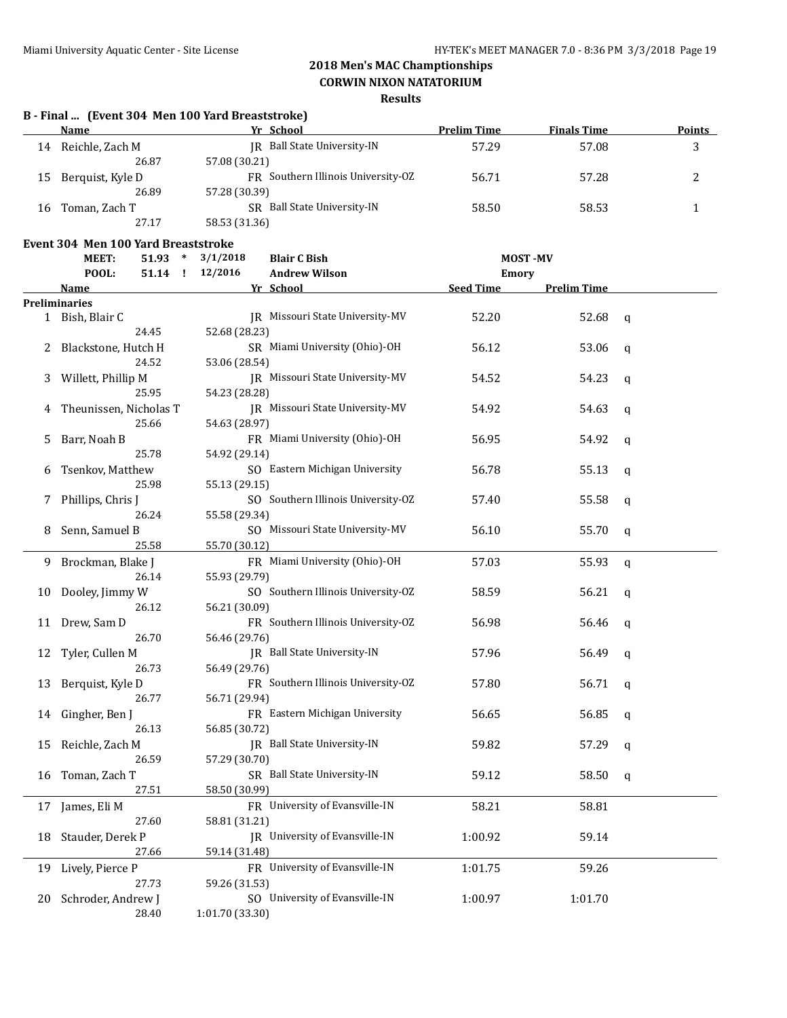### **CORWIN NIXON NATATORIUM**

| JR Ball State University-IN<br>57.29<br>57.08<br>3<br>14 Reichle, Zach M<br>57.08 (30.21)<br>26.87<br>FR Southern Illinois University-OZ<br>56.71<br>57.28<br>2<br>Berquist, Kyle D<br>15<br>26.89<br>57.28 (30.39)<br>SR Ball State University-IN<br>58.50<br>58.53<br>1<br>16 Toman, Zach T<br>27.17<br>58.53 (31.36)<br>Event 304 Men 100 Yard Breaststroke<br>MEET:<br>3/1/2018<br>$51.93$ *<br><b>Blair C Bish</b><br><b>MOST-MV</b><br>12/2016<br>POOL:<br>51.14 !<br><b>Andrew Wilson</b><br>Emory<br><b>Seed Time</b><br><b>Prelim Time</b><br><b>Name</b><br>Yr School<br><b>Preliminaries</b><br>JR Missouri State University-MV<br>52.20<br>52.68<br>1 Bish, Blair C<br>q<br>24.45<br>52.68 (28.23)<br>SR Miami University (Ohio)-OH<br>Blackstone, Hutch H<br>56.12<br>53.06<br>q<br>24.52<br>53.06 (28.54)<br>JR Missouri State University-MV<br>Willett, Phillip M<br>54.52<br>54.23<br>3<br>q<br>25.95<br>54.23 (28.28)<br>JR Missouri State University-MV<br>Theunissen, Nicholas T<br>54.92<br>54.63<br>q<br>25.66<br>54.63 (28.97)<br>FR Miami University (Ohio)-OH<br>56.95<br>Barr, Noah B<br>54.92<br>5<br>q<br>25.78<br>54.92 (29.14)<br>SO Eastern Michigan University<br>Tsenkov, Matthew<br>56.78<br>55.13<br>q<br>25.98<br>55.13 (29.15)<br>SO Southern Illinois University-OZ<br>Phillips, Chris J<br>57.40<br>55.58<br>q<br>26.24<br>55.58 (29.34)<br>SO Missouri State University-MV<br>Senn, Samuel B<br>56.10<br>55.70<br>8<br>q<br>25.58<br>55.70 (30.12)<br>Brockman, Blake J<br>FR Miami University (Ohio)-OH<br>57.03<br>55.93<br>9<br>q<br>26.14<br>55.93 (29.79)<br>SO Southern Illinois University-OZ<br>Dooley, Jimmy W<br>58.59<br>56.21<br>10<br>q<br>26.12<br>56.21 (30.09)<br>FR Southern Illinois University-OZ<br>Drew, Sam D<br>56.98<br>56.46<br>11<br>q<br>26.70<br>56.46 (29.76)<br>JR Ball State University-IN<br>12 Tyler, Cullen M<br>57.96<br>56.49<br>q<br>26.73<br>56.49 (29.76)<br>FR Southern Illinois University-OZ<br>13 Berquist, Kyle D<br>57.80<br>56.71 q<br>26.77<br>56.71 (29.94)<br>FR Eastern Michigan University<br>56.65<br>Gingher, Ben J<br>56.85<br>14<br>q<br>26.13<br>56.85 (30.72)<br>IR Ball State University-IN<br>Reichle, Zach M<br>59.82<br>57.29<br>15<br>q<br>26.59<br>57.29 (30.70)<br>SR Ball State University-IN<br>Toman, Zach T<br>59.12<br>58.50<br>16<br>q<br>27.51<br>58.50 (30.99)<br>FR University of Evansville-IN<br>58.21<br>17 James, Eli M<br>58.81<br>27.60<br>58.81 (31.21)<br>JR University of Evansville-IN<br>Stauder, Derek P<br>1:00.92<br>59.14<br>18<br>27.66<br>59.14 (31.48)<br>FR University of Evansville-IN<br>Lively, Pierce P<br>59.26<br>1:01.75<br>19<br>27.73<br>59.26 (31.53)<br>SO University of Evansville-IN<br>Schroder, Andrew J<br>1:00.97<br>1:01.70<br>20<br>28.40<br>1:01.70 (33.30) | B - Final  (Event 304 Men 100 Yard Breaststroke) |           |                    |                    |               |
|--------------------------------------------------------------------------------------------------------------------------------------------------------------------------------------------------------------------------------------------------------------------------------------------------------------------------------------------------------------------------------------------------------------------------------------------------------------------------------------------------------------------------------------------------------------------------------------------------------------------------------------------------------------------------------------------------------------------------------------------------------------------------------------------------------------------------------------------------------------------------------------------------------------------------------------------------------------------------------------------------------------------------------------------------------------------------------------------------------------------------------------------------------------------------------------------------------------------------------------------------------------------------------------------------------------------------------------------------------------------------------------------------------------------------------------------------------------------------------------------------------------------------------------------------------------------------------------------------------------------------------------------------------------------------------------------------------------------------------------------------------------------------------------------------------------------------------------------------------------------------------------------------------------------------------------------------------------------------------------------------------------------------------------------------------------------------------------------------------------------------------------------------------------------------------------------------------------------------------------------------------------------------------------------------------------------------------------------------------------------------------------------------------------------------------------------------------------------------------------------------------------------------------------------------------------------------------------------------------------------------------------------------------------------------------------------------------------------------------------------------------------------------------------------------------------------|--------------------------------------------------|-----------|--------------------|--------------------|---------------|
|                                                                                                                                                                                                                                                                                                                                                                                                                                                                                                                                                                                                                                                                                                                                                                                                                                                                                                                                                                                                                                                                                                                                                                                                                                                                                                                                                                                                                                                                                                                                                                                                                                                                                                                                                                                                                                                                                                                                                                                                                                                                                                                                                                                                                                                                                                                                                                                                                                                                                                                                                                                                                                                                                                                                                                                                                    | Name                                             | Yr School | <b>Prelim Time</b> | <b>Finals Time</b> | <b>Points</b> |
|                                                                                                                                                                                                                                                                                                                                                                                                                                                                                                                                                                                                                                                                                                                                                                                                                                                                                                                                                                                                                                                                                                                                                                                                                                                                                                                                                                                                                                                                                                                                                                                                                                                                                                                                                                                                                                                                                                                                                                                                                                                                                                                                                                                                                                                                                                                                                                                                                                                                                                                                                                                                                                                                                                                                                                                                                    |                                                  |           |                    |                    |               |
|                                                                                                                                                                                                                                                                                                                                                                                                                                                                                                                                                                                                                                                                                                                                                                                                                                                                                                                                                                                                                                                                                                                                                                                                                                                                                                                                                                                                                                                                                                                                                                                                                                                                                                                                                                                                                                                                                                                                                                                                                                                                                                                                                                                                                                                                                                                                                                                                                                                                                                                                                                                                                                                                                                                                                                                                                    |                                                  |           |                    |                    |               |
|                                                                                                                                                                                                                                                                                                                                                                                                                                                                                                                                                                                                                                                                                                                                                                                                                                                                                                                                                                                                                                                                                                                                                                                                                                                                                                                                                                                                                                                                                                                                                                                                                                                                                                                                                                                                                                                                                                                                                                                                                                                                                                                                                                                                                                                                                                                                                                                                                                                                                                                                                                                                                                                                                                                                                                                                                    |                                                  |           |                    |                    |               |
|                                                                                                                                                                                                                                                                                                                                                                                                                                                                                                                                                                                                                                                                                                                                                                                                                                                                                                                                                                                                                                                                                                                                                                                                                                                                                                                                                                                                                                                                                                                                                                                                                                                                                                                                                                                                                                                                                                                                                                                                                                                                                                                                                                                                                                                                                                                                                                                                                                                                                                                                                                                                                                                                                                                                                                                                                    |                                                  |           |                    |                    |               |
|                                                                                                                                                                                                                                                                                                                                                                                                                                                                                                                                                                                                                                                                                                                                                                                                                                                                                                                                                                                                                                                                                                                                                                                                                                                                                                                                                                                                                                                                                                                                                                                                                                                                                                                                                                                                                                                                                                                                                                                                                                                                                                                                                                                                                                                                                                                                                                                                                                                                                                                                                                                                                                                                                                                                                                                                                    |                                                  |           |                    |                    |               |
|                                                                                                                                                                                                                                                                                                                                                                                                                                                                                                                                                                                                                                                                                                                                                                                                                                                                                                                                                                                                                                                                                                                                                                                                                                                                                                                                                                                                                                                                                                                                                                                                                                                                                                                                                                                                                                                                                                                                                                                                                                                                                                                                                                                                                                                                                                                                                                                                                                                                                                                                                                                                                                                                                                                                                                                                                    |                                                  |           |                    |                    |               |
|                                                                                                                                                                                                                                                                                                                                                                                                                                                                                                                                                                                                                                                                                                                                                                                                                                                                                                                                                                                                                                                                                                                                                                                                                                                                                                                                                                                                                                                                                                                                                                                                                                                                                                                                                                                                                                                                                                                                                                                                                                                                                                                                                                                                                                                                                                                                                                                                                                                                                                                                                                                                                                                                                                                                                                                                                    |                                                  |           |                    |                    |               |
|                                                                                                                                                                                                                                                                                                                                                                                                                                                                                                                                                                                                                                                                                                                                                                                                                                                                                                                                                                                                                                                                                                                                                                                                                                                                                                                                                                                                                                                                                                                                                                                                                                                                                                                                                                                                                                                                                                                                                                                                                                                                                                                                                                                                                                                                                                                                                                                                                                                                                                                                                                                                                                                                                                                                                                                                                    |                                                  |           |                    |                    |               |
|                                                                                                                                                                                                                                                                                                                                                                                                                                                                                                                                                                                                                                                                                                                                                                                                                                                                                                                                                                                                                                                                                                                                                                                                                                                                                                                                                                                                                                                                                                                                                                                                                                                                                                                                                                                                                                                                                                                                                                                                                                                                                                                                                                                                                                                                                                                                                                                                                                                                                                                                                                                                                                                                                                                                                                                                                    |                                                  |           |                    |                    |               |
|                                                                                                                                                                                                                                                                                                                                                                                                                                                                                                                                                                                                                                                                                                                                                                                                                                                                                                                                                                                                                                                                                                                                                                                                                                                                                                                                                                                                                                                                                                                                                                                                                                                                                                                                                                                                                                                                                                                                                                                                                                                                                                                                                                                                                                                                                                                                                                                                                                                                                                                                                                                                                                                                                                                                                                                                                    |                                                  |           |                    |                    |               |
|                                                                                                                                                                                                                                                                                                                                                                                                                                                                                                                                                                                                                                                                                                                                                                                                                                                                                                                                                                                                                                                                                                                                                                                                                                                                                                                                                                                                                                                                                                                                                                                                                                                                                                                                                                                                                                                                                                                                                                                                                                                                                                                                                                                                                                                                                                                                                                                                                                                                                                                                                                                                                                                                                                                                                                                                                    |                                                  |           |                    |                    |               |
|                                                                                                                                                                                                                                                                                                                                                                                                                                                                                                                                                                                                                                                                                                                                                                                                                                                                                                                                                                                                                                                                                                                                                                                                                                                                                                                                                                                                                                                                                                                                                                                                                                                                                                                                                                                                                                                                                                                                                                                                                                                                                                                                                                                                                                                                                                                                                                                                                                                                                                                                                                                                                                                                                                                                                                                                                    |                                                  |           |                    |                    |               |
|                                                                                                                                                                                                                                                                                                                                                                                                                                                                                                                                                                                                                                                                                                                                                                                                                                                                                                                                                                                                                                                                                                                                                                                                                                                                                                                                                                                                                                                                                                                                                                                                                                                                                                                                                                                                                                                                                                                                                                                                                                                                                                                                                                                                                                                                                                                                                                                                                                                                                                                                                                                                                                                                                                                                                                                                                    |                                                  |           |                    |                    |               |
|                                                                                                                                                                                                                                                                                                                                                                                                                                                                                                                                                                                                                                                                                                                                                                                                                                                                                                                                                                                                                                                                                                                                                                                                                                                                                                                                                                                                                                                                                                                                                                                                                                                                                                                                                                                                                                                                                                                                                                                                                                                                                                                                                                                                                                                                                                                                                                                                                                                                                                                                                                                                                                                                                                                                                                                                                    |                                                  |           |                    |                    |               |
|                                                                                                                                                                                                                                                                                                                                                                                                                                                                                                                                                                                                                                                                                                                                                                                                                                                                                                                                                                                                                                                                                                                                                                                                                                                                                                                                                                                                                                                                                                                                                                                                                                                                                                                                                                                                                                                                                                                                                                                                                                                                                                                                                                                                                                                                                                                                                                                                                                                                                                                                                                                                                                                                                                                                                                                                                    |                                                  |           |                    |                    |               |
|                                                                                                                                                                                                                                                                                                                                                                                                                                                                                                                                                                                                                                                                                                                                                                                                                                                                                                                                                                                                                                                                                                                                                                                                                                                                                                                                                                                                                                                                                                                                                                                                                                                                                                                                                                                                                                                                                                                                                                                                                                                                                                                                                                                                                                                                                                                                                                                                                                                                                                                                                                                                                                                                                                                                                                                                                    |                                                  |           |                    |                    |               |
|                                                                                                                                                                                                                                                                                                                                                                                                                                                                                                                                                                                                                                                                                                                                                                                                                                                                                                                                                                                                                                                                                                                                                                                                                                                                                                                                                                                                                                                                                                                                                                                                                                                                                                                                                                                                                                                                                                                                                                                                                                                                                                                                                                                                                                                                                                                                                                                                                                                                                                                                                                                                                                                                                                                                                                                                                    |                                                  |           |                    |                    |               |
|                                                                                                                                                                                                                                                                                                                                                                                                                                                                                                                                                                                                                                                                                                                                                                                                                                                                                                                                                                                                                                                                                                                                                                                                                                                                                                                                                                                                                                                                                                                                                                                                                                                                                                                                                                                                                                                                                                                                                                                                                                                                                                                                                                                                                                                                                                                                                                                                                                                                                                                                                                                                                                                                                                                                                                                                                    |                                                  |           |                    |                    |               |
|                                                                                                                                                                                                                                                                                                                                                                                                                                                                                                                                                                                                                                                                                                                                                                                                                                                                                                                                                                                                                                                                                                                                                                                                                                                                                                                                                                                                                                                                                                                                                                                                                                                                                                                                                                                                                                                                                                                                                                                                                                                                                                                                                                                                                                                                                                                                                                                                                                                                                                                                                                                                                                                                                                                                                                                                                    |                                                  |           |                    |                    |               |
|                                                                                                                                                                                                                                                                                                                                                                                                                                                                                                                                                                                                                                                                                                                                                                                                                                                                                                                                                                                                                                                                                                                                                                                                                                                                                                                                                                                                                                                                                                                                                                                                                                                                                                                                                                                                                                                                                                                                                                                                                                                                                                                                                                                                                                                                                                                                                                                                                                                                                                                                                                                                                                                                                                                                                                                                                    |                                                  |           |                    |                    |               |
|                                                                                                                                                                                                                                                                                                                                                                                                                                                                                                                                                                                                                                                                                                                                                                                                                                                                                                                                                                                                                                                                                                                                                                                                                                                                                                                                                                                                                                                                                                                                                                                                                                                                                                                                                                                                                                                                                                                                                                                                                                                                                                                                                                                                                                                                                                                                                                                                                                                                                                                                                                                                                                                                                                                                                                                                                    |                                                  |           |                    |                    |               |
|                                                                                                                                                                                                                                                                                                                                                                                                                                                                                                                                                                                                                                                                                                                                                                                                                                                                                                                                                                                                                                                                                                                                                                                                                                                                                                                                                                                                                                                                                                                                                                                                                                                                                                                                                                                                                                                                                                                                                                                                                                                                                                                                                                                                                                                                                                                                                                                                                                                                                                                                                                                                                                                                                                                                                                                                                    |                                                  |           |                    |                    |               |
|                                                                                                                                                                                                                                                                                                                                                                                                                                                                                                                                                                                                                                                                                                                                                                                                                                                                                                                                                                                                                                                                                                                                                                                                                                                                                                                                                                                                                                                                                                                                                                                                                                                                                                                                                                                                                                                                                                                                                                                                                                                                                                                                                                                                                                                                                                                                                                                                                                                                                                                                                                                                                                                                                                                                                                                                                    |                                                  |           |                    |                    |               |
|                                                                                                                                                                                                                                                                                                                                                                                                                                                                                                                                                                                                                                                                                                                                                                                                                                                                                                                                                                                                                                                                                                                                                                                                                                                                                                                                                                                                                                                                                                                                                                                                                                                                                                                                                                                                                                                                                                                                                                                                                                                                                                                                                                                                                                                                                                                                                                                                                                                                                                                                                                                                                                                                                                                                                                                                                    |                                                  |           |                    |                    |               |
|                                                                                                                                                                                                                                                                                                                                                                                                                                                                                                                                                                                                                                                                                                                                                                                                                                                                                                                                                                                                                                                                                                                                                                                                                                                                                                                                                                                                                                                                                                                                                                                                                                                                                                                                                                                                                                                                                                                                                                                                                                                                                                                                                                                                                                                                                                                                                                                                                                                                                                                                                                                                                                                                                                                                                                                                                    |                                                  |           |                    |                    |               |
|                                                                                                                                                                                                                                                                                                                                                                                                                                                                                                                                                                                                                                                                                                                                                                                                                                                                                                                                                                                                                                                                                                                                                                                                                                                                                                                                                                                                                                                                                                                                                                                                                                                                                                                                                                                                                                                                                                                                                                                                                                                                                                                                                                                                                                                                                                                                                                                                                                                                                                                                                                                                                                                                                                                                                                                                                    |                                                  |           |                    |                    |               |
|                                                                                                                                                                                                                                                                                                                                                                                                                                                                                                                                                                                                                                                                                                                                                                                                                                                                                                                                                                                                                                                                                                                                                                                                                                                                                                                                                                                                                                                                                                                                                                                                                                                                                                                                                                                                                                                                                                                                                                                                                                                                                                                                                                                                                                                                                                                                                                                                                                                                                                                                                                                                                                                                                                                                                                                                                    |                                                  |           |                    |                    |               |
|                                                                                                                                                                                                                                                                                                                                                                                                                                                                                                                                                                                                                                                                                                                                                                                                                                                                                                                                                                                                                                                                                                                                                                                                                                                                                                                                                                                                                                                                                                                                                                                                                                                                                                                                                                                                                                                                                                                                                                                                                                                                                                                                                                                                                                                                                                                                                                                                                                                                                                                                                                                                                                                                                                                                                                                                                    |                                                  |           |                    |                    |               |
|                                                                                                                                                                                                                                                                                                                                                                                                                                                                                                                                                                                                                                                                                                                                                                                                                                                                                                                                                                                                                                                                                                                                                                                                                                                                                                                                                                                                                                                                                                                                                                                                                                                                                                                                                                                                                                                                                                                                                                                                                                                                                                                                                                                                                                                                                                                                                                                                                                                                                                                                                                                                                                                                                                                                                                                                                    |                                                  |           |                    |                    |               |
|                                                                                                                                                                                                                                                                                                                                                                                                                                                                                                                                                                                                                                                                                                                                                                                                                                                                                                                                                                                                                                                                                                                                                                                                                                                                                                                                                                                                                                                                                                                                                                                                                                                                                                                                                                                                                                                                                                                                                                                                                                                                                                                                                                                                                                                                                                                                                                                                                                                                                                                                                                                                                                                                                                                                                                                                                    |                                                  |           |                    |                    |               |
|                                                                                                                                                                                                                                                                                                                                                                                                                                                                                                                                                                                                                                                                                                                                                                                                                                                                                                                                                                                                                                                                                                                                                                                                                                                                                                                                                                                                                                                                                                                                                                                                                                                                                                                                                                                                                                                                                                                                                                                                                                                                                                                                                                                                                                                                                                                                                                                                                                                                                                                                                                                                                                                                                                                                                                                                                    |                                                  |           |                    |                    |               |
|                                                                                                                                                                                                                                                                                                                                                                                                                                                                                                                                                                                                                                                                                                                                                                                                                                                                                                                                                                                                                                                                                                                                                                                                                                                                                                                                                                                                                                                                                                                                                                                                                                                                                                                                                                                                                                                                                                                                                                                                                                                                                                                                                                                                                                                                                                                                                                                                                                                                                                                                                                                                                                                                                                                                                                                                                    |                                                  |           |                    |                    |               |
|                                                                                                                                                                                                                                                                                                                                                                                                                                                                                                                                                                                                                                                                                                                                                                                                                                                                                                                                                                                                                                                                                                                                                                                                                                                                                                                                                                                                                                                                                                                                                                                                                                                                                                                                                                                                                                                                                                                                                                                                                                                                                                                                                                                                                                                                                                                                                                                                                                                                                                                                                                                                                                                                                                                                                                                                                    |                                                  |           |                    |                    |               |
|                                                                                                                                                                                                                                                                                                                                                                                                                                                                                                                                                                                                                                                                                                                                                                                                                                                                                                                                                                                                                                                                                                                                                                                                                                                                                                                                                                                                                                                                                                                                                                                                                                                                                                                                                                                                                                                                                                                                                                                                                                                                                                                                                                                                                                                                                                                                                                                                                                                                                                                                                                                                                                                                                                                                                                                                                    |                                                  |           |                    |                    |               |
|                                                                                                                                                                                                                                                                                                                                                                                                                                                                                                                                                                                                                                                                                                                                                                                                                                                                                                                                                                                                                                                                                                                                                                                                                                                                                                                                                                                                                                                                                                                                                                                                                                                                                                                                                                                                                                                                                                                                                                                                                                                                                                                                                                                                                                                                                                                                                                                                                                                                                                                                                                                                                                                                                                                                                                                                                    |                                                  |           |                    |                    |               |
|                                                                                                                                                                                                                                                                                                                                                                                                                                                                                                                                                                                                                                                                                                                                                                                                                                                                                                                                                                                                                                                                                                                                                                                                                                                                                                                                                                                                                                                                                                                                                                                                                                                                                                                                                                                                                                                                                                                                                                                                                                                                                                                                                                                                                                                                                                                                                                                                                                                                                                                                                                                                                                                                                                                                                                                                                    |                                                  |           |                    |                    |               |
|                                                                                                                                                                                                                                                                                                                                                                                                                                                                                                                                                                                                                                                                                                                                                                                                                                                                                                                                                                                                                                                                                                                                                                                                                                                                                                                                                                                                                                                                                                                                                                                                                                                                                                                                                                                                                                                                                                                                                                                                                                                                                                                                                                                                                                                                                                                                                                                                                                                                                                                                                                                                                                                                                                                                                                                                                    |                                                  |           |                    |                    |               |
|                                                                                                                                                                                                                                                                                                                                                                                                                                                                                                                                                                                                                                                                                                                                                                                                                                                                                                                                                                                                                                                                                                                                                                                                                                                                                                                                                                                                                                                                                                                                                                                                                                                                                                                                                                                                                                                                                                                                                                                                                                                                                                                                                                                                                                                                                                                                                                                                                                                                                                                                                                                                                                                                                                                                                                                                                    |                                                  |           |                    |                    |               |
|                                                                                                                                                                                                                                                                                                                                                                                                                                                                                                                                                                                                                                                                                                                                                                                                                                                                                                                                                                                                                                                                                                                                                                                                                                                                                                                                                                                                                                                                                                                                                                                                                                                                                                                                                                                                                                                                                                                                                                                                                                                                                                                                                                                                                                                                                                                                                                                                                                                                                                                                                                                                                                                                                                                                                                                                                    |                                                  |           |                    |                    |               |
|                                                                                                                                                                                                                                                                                                                                                                                                                                                                                                                                                                                                                                                                                                                                                                                                                                                                                                                                                                                                                                                                                                                                                                                                                                                                                                                                                                                                                                                                                                                                                                                                                                                                                                                                                                                                                                                                                                                                                                                                                                                                                                                                                                                                                                                                                                                                                                                                                                                                                                                                                                                                                                                                                                                                                                                                                    |                                                  |           |                    |                    |               |
|                                                                                                                                                                                                                                                                                                                                                                                                                                                                                                                                                                                                                                                                                                                                                                                                                                                                                                                                                                                                                                                                                                                                                                                                                                                                                                                                                                                                                                                                                                                                                                                                                                                                                                                                                                                                                                                                                                                                                                                                                                                                                                                                                                                                                                                                                                                                                                                                                                                                                                                                                                                                                                                                                                                                                                                                                    |                                                  |           |                    |                    |               |
|                                                                                                                                                                                                                                                                                                                                                                                                                                                                                                                                                                                                                                                                                                                                                                                                                                                                                                                                                                                                                                                                                                                                                                                                                                                                                                                                                                                                                                                                                                                                                                                                                                                                                                                                                                                                                                                                                                                                                                                                                                                                                                                                                                                                                                                                                                                                                                                                                                                                                                                                                                                                                                                                                                                                                                                                                    |                                                  |           |                    |                    |               |
|                                                                                                                                                                                                                                                                                                                                                                                                                                                                                                                                                                                                                                                                                                                                                                                                                                                                                                                                                                                                                                                                                                                                                                                                                                                                                                                                                                                                                                                                                                                                                                                                                                                                                                                                                                                                                                                                                                                                                                                                                                                                                                                                                                                                                                                                                                                                                                                                                                                                                                                                                                                                                                                                                                                                                                                                                    |                                                  |           |                    |                    |               |
|                                                                                                                                                                                                                                                                                                                                                                                                                                                                                                                                                                                                                                                                                                                                                                                                                                                                                                                                                                                                                                                                                                                                                                                                                                                                                                                                                                                                                                                                                                                                                                                                                                                                                                                                                                                                                                                                                                                                                                                                                                                                                                                                                                                                                                                                                                                                                                                                                                                                                                                                                                                                                                                                                                                                                                                                                    |                                                  |           |                    |                    |               |
|                                                                                                                                                                                                                                                                                                                                                                                                                                                                                                                                                                                                                                                                                                                                                                                                                                                                                                                                                                                                                                                                                                                                                                                                                                                                                                                                                                                                                                                                                                                                                                                                                                                                                                                                                                                                                                                                                                                                                                                                                                                                                                                                                                                                                                                                                                                                                                                                                                                                                                                                                                                                                                                                                                                                                                                                                    |                                                  |           |                    |                    |               |
|                                                                                                                                                                                                                                                                                                                                                                                                                                                                                                                                                                                                                                                                                                                                                                                                                                                                                                                                                                                                                                                                                                                                                                                                                                                                                                                                                                                                                                                                                                                                                                                                                                                                                                                                                                                                                                                                                                                                                                                                                                                                                                                                                                                                                                                                                                                                                                                                                                                                                                                                                                                                                                                                                                                                                                                                                    |                                                  |           |                    |                    |               |
|                                                                                                                                                                                                                                                                                                                                                                                                                                                                                                                                                                                                                                                                                                                                                                                                                                                                                                                                                                                                                                                                                                                                                                                                                                                                                                                                                                                                                                                                                                                                                                                                                                                                                                                                                                                                                                                                                                                                                                                                                                                                                                                                                                                                                                                                                                                                                                                                                                                                                                                                                                                                                                                                                                                                                                                                                    |                                                  |           |                    |                    |               |
|                                                                                                                                                                                                                                                                                                                                                                                                                                                                                                                                                                                                                                                                                                                                                                                                                                                                                                                                                                                                                                                                                                                                                                                                                                                                                                                                                                                                                                                                                                                                                                                                                                                                                                                                                                                                                                                                                                                                                                                                                                                                                                                                                                                                                                                                                                                                                                                                                                                                                                                                                                                                                                                                                                                                                                                                                    |                                                  |           |                    |                    |               |
|                                                                                                                                                                                                                                                                                                                                                                                                                                                                                                                                                                                                                                                                                                                                                                                                                                                                                                                                                                                                                                                                                                                                                                                                                                                                                                                                                                                                                                                                                                                                                                                                                                                                                                                                                                                                                                                                                                                                                                                                                                                                                                                                                                                                                                                                                                                                                                                                                                                                                                                                                                                                                                                                                                                                                                                                                    |                                                  |           |                    |                    |               |
|                                                                                                                                                                                                                                                                                                                                                                                                                                                                                                                                                                                                                                                                                                                                                                                                                                                                                                                                                                                                                                                                                                                                                                                                                                                                                                                                                                                                                                                                                                                                                                                                                                                                                                                                                                                                                                                                                                                                                                                                                                                                                                                                                                                                                                                                                                                                                                                                                                                                                                                                                                                                                                                                                                                                                                                                                    |                                                  |           |                    |                    |               |
|                                                                                                                                                                                                                                                                                                                                                                                                                                                                                                                                                                                                                                                                                                                                                                                                                                                                                                                                                                                                                                                                                                                                                                                                                                                                                                                                                                                                                                                                                                                                                                                                                                                                                                                                                                                                                                                                                                                                                                                                                                                                                                                                                                                                                                                                                                                                                                                                                                                                                                                                                                                                                                                                                                                                                                                                                    |                                                  |           |                    |                    |               |
|                                                                                                                                                                                                                                                                                                                                                                                                                                                                                                                                                                                                                                                                                                                                                                                                                                                                                                                                                                                                                                                                                                                                                                                                                                                                                                                                                                                                                                                                                                                                                                                                                                                                                                                                                                                                                                                                                                                                                                                                                                                                                                                                                                                                                                                                                                                                                                                                                                                                                                                                                                                                                                                                                                                                                                                                                    |                                                  |           |                    |                    |               |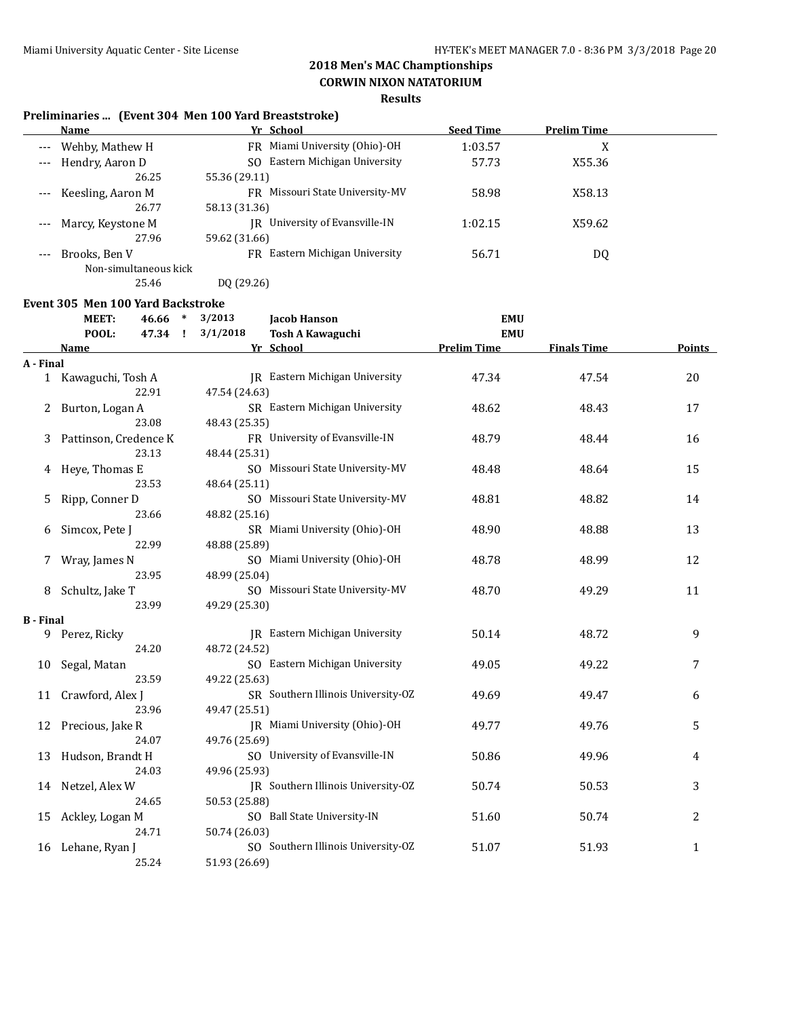**CORWIN NIXON NATATORIUM**

### **Results**

|          | <b>Name</b>           | Yr School                          | <b>Seed Time</b> | <b>Prelim Time</b> |
|----------|-----------------------|------------------------------------|------------------|--------------------|
| $---$    | Wehby, Mathew H       | FR Miami University (Ohio)-OH      | 1:03.57          | v<br>л             |
| $\cdots$ | Hendry, Aaron D       | Eastern Michigan University<br>SO. | 57.73            | X55.36             |
|          | 26.25                 | 55.36 (29.11)                      |                  |                    |
| $---$    | Keesling, Aaron M     | FR Missouri State University-MV    | 58.98            | X58.13             |
|          | 26.77                 | 58.13 (31.36)                      |                  |                    |
|          | Marcy, Keystone M     | University of Evansville-IN<br>IR  | 1:02.15          | X59.62             |
|          | 27.96                 | 59.62 (31.66)                      |                  |                    |
|          | Brooks, Ben V         | Eastern Michigan University<br>FR. | 56.71            | DQ                 |
|          | Non-simultaneous kick |                                    |                  |                    |
|          | 25.46                 | DO (29.26)                         |                  |                    |

#### **Event 305 Men 100 Yard Backstroke**

|                  | MEET:                 | 46.66 | $\ast$       | 3/2013        | <b>Jacob Hanson</b>                   | <b>EMU</b>         |                    |               |
|------------------|-----------------------|-------|--------------|---------------|---------------------------------------|--------------------|--------------------|---------------|
|                  | POOL:                 | 47.34 | $\mathbf{I}$ | 3/1/2018      | <b>Tosh A Kawaguchi</b>               | <b>EMU</b>         |                    |               |
|                  | <b>Name</b>           |       |              |               | Yr School                             | <b>Prelim Time</b> | <b>Finals Time</b> | <b>Points</b> |
| A - Final        |                       |       |              |               |                                       |                    |                    |               |
|                  | 1 Kawaguchi, Tosh A   |       |              |               | <b>IR</b> Eastern Michigan University | 47.34              | 47.54              | 20            |
|                  |                       | 22.91 |              | 47.54 (24.63) |                                       |                    |                    |               |
| 2                | Burton, Logan A       |       |              |               | SR Eastern Michigan University        | 48.62              | 48.43              | 17            |
|                  |                       | 23.08 |              | 48.43 (25.35) |                                       |                    |                    |               |
| 3                | Pattinson, Credence K |       |              |               | FR University of Evansville-IN        | 48.79              | 48.44              | 16            |
|                  |                       | 23.13 |              | 48.44 (25.31) |                                       |                    |                    |               |
| 4                | Heye, Thomas E        |       |              |               | SO Missouri State University-MV       | 48.48              | 48.64              | 15            |
|                  |                       | 23.53 |              | 48.64 (25.11) |                                       |                    |                    |               |
| 5                | Ripp, Conner D        |       |              |               | SO Missouri State University-MV       | 48.81              | 48.82              | 14            |
|                  |                       | 23.66 |              | 48.82 (25.16) |                                       |                    |                    |               |
| 6                | Simcox, Pete J        |       |              |               | SR Miami University (Ohio)-OH         | 48.90              | 48.88              | 13            |
|                  |                       | 22.99 |              | 48.88 (25.89) |                                       |                    |                    |               |
|                  | Wray, James N         |       |              |               | SO Miami University (Ohio)-OH         | 48.78              | 48.99              | 12            |
|                  |                       | 23.95 |              | 48.99 (25.04) |                                       |                    |                    |               |
| 8                | Schultz, Jake T       |       |              |               | SO Missouri State University-MV       | 48.70              | 49.29              | 11            |
|                  |                       | 23.99 |              | 49.29 (25.30) |                                       |                    |                    |               |
| <b>B</b> - Final |                       |       |              |               |                                       |                    |                    |               |
| 9                | Perez, Ricky          |       |              |               | JR Eastern Michigan University        | 50.14              | 48.72              | 9             |
|                  |                       | 24.20 |              | 48.72 (24.52) |                                       |                    |                    |               |
| 10               | Segal, Matan          |       |              |               | SO Eastern Michigan University        | 49.05              | 49.22              | 7             |
|                  |                       | 23.59 |              | 49.22 (25.63) |                                       |                    |                    |               |
| 11               | Crawford, Alex J      |       |              |               | SR Southern Illinois University-OZ    | 49.69              | 49.47              | 6             |
|                  |                       | 23.96 |              | 49.47 (25.51) |                                       |                    |                    |               |
| 12               | Precious, Jake R      |       |              |               | JR Miami University (Ohio)-OH         | 49.77              | 49.76              | 5             |
|                  |                       | 24.07 |              | 49.76 (25.69) |                                       |                    |                    |               |
| 13               | Hudson, Brandt H      |       |              |               | SO University of Evansville-IN        | 50.86              | 49.96              | 4             |
|                  |                       | 24.03 |              | 49.96 (25.93) |                                       |                    |                    |               |
| 14               | Netzel, Alex W        |       |              |               | JR Southern Illinois University-OZ    | 50.74              | 50.53              | 3             |
|                  |                       | 24.65 |              | 50.53 (25.88) |                                       |                    |                    |               |
| 15               | Ackley, Logan M       |       |              |               | SO Ball State University-IN           | 51.60              | 50.74              | 2             |
|                  |                       | 24.71 |              | 50.74 (26.03) |                                       |                    |                    |               |
| 16               | Lehane, Ryan J        |       |              |               | SO Southern Illinois University-OZ    | 51.07              | 51.93              | 1             |
|                  |                       |       |              |               |                                       |                    |                    |               |
|                  |                       | 25.24 |              | 51.93 (26.69) |                                       |                    |                    |               |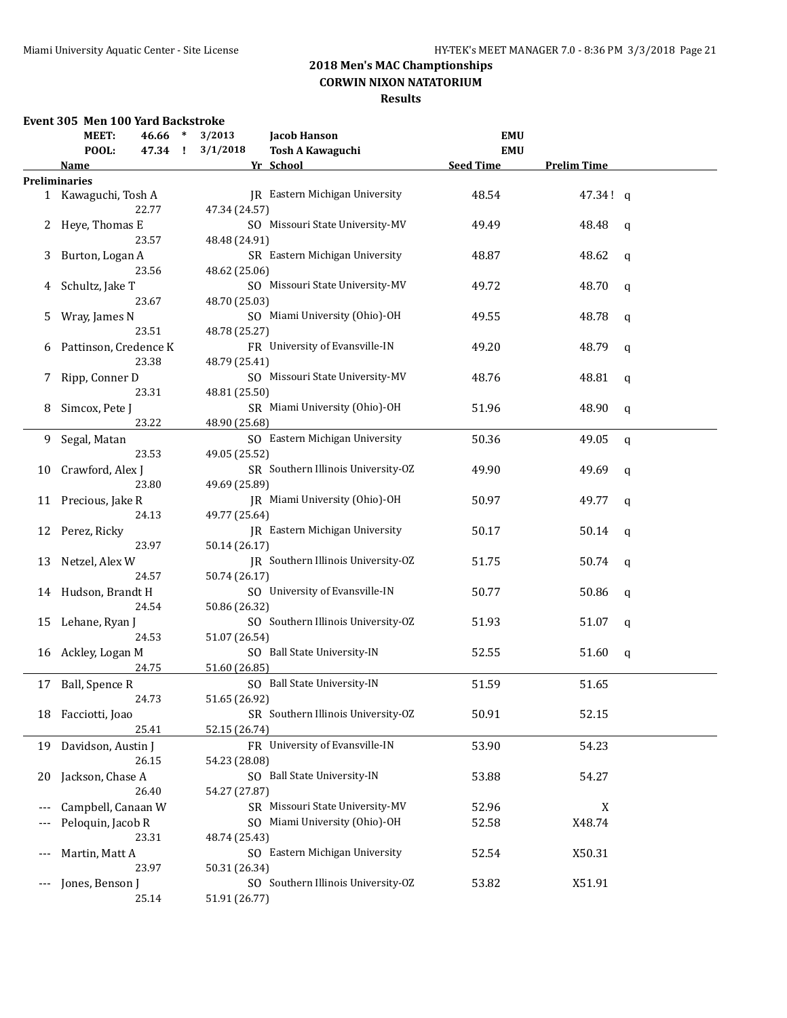## **Results**

### **Event 305 Men 100 Yard Backstroke**

|       | MEET:                 | $46.66$ * |   | 3/2013        | <b>Jacob Hanson</b>                   | <b>EMU</b>       |                    |             |
|-------|-----------------------|-----------|---|---------------|---------------------------------------|------------------|--------------------|-------------|
|       | POOL:                 | 47.34     | Ţ | 3/1/2018      | <b>Tosh A Kawaguchi</b>               | <b>EMU</b>       |                    |             |
|       | Name                  |           |   |               | Yr School                             | <b>Seed Time</b> | <b>Prelim Time</b> |             |
|       | <b>Preliminaries</b>  |           |   |               |                                       |                  |                    |             |
|       | 1 Kawaguchi, Tosh A   |           |   |               | JR Eastern Michigan University        | 48.54            | 47.34! q           |             |
|       |                       | 22.77     |   | 47.34 (24.57) |                                       |                  |                    |             |
| 2     | Heye, Thomas E        |           |   |               | SO Missouri State University-MV       | 49.49            | 48.48              | q           |
|       |                       | 23.57     |   | 48.48 (24.91) |                                       |                  |                    |             |
|       | Burton, Logan A       |           |   |               | SR Eastern Michigan University        | 48.87            |                    |             |
| 3     |                       |           |   |               |                                       |                  | 48.62              | $\mathbf q$ |
|       |                       | 23.56     |   | 48.62 (25.06) |                                       |                  |                    |             |
| 4     | Schultz, Jake T       |           |   |               | SO Missouri State University-MV       | 49.72            | 48.70              | q           |
|       |                       | 23.67     |   | 48.70 (25.03) |                                       |                  |                    |             |
| 5     | Wray, James N         |           |   |               | SO Miami University (Ohio)-OH         | 49.55            | 48.78              | q           |
|       |                       | 23.51     |   | 48.78 (25.27) |                                       |                  |                    |             |
| 6     | Pattinson, Credence K |           |   |               | FR University of Evansville-IN        | 49.20            | 48.79              | q           |
|       |                       | 23.38     |   | 48.79 (25.41) |                                       |                  |                    |             |
| 7     | Ripp, Conner D        |           |   |               | SO Missouri State University-MV       | 48.76            | 48.81              | q           |
|       |                       | 23.31     |   | 48.81 (25.50) |                                       |                  |                    |             |
| 8     | Simcox, Pete J        |           |   |               | SR Miami University (Ohio)-OH         | 51.96            | 48.90              | q           |
|       |                       | 23.22     |   | 48.90 (25.68) |                                       |                  |                    |             |
|       |                       |           |   |               |                                       |                  |                    |             |
| 9     | Segal, Matan          |           |   |               | SO Eastern Michigan University        | 50.36            | 49.05              | q           |
|       |                       | 23.53     |   | 49.05 (25.52) |                                       |                  |                    |             |
| 10    | Crawford, Alex J      |           |   |               | SR Southern Illinois University-OZ    | 49.90            | 49.69              | q           |
|       |                       | 23.80     |   | 49.69 (25.89) |                                       |                  |                    |             |
| 11    | Precious, Jake R      |           |   |               | JR Miami University (Ohio)-OH         | 50.97            | 49.77              | q           |
|       |                       | 24.13     |   | 49.77 (25.64) |                                       |                  |                    |             |
| 12    | Perez, Ricky          |           |   |               | <b>IR</b> Eastern Michigan University | 50.17            | 50.14              | q           |
|       |                       | 23.97     |   | 50.14 (26.17) |                                       |                  |                    |             |
| 13    | Netzel, Alex W        |           |   |               | JR Southern Illinois University-OZ    | 51.75            | 50.74              | q           |
|       |                       | 24.57     |   | 50.74 (26.17) |                                       |                  |                    |             |
| 14    | Hudson, Brandt H      |           |   |               | SO University of Evansville-IN        | 50.77            | 50.86              | q           |
|       |                       | 24.54     |   | 50.86 (26.32) |                                       |                  |                    |             |
|       |                       |           |   |               | SO Southern Illinois University-OZ    |                  |                    |             |
| 15    | Lehane, Ryan J        |           |   |               |                                       | 51.93            | 51.07              | q           |
|       |                       | 24.53     |   | 51.07 (26.54) |                                       |                  |                    |             |
| 16    | Ackley, Logan M       |           |   |               | SO Ball State University-IN           | 52.55            | 51.60              | q           |
|       |                       | 24.75     |   | 51.60 (26.85) |                                       |                  |                    |             |
| 17    | Ball, Spence R        |           |   |               | SO Ball State University-IN           | 51.59            | 51.65              |             |
|       |                       | 24.73     |   | 51.65 (26.92) |                                       |                  |                    |             |
|       | 18 Facciotti, Joao    |           |   |               | SR Southern Illinois University-OZ    | 50.91            | 52.15              |             |
|       |                       | 25.41     |   | 52.15 (26.74) |                                       |                  |                    |             |
| 19    | Davidson, Austin J    |           |   |               | FR University of Evansville-IN        | 53.90            | 54.23              |             |
|       |                       | 26.15     |   | 54.23 (28.08) |                                       |                  |                    |             |
| 20    | Jackson, Chase A      |           |   |               | SO Ball State University-IN           | 53.88            | 54.27              |             |
|       |                       | 26.40     |   |               |                                       |                  |                    |             |
|       |                       |           |   | 54.27 (27.87) |                                       |                  |                    |             |
| $---$ | Campbell, Canaan W    |           |   |               | SR Missouri State University-MV       | 52.96            | X                  |             |
|       | Peloquin, Jacob R     |           |   |               | SO Miami University (Ohio)-OH         | 52.58            | X48.74             |             |
|       |                       | 23.31     |   | 48.74 (25.43) |                                       |                  |                    |             |
| $---$ | Martin, Matt A        |           |   |               | SO Eastern Michigan University        | 52.54            | X50.31             |             |
|       |                       | 23.97     |   | 50.31 (26.34) |                                       |                  |                    |             |
| $---$ | Jones, Benson J       |           |   |               | SO Southern Illinois University-OZ    | 53.82            | X51.91             |             |
|       |                       | 25.14     |   | 51.91 (26.77) |                                       |                  |                    |             |
|       |                       |           |   |               |                                       |                  |                    |             |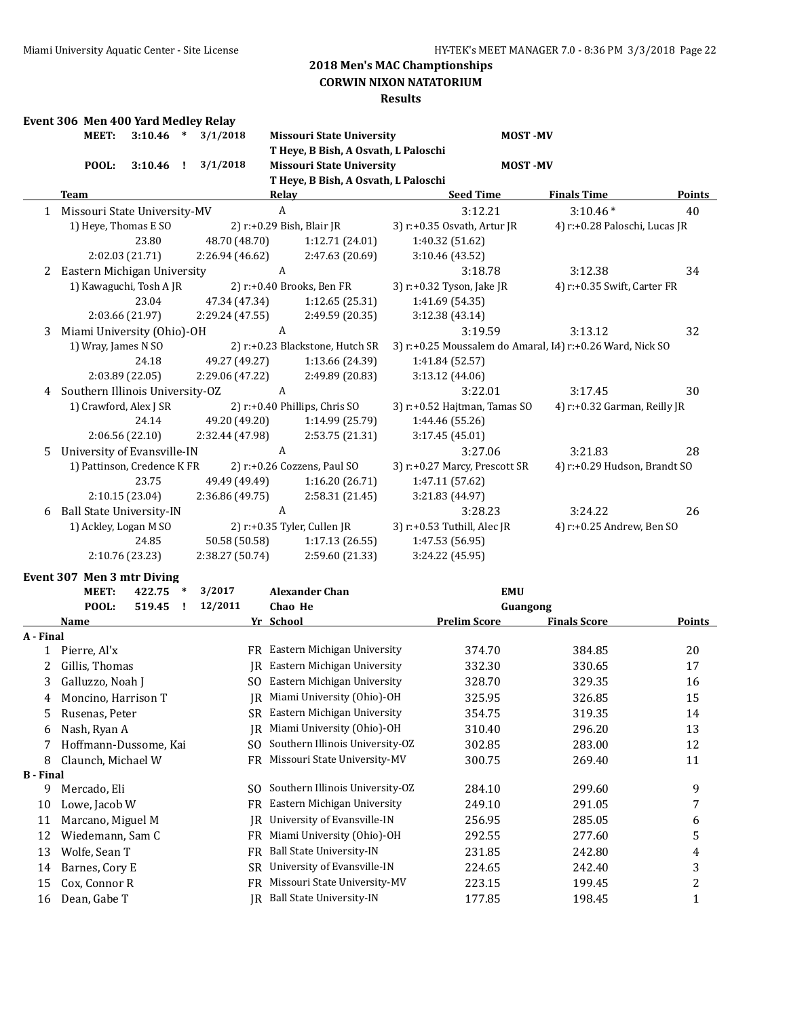### **CORWIN NIXON NATATORIUM**

|                  | Event 306 Men 400 Yard Medley Relay |                 |        |                 |                  |                                       |                               |                                                           |               |
|------------------|-------------------------------------|-----------------|--------|-----------------|------------------|---------------------------------------|-------------------------------|-----------------------------------------------------------|---------------|
|                  | <b>MEET:</b>                        | 3:10.46         | $\ast$ | 3/1/2018        |                  | <b>Missouri State University</b>      | <b>MOST-MV</b>                |                                                           |               |
|                  |                                     |                 |        |                 |                  | T Heye, B Bish, A Osvath, L Paloschi  |                               |                                                           |               |
|                  | POOL:                               | 3:10.46         | ÷.     | 3/1/2018        |                  | <b>Missouri State University</b>      | <b>MOST-MV</b>                |                                                           |               |
|                  |                                     |                 |        |                 |                  | T Heye, B Bish, A Osvath, L Paloschi  |                               |                                                           |               |
|                  | Team                                |                 |        |                 | <b>Relay</b>     |                                       | <b>Seed Time</b>              | <b>Finals Time</b>                                        | <b>Points</b> |
|                  | 1 Missouri State University-MV      |                 |        |                 | $\boldsymbol{A}$ |                                       | 3:12.21                       | $3:10.46*$                                                | 40            |
|                  | 1) Heye, Thomas E SO                |                 |        |                 |                  | 2) r:+0.29 Bish, Blair JR             | 3) r:+0.35 Osvath, Artur JR   | 4) r:+0.28 Paloschi, Lucas JR                             |               |
|                  |                                     | 23.80           |        | 48.70 (48.70)   |                  | 1:12.71 (24.01)                       | 1:40.32 (51.62)               |                                                           |               |
|                  |                                     | 2:02.03 (21.71) |        | 2:26.94 (46.62) |                  | 2:47.63 (20.69)                       | 3:10.46 (43.52)               |                                                           |               |
| 2                | Eastern Michigan University         |                 |        |                 | A                |                                       | 3:18.78                       | 3:12.38                                                   | 34            |
|                  | 1) Kawaguchi, Tosh A JR             |                 |        |                 |                  | 2) r:+0.40 Brooks, Ben FR             | 3) r:+0.32 Tyson, Jake JR     | 4) r:+0.35 Swift, Carter FR                               |               |
|                  |                                     | 23.04           |        | 47.34 (47.34)   |                  | 1:12.65(25.31)                        | 1:41.69 (54.35)               |                                                           |               |
|                  |                                     | 2:03.66 (21.97) |        | 2:29.24 (47.55) |                  | 2:49.59 (20.35)                       | 3:12.38 (43.14)               |                                                           |               |
| 3                | Miami University (Ohio)-OH          |                 |        |                 | A                |                                       | 3:19.59                       | 3:13.12                                                   | 32            |
|                  | 1) Wray, James N SO                 |                 |        |                 |                  | 2) r:+0.23 Blackstone, Hutch SR       |                               | 3) r:+0.25 Moussalem do Amaral, I4) r:+0.26 Ward, Nick SO |               |
|                  |                                     | 24.18           |        | 49.27 (49.27)   |                  | 1:13.66 (24.39)                       | 1:41.84 (52.57)               |                                                           |               |
|                  |                                     | 2:03.89 (22.05) |        | 2:29.06 (47.22) |                  | 2:49.89 (20.83)                       | 3:13.12 (44.06)               |                                                           |               |
| 4                | Southern Illinois University-OZ     |                 |        |                 | A                |                                       | 3:22.01                       | 3:17.45                                                   | 30            |
|                  | 1) Crawford, Alex J SR              |                 |        |                 |                  | 2) r:+0.40 Phillips, Chris SO         | 3) r:+0.52 Hajtman, Tamas SO  | 4) r:+0.32 Garman, Reilly JR                              |               |
|                  |                                     | 24.14           |        | 49.20 (49.20)   |                  | 1:14.99 (25.79)                       | 1:44.46 (55.26)               |                                                           |               |
|                  |                                     | 2:06.56 (22.10) |        | 2:32.44 (47.98) |                  | 2:53.75 (21.31)                       | 3:17.45 (45.01)               |                                                           |               |
| 5.               | University of Evansville-IN         |                 |        |                 | A                |                                       | 3:27.06                       | 3:21.83                                                   | 28            |
|                  | 1) Pattinson, Credence K FR         |                 |        |                 |                  | 2) r:+0.26 Cozzens, Paul SO           | 3) r:+0.27 Marcy, Prescott SR | 4) r:+0.29 Hudson, Brandt SO                              |               |
|                  |                                     | 23.75           |        | 49.49 (49.49)   |                  | 1:16.20 (26.71)                       | 1:47.11 (57.62)               |                                                           |               |
|                  |                                     | 2:10.15 (23.04) |        | 2:36.86 (49.75) |                  | 2:58.31 (21.45)                       | 3:21.83 (44.97)               |                                                           |               |
| 6                | <b>Ball State University-IN</b>     |                 |        |                 | $\boldsymbol{A}$ |                                       | 3:28.23                       | 3:24.22                                                   | 26            |
|                  | 1) Ackley, Logan M SO               |                 |        |                 |                  | 2) r:+0.35 Tyler, Cullen JR           | 3) r:+0.53 Tuthill, Alec JR   | 4) r:+0.25 Andrew, Ben SO                                 |               |
|                  |                                     | 24.85           |        | 50.58 (50.58)   |                  | 1:17.13(26.55)                        | 1:47.53 (56.95)               |                                                           |               |
|                  |                                     | 2:10.76 (23.23) |        | 2:38.27 (50.74) |                  | 2:59.60 (21.33)                       | 3:24.22 (45.95)               |                                                           |               |
|                  | Event 307 Men 3 mtr Diving          |                 |        |                 |                  |                                       |                               |                                                           |               |
|                  | <b>MEET:</b>                        | 422.75          | $\ast$ | 3/2017          |                  | <b>Alexander Chan</b>                 | <b>EMU</b>                    |                                                           |               |
|                  | POOL:                               | 519.45          | I.     | 12/2011         | Chao He          |                                       | Guangong                      |                                                           |               |
|                  | <b>Name</b>                         |                 |        |                 | Yr School        |                                       | <b>Prelim Score</b>           | <b>Finals Score</b>                                       | <b>Points</b> |
| A - Final        |                                     |                 |        |                 |                  |                                       |                               |                                                           |               |
|                  | 1 Pierre, Al'x                      |                 |        |                 |                  | FR Eastern Michigan University        | 374.70                        | 384.85                                                    | 20            |
| 2                | Gillis, Thomas                      |                 |        |                 |                  | <b>IR</b> Eastern Michigan University | 332.30                        | 330.65                                                    | 17            |
| 3                | Galluzzo, Noah J                    |                 |        |                 |                  | SO Eastern Michigan University        | 328.70                        | 329.35                                                    | 16            |
| 4                | Moncino, Harrison T                 |                 |        |                 |                  | JR Miami University (Ohio)-OH         | 325.95                        | 326.85                                                    | 15            |
| 5                | Rusenas, Peter                      |                 |        | SR.             |                  | Eastern Michigan University           | 354.75                        | 319.35                                                    | 14            |
| 6                | Nash, Ryan A                        |                 |        | IR              |                  | Miami University (Ohio)-OH            | 310.40                        | 296.20                                                    | 13            |
| 7                | Hoffmann-Dussome, Kai               |                 |        | SO.             |                  | Southern Illinois University-OZ       | 302.85                        | 283.00                                                    | 12            |
| 8                | Claunch, Michael W                  |                 |        | FR              |                  | Missouri State University-MV          | 300.75                        | 269.40                                                    | 11            |
| <b>B</b> - Final |                                     |                 |        |                 |                  |                                       |                               |                                                           |               |
| 9                | Mercado, Eli                        |                 |        |                 |                  | SO Southern Illinois University-OZ    | 284.10                        | 299.60                                                    | 9             |
| 10               | Lowe, Jacob W                       |                 |        | FR              |                  | Eastern Michigan University           | 249.10                        | 291.05                                                    | 7             |
| 11               | Marcano, Miguel M                   |                 |        | IR              |                  | University of Evansville-IN           | 256.95                        | 285.05                                                    | 6             |
| 12               | Wiedemann, Sam C                    |                 |        | FR              |                  | Miami University (Ohio)-OH            | 292.55                        | 277.60                                                    | 5             |
| 13               | Wolfe, Sean T                       |                 |        | FR              |                  | <b>Ball State University-IN</b>       | 231.85                        | 242.80                                                    | 4             |
| 14               | Barnes, Cory E                      |                 |        | SR              |                  | University of Evansville-IN           | 224.65                        | 242.40                                                    | 3             |
| 15               | Cox, Connor R                       |                 |        | FR              |                  | Missouri State University-MV          | 223.15                        | 199.45                                                    | 2             |
| 16               | Dean, Gabe T                        |                 |        |                 |                  | JR Ball State University-IN           | 177.85                        | 198.45                                                    | $\mathbf{1}$  |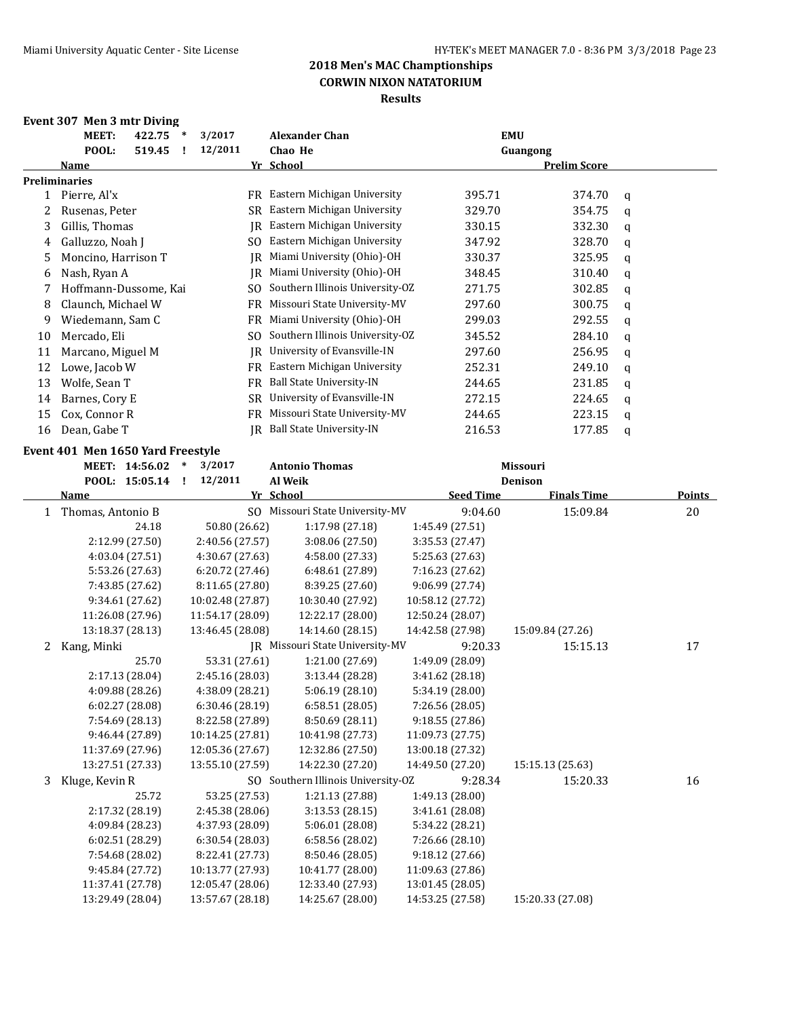### **Event 307 Men 3 mtr Diving**

|    | MEET:                 | 422.75 | $\ast$ | 3/2017  |           | <b>Alexander Chan</b>           | <b>EMU</b> |                     |   |
|----|-----------------------|--------|--------|---------|-----------|---------------------------------|------------|---------------------|---|
|    | POOL:                 | 519.45 |        | 12/2011 |           | Chao He                         | Guangong   |                     |   |
|    | <b>Name</b>           |        |        |         |           | Yr School                       |            | <b>Prelim Score</b> |   |
|    | <b>Preliminaries</b>  |        |        |         |           |                                 |            |                     |   |
|    | Pierre, Al'x          |        |        |         | FR        | Eastern Michigan University     | 395.71     | 374.70              | q |
|    | Rusenas, Peter        |        |        |         | SR        | Eastern Michigan University     | 329.70     | 354.75              | q |
| 3  | Gillis, Thomas        |        |        |         | IR        | Eastern Michigan University     | 330.15     | 332.30              | q |
| 4  | Galluzzo, Noah J      |        |        |         | SO.       | Eastern Michigan University     | 347.92     | 328.70              | q |
| 5. | Moncino, Harrison T   |        |        |         | IR        | Miami University (Ohio)-OH      | 330.37     | 325.95              | q |
| 6  | Nash, Ryan A          |        |        |         | IR        | Miami University (Ohio)-OH      | 348.45     | 310.40              | q |
| 7  | Hoffmann-Dussome, Kai |        |        |         | SO.       | Southern Illinois University-OZ | 271.75     | 302.85              | q |
| 8  | Claunch, Michael W    |        |        |         | FR.       | Missouri State University-MV    | 297.60     | 300.75              | q |
| 9  | Wiedemann, Sam C      |        |        |         | <b>FR</b> | Miami University (Ohio)-OH      | 299.03     | 292.55              | a |
| 10 | Mercado, Eli          |        |        |         | SO.       | Southern Illinois University-OZ | 345.52     | 284.10              | q |
| 11 | Marcano, Miguel M     |        |        |         | IR        | University of Evansville-IN     | 297.60     | 256.95              | q |
| 12 | Lowe, Jacob W         |        |        |         | FR.       | Eastern Michigan University     | 252.31     | 249.10              | q |
| 13 | Wolfe, Sean T         |        |        |         | <b>FR</b> | Ball State University-IN        | 244.65     | 231.85              | q |
| 14 | Barnes, Cory E        |        |        |         | <b>SR</b> | University of Evansville-IN     | 272.15     | 224.65              | q |
| 15 | Cox, Connor R         |        |        |         | FR        | Missouri State University-MV    | 244.65     | 223.15              | q |
| 16 | Dean, Gabe T          |        |        |         | IR        | <b>Ball State University-IN</b> | 216.53     | 177.85              | q |

#### **Event 401 Men 1650 Yard Freestyle**

|              | MEET: 14:56.02         | 3/2017<br>$\ast$          | <b>Antonio Thomas</b>              |                  | Missouri                             |               |
|--------------|------------------------|---------------------------|------------------------------------|------------------|--------------------------------------|---------------|
|              | POOL: 15:05.14<br>Name | 12/2011<br>п<br>Yr School | Al Weik                            | <b>Seed Time</b> | <b>Denison</b><br><b>Finals Time</b> | <b>Points</b> |
| $\mathbf{1}$ | Thomas, Antonio B      |                           | SO Missouri State University-MV    | 9:04.60          | 15:09.84                             | 20            |
|              | 24.18                  | 50.80 (26.62)             | 1:17.98 (27.18)                    | 1:45.49 (27.51)  |                                      |               |
|              | 2:12.99 (27.50)        | 2:40.56 (27.57)           | 3:08.06 (27.50)                    | 3:35.53 (27.47)  |                                      |               |
|              | 4:03.04 (27.51)        | 4:30.67 (27.63)           | 4:58.00 (27.33)                    | 5:25.63 (27.63)  |                                      |               |
|              | 5:53.26 (27.63)        | 6:20.72(27.46)            | 6:48.61 (27.89)                    | 7:16.23 (27.62)  |                                      |               |
|              | 7:43.85 (27.62)        | 8:11.65 (27.80)           | 8:39.25 (27.60)                    | 9:06.99 (27.74)  |                                      |               |
|              | 9:34.61 (27.62)        | 10:02.48 (27.87)          |                                    |                  |                                      |               |
|              |                        |                           | 10:30.40 (27.92)                   | 10:58.12 (27.72) |                                      |               |
|              | 11:26.08 (27.96)       | 11:54.17 (28.09)          | 12:22.17 (28.00)                   | 12:50.24 (28.07) |                                      |               |
|              | 13:18.37 (28.13)       | 13:46.45 (28.08)          | 14:14.60 (28.15)                   | 14:42.58 (27.98) | 15:09.84 (27.26)                     |               |
| 2            | Kang, Minki            |                           | IR Missouri State University-MV    | 9:20.33          | 15:15.13                             | 17            |
|              | 25.70                  | 53.31 (27.61)             | 1:21.00 (27.69)                    | 1:49.09 (28.09)  |                                      |               |
|              | 2:17.13 (28.04)        | 2:45.16 (28.03)           | 3:13.44 (28.28)                    | 3:41.62 (28.18)  |                                      |               |
|              | 4:09.88 (28.26)        | 4:38.09 (28.21)           | 5:06.19(28.10)                     | 5:34.19 (28.00)  |                                      |               |
|              | 6:02.27(28.08)         | 6:30.46 (28.19)           | 6:58.51(28.05)                     | 7:26.56 (28.05)  |                                      |               |
|              | 7:54.69 (28.13)        | 8:22.58 (27.89)           | 8:50.69 (28.11)                    | 9:18.55 (27.86)  |                                      |               |
|              | 9:46.44 (27.89)        | 10:14.25 (27.81)          | 10:41.98 (27.73)                   | 11:09.73 (27.75) |                                      |               |
|              | 11:37.69 (27.96)       | 12:05.36 (27.67)          | 12:32.86 (27.50)                   | 13:00.18 (27.32) |                                      |               |
|              | 13:27.51 (27.33)       | 13:55.10 (27.59)          | 14:22.30 (27.20)                   | 14:49.50 (27.20) | 15:15.13 (25.63)                     |               |
| 3            | Kluge, Kevin R         |                           | SO Southern Illinois University-OZ | 9:28.34          | 15:20.33                             | 16            |
|              | 25.72                  | 53.25 (27.53)             | 1:21.13 (27.88)                    | 1:49.13 (28.00)  |                                      |               |
|              | 2:17.32 (28.19)        | 2:45.38 (28.06)           | 3:13.53 (28.15)                    | 3:41.61 (28.08)  |                                      |               |
|              | 4:09.84 (28.23)        | 4:37.93 (28.09)           | 5:06.01 (28.08)                    | 5:34.22 (28.21)  |                                      |               |
|              | 6:02.51(28.29)         | 6:30.54(28.03)            | 6:58.56(28.02)                     | 7:26.66 (28.10)  |                                      |               |
|              | 7:54.68 (28.02)        | 8:22.41 (27.73)           | 8:50.46 (28.05)                    | 9:18.12(27.66)   |                                      |               |
|              | 9:45.84 (27.72)        | 10:13.77 (27.93)          | 10:41.77 (28.00)                   | 11:09.63 (27.86) |                                      |               |
|              | 11:37.41 (27.78)       | 12:05.47 (28.06)          | 12:33.40 (27.93)                   | 13:01.45 (28.05) |                                      |               |
|              | 13:29.49 (28.04)       | 13:57.67 (28.18)          | 14:25.67 (28.00)                   | 14:53.25 (27.58) | 15:20.33 (27.08)                     |               |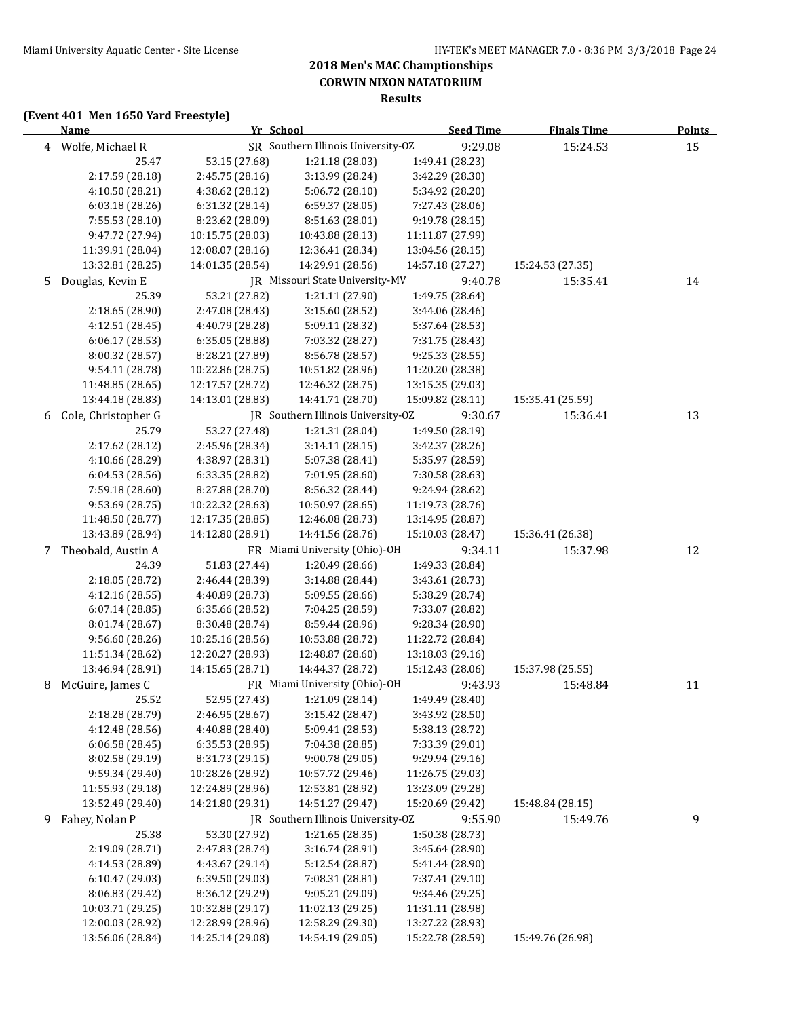### **(Event 401 Men 1650 Yard Freestyle)**

|   | <b>Name</b>                        | Yr School                          |                                    | <b>Seed Time</b>                   | <b>Finals Time</b> | <u>Points</u> |
|---|------------------------------------|------------------------------------|------------------------------------|------------------------------------|--------------------|---------------|
|   | 4 Wolfe, Michael R                 |                                    | SR Southern Illinois University-OZ | 9:29.08                            | 15:24.53           | 15            |
|   | 25.47                              | 53.15 (27.68)                      | 1:21.18 (28.03)                    | 1:49.41 (28.23)                    |                    |               |
|   | 2:17.59 (28.18)                    | 2:45.75 (28.16)                    | 3:13.99 (28.24)                    | 3:42.29 (28.30)                    |                    |               |
|   | 4:10.50 (28.21)                    | 4:38.62 (28.12)                    | 5:06.72 (28.10)                    | 5:34.92 (28.20)                    |                    |               |
|   | 6:03.18(28.26)                     | 6:31.32 (28.14)                    | 6:59.37 (28.05)                    | 7:27.43 (28.06)                    |                    |               |
|   | 7:55.53 (28.10)                    | 8:23.62 (28.09)                    | 8:51.63 (28.01)                    | 9:19.78 (28.15)                    |                    |               |
|   | 9:47.72 (27.94)                    | 10:15.75 (28.03)                   | 10:43.88 (28.13)                   | 11:11.87 (27.99)                   |                    |               |
|   | 11:39.91 (28.04)                   | 12:08.07 (28.16)                   | 12:36.41 (28.34)                   | 13:04.56 (28.15)                   |                    |               |
|   | 13:32.81 (28.25)                   | 14:01.35 (28.54)                   | 14:29.91 (28.56)                   | 14:57.18 (27.27)                   | 15:24.53 (27.35)   |               |
| 5 | Douglas, Kevin E                   |                                    | JR Missouri State University-MV    | 9:40.78                            | 15:35.41           | 14            |
|   | 25.39                              | 53.21 (27.82)                      | 1:21.11 (27.90)                    | 1:49.75 (28.64)                    |                    |               |
|   | 2:18.65 (28.90)                    | 2:47.08 (28.43)                    | 3:15.60 (28.52)                    | 3:44.06 (28.46)                    |                    |               |
|   | 4:12.51 (28.45)                    | 4:40.79 (28.28)                    | 5:09.11 (28.32)                    | 5:37.64 (28.53)                    |                    |               |
|   | 6:06.17 (28.53)                    | 6:35.05 (28.88)                    | 7:03.32 (28.27)                    | 7:31.75 (28.43)                    |                    |               |
|   | 8:00.32 (28.57)                    | 8:28.21 (27.89)                    | 8:56.78 (28.57)                    | 9:25.33 (28.55)                    |                    |               |
|   | 9:54.11 (28.78)                    | 10:22.86 (28.75)                   | 10:51.82 (28.96)                   | 11:20.20 (28.38)                   |                    |               |
|   | 11:48.85 (28.65)                   | 12:17.57 (28.72)                   | 12:46.32 (28.75)                   | 13:15.35 (29.03)                   |                    |               |
|   | 13:44.18 (28.83)                   | 14:13.01 (28.83)                   | 14:41.71 (28.70)                   | 15:09.82 (28.11)                   | 15:35.41 (25.59)   |               |
| 6 | Cole, Christopher G                |                                    | JR Southern Illinois University-OZ | 9:30.67                            | 15:36.41           | 13            |
|   | 25.79                              | 53.27 (27.48)                      | 1:21.31 (28.04)                    | 1:49.50 (28.19)                    |                    |               |
|   | 2:17.62 (28.12)                    | 2:45.96 (28.34)                    | 3:14.11(28.15)                     | 3:42.37 (28.26)                    |                    |               |
|   | 4:10.66 (28.29)                    | 4:38.97 (28.31)                    | 5:07.38 (28.41)                    | 5:35.97 (28.59)                    |                    |               |
|   | 6:04.53 (28.56)                    | 6:33.35 (28.82)                    | 7:01.95 (28.60)                    | 7:30.58 (28.63)                    |                    |               |
|   | 7:59.18 (28.60)                    | 8:27.88 (28.70)                    | 8:56.32 (28.44)                    | 9:24.94 (28.62)                    |                    |               |
|   | 9:53.69 (28.75)                    | 10:22.32 (28.63)                   | 10:50.97 (28.65)                   | 11:19.73 (28.76)                   |                    |               |
|   | 11:48.50 (28.77)                   | 12:17.35 (28.85)                   | 12:46.08 (28.73)                   | 13:14.95 (28.87)                   |                    |               |
|   | 13:43.89 (28.94)                   | 14:12.80 (28.91)                   | 14:41.56 (28.76)                   | 15:10.03 (28.47)                   | 15:36.41 (26.38)   |               |
| 7 | Theobald, Austin A                 |                                    | FR Miami University (Ohio)-OH      | 9:34.11                            | 15:37.98           | 12            |
|   | 24.39                              | 51.83 (27.44)                      | 1:20.49 (28.66)                    | 1:49.33 (28.84)                    |                    |               |
|   | 2:18.05 (28.72)<br>4:12.16 (28.55) | 2:46.44 (28.39)<br>4:40.89 (28.73) | 3:14.88 (28.44)<br>5:09.55 (28.66) | 3:43.61 (28.73)<br>5:38.29 (28.74) |                    |               |
|   | 6:07.14(28.85)                     | 6:35.66 (28.52)                    | 7:04.25 (28.59)                    | 7:33.07 (28.82)                    |                    |               |
|   | 8:01.74 (28.67)                    | 8:30.48 (28.74)                    | 8:59.44 (28.96)                    | 9:28.34 (28.90)                    |                    |               |
|   | 9:56.60 (28.26)                    | 10:25.16 (28.56)                   | 10:53.88 (28.72)                   | 11:22.72 (28.84)                   |                    |               |
|   | 11:51.34 (28.62)                   | 12:20.27 (28.93)                   | 12:48.87 (28.60)                   | 13:18.03 (29.16)                   |                    |               |
|   | 13:46.94 (28.91)                   | 14:15.65 (28.71)                   | 14:44.37 (28.72)                   | 15:12.43 (28.06)                   | 15:37.98 (25.55)   |               |
| 8 | McGuire, James C                   |                                    | FR Miami University (Ohio)-OH      | 9:43.93                            | 15:48.84           | 11            |
|   | 25.52                              | 52.95 (27.43)                      | 1:21.09 (28.14)                    | 1:49.49 (28.40)                    |                    |               |
|   | 2:18.28 (28.79)                    | 2:46.95 (28.67)                    | 3:15.42 (28.47)                    | 3:43.92 (28.50)                    |                    |               |
|   | 4:12.48 (28.56)                    | 4:40.88 (28.40)                    | 5:09.41 (28.53)                    | 5:38.13 (28.72)                    |                    |               |
|   | 6:06.58(28.45)                     | 6:35.53 (28.95)                    | 7:04.38 (28.85)                    | 7:33.39 (29.01)                    |                    |               |
|   | 8:02.58 (29.19)                    | 8:31.73 (29.15)                    | 9:00.78 (29.05)                    | 9:29.94 (29.16)                    |                    |               |
|   | 9:59.34 (29.40)                    | 10:28.26 (28.92)                   | 10:57.72 (29.46)                   | 11:26.75 (29.03)                   |                    |               |
|   | 11:55.93 (29.18)                   | 12:24.89 (28.96)                   | 12:53.81 (28.92)                   | 13:23.09 (29.28)                   |                    |               |
|   | 13:52.49 (29.40)                   | 14:21.80 (29.31)                   | 14:51.27 (29.47)                   | 15:20.69 (29.42)                   | 15:48.84 (28.15)   |               |
| 9 | Fahey, Nolan P                     |                                    | JR Southern Illinois University-OZ | 9:55.90                            | 15:49.76           | 9             |
|   | 25.38                              | 53.30 (27.92)                      | 1:21.65(28.35)                     | 1:50.38 (28.73)                    |                    |               |
|   | 2:19.09 (28.71)                    | 2:47.83 (28.74)                    | 3:16.74 (28.91)                    | 3:45.64 (28.90)                    |                    |               |
|   | 4:14.53 (28.89)                    | 4:43.67 (29.14)                    | 5:12.54 (28.87)                    | 5:41.44 (28.90)                    |                    |               |
|   | 6:10.47 (29.03)                    | 6:39.50 (29.03)                    | 7:08.31 (28.81)                    | 7:37.41 (29.10)                    |                    |               |
|   | 8:06.83 (29.42)                    | 8:36.12 (29.29)                    | 9:05.21 (29.09)                    | 9:34.46 (29.25)                    |                    |               |
|   | 10:03.71 (29.25)                   | 10:32.88 (29.17)                   | 11:02.13 (29.25)                   | 11:31.11 (28.98)                   |                    |               |
|   | 12:00.03 (28.92)                   | 12:28.99 (28.96)                   | 12:58.29 (29.30)                   | 13:27.22 (28.93)                   |                    |               |
|   | 13:56.06 (28.84)                   | 14:25.14 (29.08)                   | 14:54.19 (29.05)                   | 15:22.78 (28.59)                   | 15:49.76 (26.98)   |               |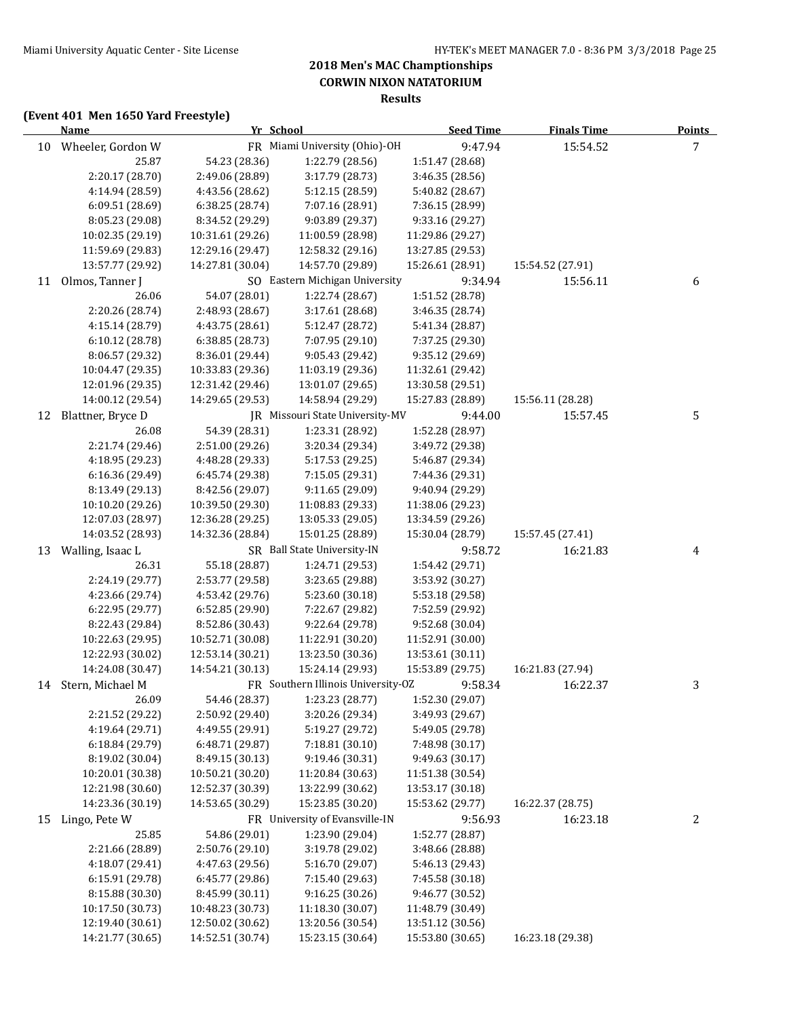### **(Event 401 Men 1650 Yard Freestyle)**

|    | <b>Name</b>          |                  | Yr School                          | <b>Seed Time</b> | <b>Finals Time</b> | Points |
|----|----------------------|------------------|------------------------------------|------------------|--------------------|--------|
|    | 10 Wheeler, Gordon W |                  | FR Miami University (Ohio)-OH      | 9:47.94          | 15:54.52           | 7      |
|    | 25.87                | 54.23 (28.36)    | 1:22.79 (28.56)                    | 1:51.47 (28.68)  |                    |        |
|    | 2:20.17 (28.70)      | 2:49.06 (28.89)  | 3:17.79 (28.73)                    | 3:46.35 (28.56)  |                    |        |
|    | 4:14.94 (28.59)      | 4:43.56 (28.62)  | 5:12.15 (28.59)                    | 5:40.82 (28.67)  |                    |        |
|    | 6:09.51 (28.69)      | 6:38.25 (28.74)  | 7:07.16 (28.91)                    | 7:36.15 (28.99)  |                    |        |
|    | 8:05.23 (29.08)      | 8:34.52 (29.29)  | 9:03.89 (29.37)                    | 9:33.16 (29.27)  |                    |        |
|    | 10:02.35 (29.19)     | 10:31.61 (29.26) | 11:00.59 (28.98)                   | 11:29.86 (29.27) |                    |        |
|    | 11:59.69 (29.83)     | 12:29.16 (29.47) | 12:58.32 (29.16)                   | 13:27.85 (29.53) |                    |        |
|    | 13:57.77 (29.92)     | 14:27.81 (30.04) | 14:57.70 (29.89)                   | 15:26.61 (28.91) | 15:54.52 (27.91)   |        |
| 11 | Olmos, Tanner J      |                  | SO Eastern Michigan University     | 9:34.94          | 15:56.11           | 6      |
|    | 26.06                | 54.07 (28.01)    | 1:22.74 (28.67)                    | 1:51.52 (28.78)  |                    |        |
|    | 2:20.26 (28.74)      | 2:48.93 (28.67)  | 3:17.61(28.68)                     | 3:46.35 (28.74)  |                    |        |
|    | 4:15.14 (28.79)      | 4:43.75 (28.61)  | 5:12.47 (28.72)                    | 5:41.34 (28.87)  |                    |        |
|    | 6:10.12 (28.78)      | 6:38.85 (28.73)  | 7:07.95 (29.10)                    | 7:37.25 (29.30)  |                    |        |
|    | 8:06.57 (29.32)      | 8:36.01 (29.44)  | 9:05.43 (29.42)                    | 9:35.12 (29.69)  |                    |        |
|    | 10:04.47 (29.35)     | 10:33.83 (29.36) | 11:03.19 (29.36)                   | 11:32.61 (29.42) |                    |        |
|    | 12:01.96 (29.35)     | 12:31.42 (29.46) | 13:01.07 (29.65)                   | 13:30.58 (29.51) |                    |        |
|    | 14:00.12 (29.54)     | 14:29.65 (29.53) | 14:58.94 (29.29)                   | 15:27.83 (28.89) | 15:56.11 (28.28)   |        |
| 12 | Blattner, Bryce D    |                  | JR Missouri State University-MV    | 9:44.00          | 15:57.45           | 5      |
|    | 26.08                | 54.39 (28.31)    | 1:23.31 (28.92)                    | 1:52.28 (28.97)  |                    |        |
|    | 2:21.74 (29.46)      | 2:51.00 (29.26)  | 3:20.34 (29.34)                    | 3:49.72 (29.38)  |                    |        |
|    | 4:18.95 (29.23)      | 4:48.28 (29.33)  | 5:17.53 (29.25)                    | 5:46.87 (29.34)  |                    |        |
|    | 6:16.36 (29.49)      | 6:45.74 (29.38)  | 7:15.05 (29.31)                    | 7:44.36 (29.31)  |                    |        |
|    | 8:13.49 (29.13)      | 8:42.56 (29.07)  | 9:11.65 (29.09)                    | 9:40.94 (29.29)  |                    |        |
|    | 10:10.20 (29.26)     | 10:39.50 (29.30) | 11:08.83 (29.33)                   | 11:38.06 (29.23) |                    |        |
|    | 12:07.03 (28.97)     | 12:36.28 (29.25) | 13:05.33 (29.05)                   | 13:34.59 (29.26) |                    |        |
|    | 14:03.52 (28.93)     | 14:32.36 (28.84) | 15:01.25 (28.89)                   | 15:30.04 (28.79) | 15:57.45 (27.41)   |        |
|    | 13 Walling, Isaac L  |                  | SR Ball State University-IN        | 9:58.72          | 16:21.83           | 4      |
|    | 26.31                | 55.18 (28.87)    | 1:24.71 (29.53)                    | 1:54.42 (29.71)  |                    |        |
|    | 2:24.19 (29.77)      | 2:53.77 (29.58)  | 3:23.65 (29.88)                    | 3:53.92 (30.27)  |                    |        |
|    | 4:23.66 (29.74)      | 4:53.42 (29.76)  | 5:23.60 (30.18)                    | 5:53.18 (29.58)  |                    |        |
|    | 6:22.95 (29.77)      | 6:52.85 (29.90)  | 7:22.67 (29.82)                    | 7:52.59 (29.92)  |                    |        |
|    | 8:22.43 (29.84)      | 8:52.86 (30.43)  | 9:22.64 (29.78)                    | 9:52.68 (30.04)  |                    |        |
|    | 10:22.63 (29.95)     | 10:52.71 (30.08) | 11:22.91 (30.20)                   | 11:52.91 (30.00) |                    |        |
|    | 12:22.93 (30.02)     | 12:53.14 (30.21) | 13:23.50 (30.36)                   | 13:53.61 (30.11) |                    |        |
|    | 14:24.08 (30.47)     | 14:54.21 (30.13) | 15:24.14 (29.93)                   | 15:53.89 (29.75) | 16:21.83 (27.94)   |        |
| 14 | Stern, Michael M     |                  | FR Southern Illinois University-OZ | 9:58.34          | 16:22.37           | 3      |
|    | 26.09                | 54.46 (28.37)    | 1:23.23 (28.77)                    | 1:52.30 (29.07)  |                    |        |
|    | 2:21.52 (29.22)      | 2:50.92 (29.40)  | 3:20.26 (29.34)                    | 3:49.93 (29.67)  |                    |        |
|    | 4:19.64 (29.71)      | 4:49.55 (29.91)  | 5:19.27 (29.72)                    | 5:49.05 (29.78)  |                    |        |
|    | 6:18.84 (29.79)      | 6:48.71 (29.87)  | 7:18.81 (30.10)                    | 7:48.98 (30.17)  |                    |        |
|    | 8:19.02 (30.04)      | 8:49.15 (30.13)  | 9:19.46 (30.31)                    | 9:49.63 (30.17)  |                    |        |
|    | 10:20.01 (30.38)     | 10:50.21 (30.20) | 11:20.84 (30.63)                   | 11:51.38 (30.54) |                    |        |
|    | 12:21.98 (30.60)     | 12:52.37 (30.39) | 13:22.99 (30.62)                   | 13:53.17 (30.18) |                    |        |
|    | 14:23.36 (30.19)     | 14:53.65 (30.29) | 15:23.85 (30.20)                   | 15:53.62 (29.77) | 16:22.37 (28.75)   |        |
| 15 | Lingo, Pete W        |                  | FR University of Evansville-IN     | 9:56.93          | 16:23.18           | 2      |
|    | 25.85                | 54.86 (29.01)    | 1:23.90 (29.04)                    | 1:52.77 (28.87)  |                    |        |
|    | 2:21.66 (28.89)      | 2:50.76 (29.10)  | 3:19.78 (29.02)                    | 3:48.66 (28.88)  |                    |        |
|    | 4:18.07 (29.41)      | 4:47.63 (29.56)  | 5:16.70 (29.07)                    | 5:46.13 (29.43)  |                    |        |
|    | 6:15.91 (29.78)      | 6:45.77 (29.86)  | 7:15.40 (29.63)                    | 7:45.58 (30.18)  |                    |        |
|    | 8:15.88 (30.30)      | 8:45.99 (30.11)  | 9:16.25 (30.26)                    | 9:46.77 (30.52)  |                    |        |
|    | 10:17.50 (30.73)     | 10:48.23 (30.73) | 11:18.30 (30.07)                   | 11:48.79 (30.49) |                    |        |
|    | 12:19.40 (30.61)     | 12:50.02 (30.62) | 13:20.56 (30.54)                   | 13:51.12 (30.56) |                    |        |
|    | 14:21.77 (30.65)     | 14:52.51 (30.74) | 15:23.15 (30.64)                   | 15:53.80 (30.65) | 16:23.18 (29.38)   |        |
|    |                      |                  |                                    |                  |                    |        |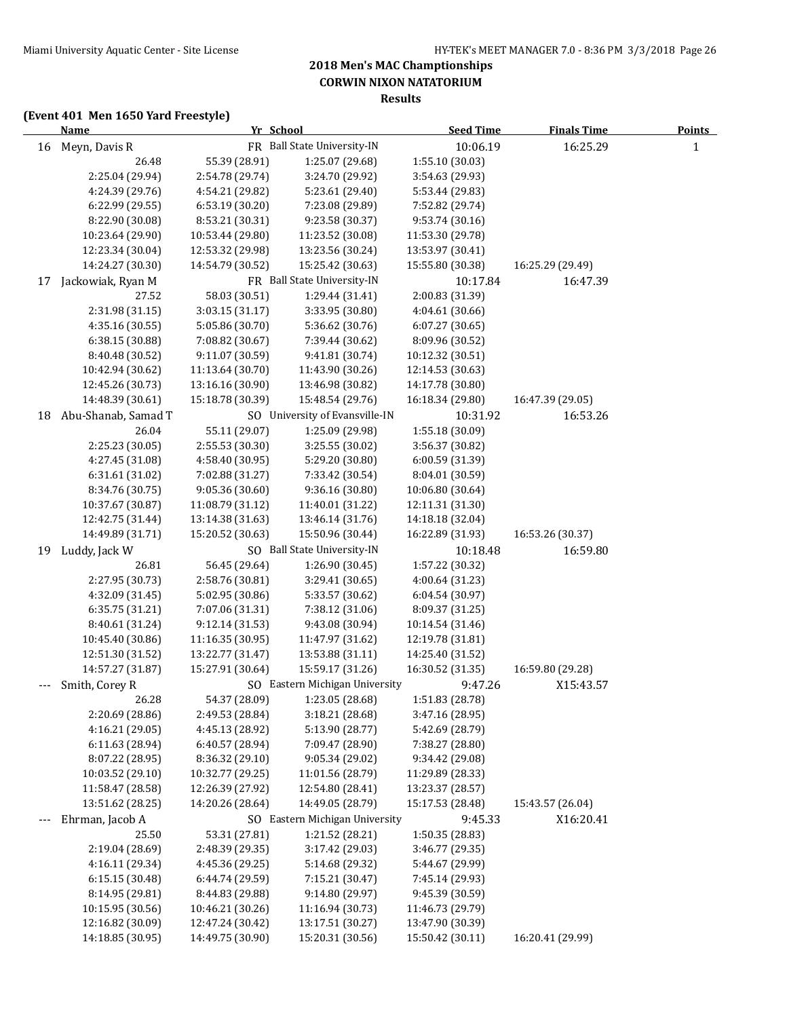**Results**

### **(Event 401 Men 1650 Yard Freestyle)**

|     | <b>Name</b>         |                  | Yr School                      | <b>Seed Time</b> | <b>Finals Time</b> | <b>Points</b> |
|-----|---------------------|------------------|--------------------------------|------------------|--------------------|---------------|
|     | 16 Meyn, Davis R    |                  | FR Ball State University-IN    | 10:06.19         | 16:25.29           | $\mathbf{1}$  |
|     | 26.48               | 55.39 (28.91)    | 1:25.07 (29.68)                | 1:55.10 (30.03)  |                    |               |
|     | 2:25.04 (29.94)     | 2:54.78 (29.74)  | 3:24.70 (29.92)                | 3:54.63 (29.93)  |                    |               |
|     | 4:24.39 (29.76)     | 4:54.21 (29.82)  | 5:23.61 (29.40)                | 5:53.44 (29.83)  |                    |               |
|     | 6:22.99 (29.55)     | 6:53.19 (30.20)  | 7:23.08 (29.89)                | 7:52.82 (29.74)  |                    |               |
|     | 8:22.90 (30.08)     | 8:53.21 (30.31)  | 9:23.58 (30.37)                | 9:53.74 (30.16)  |                    |               |
|     | 10:23.64 (29.90)    | 10:53.44 (29.80) | 11:23.52 (30.08)               | 11:53.30 (29.78) |                    |               |
|     | 12:23.34 (30.04)    | 12:53.32 (29.98) | 13:23.56 (30.24)               | 13:53.97 (30.41) |                    |               |
|     | 14:24.27 (30.30)    | 14:54.79 (30.52) | 15:25.42 (30.63)               | 15:55.80 (30.38) | 16:25.29 (29.49)   |               |
| 17  | Jackowiak, Ryan M   |                  | FR Ball State University-IN    | 10:17.84         | 16:47.39           |               |
|     | 27.52               | 58.03 (30.51)    | 1:29.44 (31.41)                | 2:00.83 (31.39)  |                    |               |
|     | 2:31.98 (31.15)     | 3:03.15 (31.17)  | 3:33.95 (30.80)                | 4:04.61 (30.66)  |                    |               |
|     | 4:35.16 (30.55)     | 5:05.86 (30.70)  | 5:36.62 (30.76)                | 6:07.27 (30.65)  |                    |               |
|     | 6:38.15 (30.88)     | 7:08.82 (30.67)  | 7:39.44 (30.62)                | 8:09.96 (30.52)  |                    |               |
|     | 8:40.48 (30.52)     | 9:11.07 (30.59)  | 9:41.81 (30.74)                | 10:12.32 (30.51) |                    |               |
|     | 10:42.94 (30.62)    | 11:13.64 (30.70) | 11:43.90 (30.26)               | 12:14.53 (30.63) |                    |               |
|     | 12:45.26 (30.73)    | 13:16.16 (30.90) | 13:46.98 (30.82)               | 14:17.78 (30.80) |                    |               |
|     | 14:48.39 (30.61)    | 15:18.78 (30.39) | 15:48.54 (29.76)               | 16:18.34 (29.80) | 16:47.39 (29.05)   |               |
| 18  | Abu-Shanab, Samad T |                  | SO University of Evansville-IN | 10:31.92         | 16:53.26           |               |
|     | 26.04               | 55.11 (29.07)    | 1:25.09 (29.98)                | 1:55.18 (30.09)  |                    |               |
|     | 2:25.23 (30.05)     | 2:55.53 (30.30)  | 3:25.55 (30.02)                | 3:56.37 (30.82)  |                    |               |
|     | 4:27.45 (31.08)     | 4:58.40 (30.95)  | 5:29.20 (30.80)                | 6:00.59 (31.39)  |                    |               |
|     | 6:31.61 (31.02)     | 7:02.88 (31.27)  | 7:33.42 (30.54)                | 8:04.01 (30.59)  |                    |               |
|     | 8:34.76 (30.75)     | 9:05.36 (30.60)  | 9:36.16 (30.80)                | 10:06.80 (30.64) |                    |               |
|     | 10:37.67 (30.87)    | 11:08.79 (31.12) | 11:40.01 (31.22)               | 12:11.31 (31.30) |                    |               |
|     | 12:42.75 (31.44)    | 13:14.38 (31.63) | 13:46.14 (31.76)               | 14:18.18 (32.04) |                    |               |
|     | 14:49.89 (31.71)    | 15:20.52 (30.63) | 15:50.96 (30.44)               | 16:22.89 (31.93) | 16:53.26 (30.37)   |               |
| 19  | Luddy, Jack W       |                  | SO Ball State University-IN    | 10:18.48         | 16:59.80           |               |
|     | 26.81               | 56.45 (29.64)    | 1:26.90 (30.45)                | 1:57.22 (30.32)  |                    |               |
|     | 2:27.95 (30.73)     | 2:58.76 (30.81)  | 3:29.41 (30.65)                | 4:00.64 (31.23)  |                    |               |
|     | 4:32.09 (31.45)     | 5:02.95 (30.86)  | 5:33.57 (30.62)                | 6:04.54 (30.97)  |                    |               |
|     | 6:35.75 (31.21)     | 7:07.06 (31.31)  | 7:38.12 (31.06)                | 8:09.37 (31.25)  |                    |               |
|     | 8:40.61 (31.24)     | 9:12.14 (31.53)  | 9:43.08 (30.94)                | 10:14.54 (31.46) |                    |               |
|     | 10:45.40 (30.86)    | 11:16.35 (30.95) | 11:47.97 (31.62)               | 12:19.78 (31.81) |                    |               |
|     | 12:51.30 (31.52)    | 13:22.77 (31.47) | 13:53.88 (31.11)               | 14:25.40 (31.52) |                    |               |
|     | 14:57.27 (31.87)    | 15:27.91 (30.64) | 15:59.17 (31.26)               | 16:30.52 (31.35) | 16:59.80 (29.28)   |               |
|     | Smith, Corey R      |                  | SO Eastern Michigan University | 9:47.26          | X15:43.57          |               |
|     | 26.28               | 54.37 (28.09)    | 1:23.05 (28.68)                | 1:51.83 (28.78)  |                    |               |
|     | 2:20.69 (28.86)     | 2:49.53 (28.84)  | 3:18.21 (28.68)                | 3:47.16 (28.95)  |                    |               |
|     | 4:16.21 (29.05)     | 4:45.13 (28.92)  | 5:13.90 (28.77)                | 5:42.69 (28.79)  |                    |               |
|     | 6:11.63 (28.94)     | 6:40.57 (28.94)  | 7:09.47 (28.90)                | 7:38.27 (28.80)  |                    |               |
|     | 8:07.22 (28.95)     | 8:36.32 (29.10)  | 9:05.34 (29.02)                | 9:34.42 (29.08)  |                    |               |
|     | 10:03.52 (29.10)    | 10:32.77 (29.25) | 11:01.56 (28.79)               | 11:29.89 (28.33) |                    |               |
|     | 11:58.47 (28.58)    | 12:26.39 (27.92) | 12:54.80 (28.41)               | 13:23.37 (28.57) |                    |               |
|     | 13:51.62 (28.25)    | 14:20.26 (28.64) | 14:49.05 (28.79)               | 15:17.53 (28.48) | 15:43.57 (26.04)   |               |
| --- | Ehrman, Jacob A     |                  | SO Eastern Michigan University | 9:45.33          | X16:20.41          |               |
|     | 25.50               | 53.31 (27.81)    | 1:21.52 (28.21)                | 1:50.35 (28.83)  |                    |               |
|     | 2:19.04 (28.69)     | 2:48.39 (29.35)  | 3:17.42 (29.03)                | 3:46.77 (29.35)  |                    |               |
|     | 4:16.11 (29.34)     | 4:45.36 (29.25)  | 5:14.68 (29.32)                | 5:44.67 (29.99)  |                    |               |
|     | 6:15.15 (30.48)     | 6:44.74 (29.59)  | 7:15.21 (30.47)                | 7:45.14 (29.93)  |                    |               |
|     | 8:14.95 (29.81)     | 8:44.83 (29.88)  | 9:14.80 (29.97)                | 9:45.39 (30.59)  |                    |               |
|     | 10:15.95 (30.56)    | 10:46.21 (30.26) | 11:16.94 (30.73)               | 11:46.73 (29.79) |                    |               |
|     | 12:16.82 (30.09)    | 12:47.24 (30.42) | 13:17.51 (30.27)               | 13:47.90 (30.39) |                    |               |
|     | 14:18.85 (30.95)    | 14:49.75 (30.90) | 15:20.31 (30.56)               | 15:50.42 (30.11) | 16:20.41 (29.99)   |               |
|     |                     |                  |                                |                  |                    |               |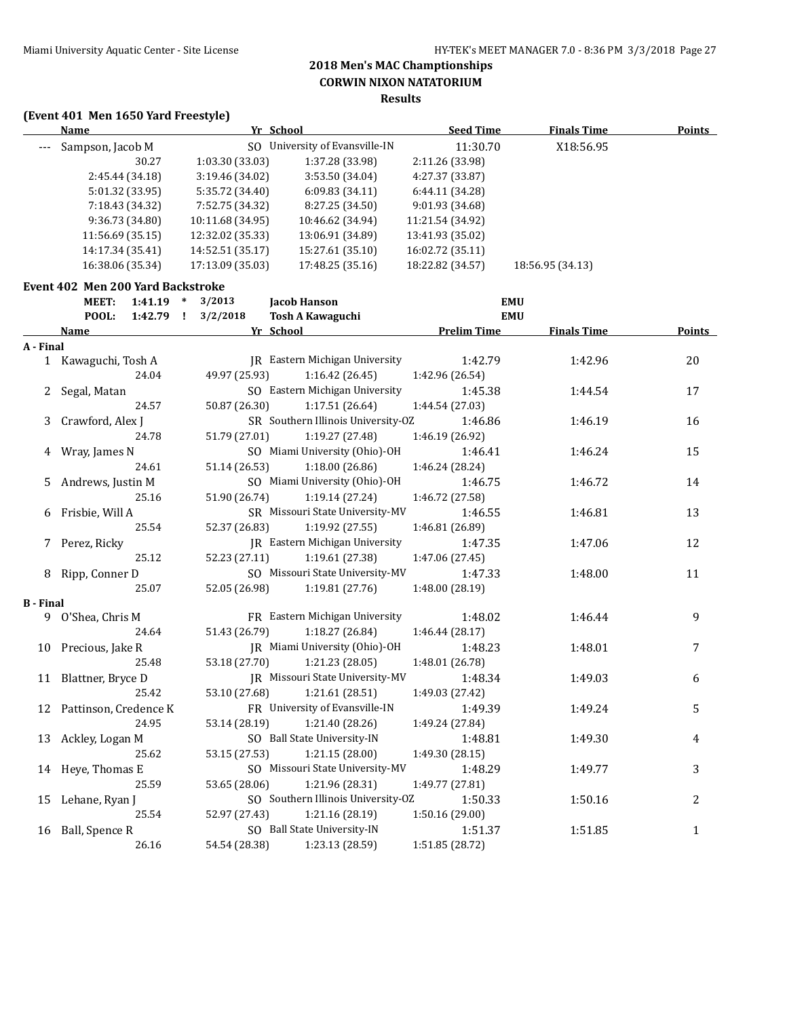#### **(Event 401 Men 1650 Yard Freestyle)**

| Name             | Yr School        |                             | <b>Seed Time</b> | <b>Finals Time</b> | <b>Points</b> |
|------------------|------------------|-----------------------------|------------------|--------------------|---------------|
| Sampson, Jacob M | SO.              | University of Evansville-IN | 11:30.70         | X18:56.95          |               |
| 30.27            | 1:03.30(33.03)   | 1:37.28 (33.98)             | 2:11.26 (33.98)  |                    |               |
| 2:45.44 (34.18)  | 3:19.46 (34.02)  | 3:53.50(34.04)              | 4:27.37 (33.87)  |                    |               |
| 5:01.32(33.95)   | 5:35.72 (34.40)  | 6:09.83(34.11)              | 6:44.11 (34.28)  |                    |               |
| 7:18.43 (34.32)  | 7:52.75 (34.32)  | 8:27.25 (34.50)             | 9:01.93(34.68)   |                    |               |
| 9:36.73 (34.80)  | 10:11.68 (34.95) | 10:46.62 (34.94)            | 11:21.54 (34.92) |                    |               |
| 11:56.69 (35.15) | 12:32.02 (35.33) | 13:06.91 (34.89)            | 13:41.93 (35.02) |                    |               |
| 14:17.34 (35.41) | 14:52.51 (35.17) | 15:27.61 (35.10)            | 16:02.72 (35.11) |                    |               |
| 16:38.06 (35.34) | 17:13.09 (35.03) | 17:48.25 (35.16)            | 18:22.82 (34.57) | 18:56.95 (34.13)   |               |
|                  |                  |                             |                  |                    |               |

#### **Event 402 Men 200 Yard Backstroke**

|                  | MEET:<br>$1:41.19$ *   | 3/2013        | <b>Jacob Hanson</b>                   | <b>EMU</b>         |                    |                |
|------------------|------------------------|---------------|---------------------------------------|--------------------|--------------------|----------------|
|                  | POOL:<br>1:42.79<br>л. | 3/2/2018      | <b>Tosh A Kawaguchi</b>               | <b>EMU</b>         |                    |                |
|                  | Name                   | Yr School     |                                       | <b>Prelim Time</b> | <b>Finals Time</b> | <b>Points</b>  |
| A - Final        |                        |               |                                       |                    |                    |                |
|                  | 1 Kawaguchi, Tosh A    |               | JR Eastern Michigan University        | 1:42.79            | 1:42.96            | 20             |
|                  | 24.04                  | 49.97 (25.93) | 1:16.42(26.45)                        | 1:42.96 (26.54)    |                    |                |
| 2                | Segal, Matan           |               | SO Eastern Michigan University        | 1:45.38            | 1:44.54            | 17             |
|                  | 24.57                  | 50.87 (26.30) | 1:17.51(26.64)                        | 1:44.54 (27.03)    |                    |                |
| 3                | Crawford, Alex J       |               | SR Southern Illinois University-OZ    | 1:46.86            | 1:46.19            | 16             |
|                  | 24.78                  | 51.79 (27.01) | 1:19.27(27.48)                        | 1:46.19 (26.92)    |                    |                |
| 4                | Wray, James N          |               | SO Miami University (Ohio)-OH         | 1:46.41            | 1:46.24            | 15             |
|                  | 24.61                  | 51.14 (26.53) | 1:18.00 (26.86)                       | 1:46.24 (28.24)    |                    |                |
| 5.               | Andrews, Justin M      |               | SO Miami University (Ohio)-OH         | 1:46.75            | 1:46.72            | 14             |
|                  | 25.16                  | 51.90 (26.74) | 1:19.14(27.24)                        | 1:46.72 (27.58)    |                    |                |
| 6                | Frisbie, Will A        |               | SR Missouri State University-MV       | 1:46.55            | 1:46.81            | 13             |
|                  | 25.54                  | 52.37 (26.83) | 1:19.92 (27.55)                       | 1:46.81 (26.89)    |                    |                |
|                  | 7 Perez, Ricky         |               | <b>IR</b> Eastern Michigan University | 1:47.35            | 1:47.06            | 12             |
|                  | 25.12                  | 52.23 (27.11) | 1:19.61 (27.38)                       | 1:47.06 (27.45)    |                    |                |
|                  | 8 Ripp, Conner D       |               | SO Missouri State University-MV       | 1:47.33            | 1:48.00            | 11             |
|                  | 25.07                  | 52.05 (26.98) | 1:19.81 (27.76)                       | 1:48.00 (28.19)    |                    |                |
| <b>B</b> - Final |                        |               |                                       |                    |                    |                |
|                  | 9 O'Shea, Chris M      |               | FR Eastern Michigan University        | 1:48.02            | 1:46.44            | 9              |
|                  | 24.64                  | 51.43 (26.79) | 1:18.27(26.84)                        | 1:46.44 (28.17)    |                    |                |
| 10               | Precious, Jake R       |               | JR Miami University (Ohio)-OH         | 1:48.23            | 1:48.01            | 7              |
|                  | 25.48                  | 53.18 (27.70) | 1:21.23(28.05)                        | 1:48.01 (26.78)    |                    |                |
| 11               | Blattner, Bryce D      |               | JR Missouri State University-MV       | 1:48.34            | 1:49.03            | 6              |
|                  | 25.42                  | 53.10 (27.68) | 1:21.61 (28.51)                       | 1:49.03 (27.42)    |                    |                |
| 12               | Pattinson, Credence K  |               | FR University of Evansville-IN        | 1:49.39            | 1:49.24            | 5              |
|                  | 24.95                  | 53.14 (28.19) | 1:21.40 (28.26)                       | 1:49.24 (27.84)    |                    |                |
|                  | 13 Ackley, Logan M     |               | SO Ball State University-IN           | 1:48.81            | 1:49.30            | 4              |
|                  | 25.62                  | 53.15 (27.53) | 1:21.15(28.00)                        | 1:49.30 (28.15)    |                    |                |
|                  | 14 Heye, Thomas E      |               | SO Missouri State University-MV       | 1:48.29            | 1:49.77            | 3              |
|                  | 25.59                  | 53.65 (28.06) | 1:21.96 (28.31)                       | 1:49.77 (27.81)    |                    |                |
|                  | 15 Lehane, Ryan J      |               | SO Southern Illinois University-OZ    | 1:50.33            | 1:50.16            | $\overline{2}$ |
|                  | 25.54                  | 52.97 (27.43) | 1:21.16 (28.19)                       | 1:50.16 (29.00)    |                    |                |
|                  | 16 Ball, Spence R      |               | SO Ball State University-IN           | 1:51.37            | 1:51.85            | $\mathbf{1}$   |
|                  | 26.16                  | 54.54 (28.38) | 1:23.13 (28.59)                       | 1:51.85 (28.72)    |                    |                |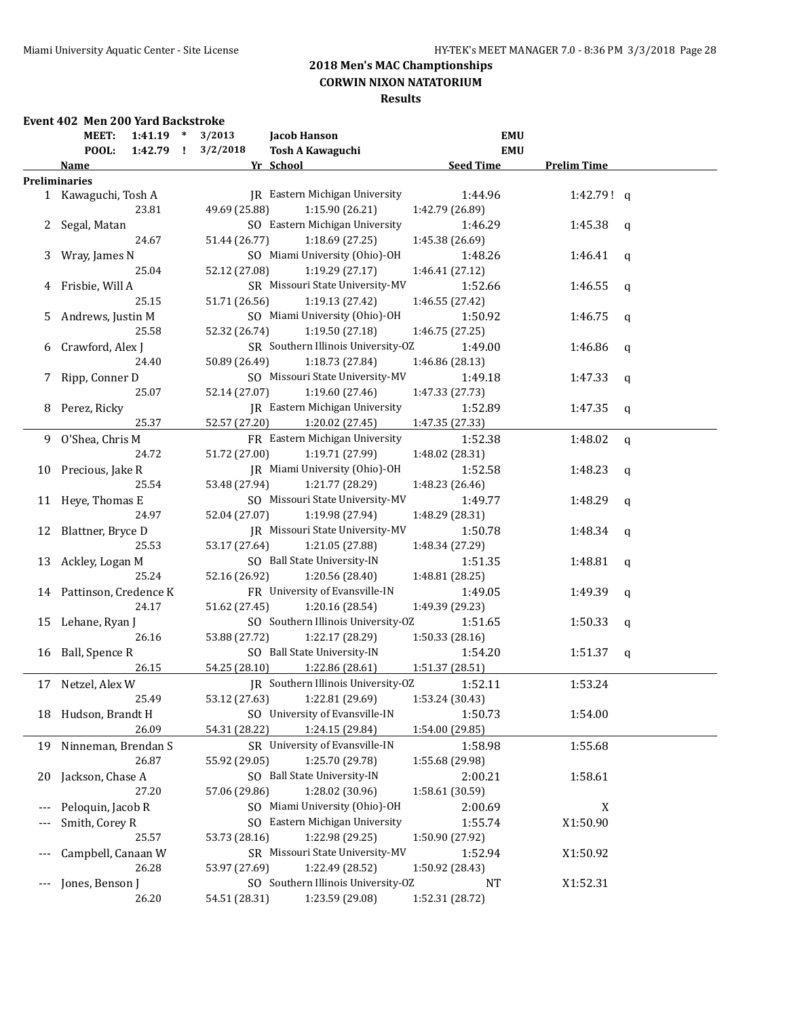## **Results**

### **Event 402 Men 200 Yard Backstroke**

|                   | $\ast$<br>MEET:<br>1:41.19       | 3/2013        | <b>Jacob Hanson</b>                | <b>EMU</b>       |                    |              |
|-------------------|----------------------------------|---------------|------------------------------------|------------------|--------------------|--------------|
|                   | POOL:<br>1:42.79<br>$\mathbf{I}$ | 3/2/2018      | <b>Tosh A Kawaguchi</b>            | <b>EMU</b>       |                    |              |
|                   | Name                             |               | Yr School                          | <b>Seed Time</b> | <b>Prelim Time</b> |              |
|                   | <b>Preliminaries</b>             |               |                                    |                  |                    |              |
|                   | 1 Kawaguchi, Tosh A              |               | JR Eastern Michigan University     | 1:44.96          | 1:42.79! q         |              |
|                   | 23.81                            | 49.69 (25.88) | 1:15.90 (26.21)                    | 1:42.79 (26.89)  |                    |              |
| 2                 | Segal, Matan                     |               | SO Eastern Michigan University     | 1:46.29          | 1:45.38            | $\mathsf{q}$ |
|                   | 24.67                            | 51.44 (26.77) | 1:18.69 (27.25)                    | 1:45.38 (26.69)  |                    |              |
| 3                 | Wray, James N                    |               | SO Miami University (Ohio)-OH      | 1:48.26          | 1:46.41            | q            |
|                   | 25.04                            | 52.12 (27.08) | 1:19.29 (27.17)                    | 1:46.41 (27.12)  |                    |              |
| 4                 | Frisbie, Will A                  |               | SR Missouri State University-MV    | 1:52.66          | 1:46.55            | q            |
|                   | 25.15                            | 51.71 (26.56) | 1:19.13 (27.42)                    | 1:46.55 (27.42)  |                    |              |
| 5.                | Andrews, Justin M                |               | SO Miami University (Ohio)-OH      | 1:50.92          | 1:46.75            | q            |
|                   | 25.58                            | 52.32 (26.74) | 1:19.50 (27.18)                    | 1:46.75 (27.25)  |                    |              |
|                   | 6 Crawford, Alex J               |               | SR Southern Illinois University-OZ | 1:49.00          | 1:46.86            | $\mathsf{q}$ |
|                   | 24.40                            | 50.89 (26.49) | 1:18.73 (27.84)                    | 1:46.86 (28.13)  |                    |              |
|                   | 7 Ripp, Conner D                 |               | SO Missouri State University-MV    | 1:49.18          | 1:47.33            | q            |
|                   | 25.07                            | 52.14 (27.07) | 1:19.60(27.46)                     | 1:47.33 (27.73)  |                    |              |
|                   | 8 Perez, Ricky                   |               | JR Eastern Michigan University     | 1:52.89          | 1:47.35            | q            |
|                   | 25.37                            | 52.57 (27.20) | 1:20.02 (27.45)                    | 1:47.35 (27.33)  |                    |              |
|                   | 9 O'Shea, Chris M                |               | FR Eastern Michigan University     | 1:52.38          | 1:48.02            | q            |
|                   | 24.72                            | 51.72 (27.00) | 1:19.71 (27.99)                    | 1:48.02 (28.31)  |                    |              |
|                   | 10 Precious, Jake R              |               | JR Miami University (Ohio)-OH      | 1:52.58          | 1:48.23            | q            |
|                   | 25.54                            | 53.48 (27.94) | 1:21.77 (28.29)                    | 1:48.23 (26.46)  |                    |              |
|                   | 11 Heye, Thomas E                |               | SO Missouri State University-MV    | 1:49.77          | 1:48.29            | q            |
|                   | 24.97                            | 52.04 (27.07) | 1:19.98 (27.94)                    | 1:48.29 (28.31)  |                    |              |
|                   | 12 Blattner, Bryce D             |               | JR Missouri State University-MV    | 1:50.78          | 1:48.34            |              |
|                   | 25.53                            | 53.17 (27.64) | 1:21.05 (27.88)                    | 1:48.34 (27.29)  |                    | q            |
|                   |                                  |               | SO Ball State University-IN        |                  | 1:48.81            |              |
|                   | 13 Ackley, Logan M<br>25.24      | 52.16 (26.92) |                                    | 1:51.35          |                    | $\mathbf q$  |
|                   |                                  |               | 1:20.56 (28.40)                    | 1:48.81 (28.25)  |                    |              |
|                   | 14 Pattinson, Credence K         |               | FR University of Evansville-IN     | 1:49.05          | 1:49.39            | q            |
|                   | 24.17                            | 51.62 (27.45) | 1:20.16 (28.54)                    | 1:49.39 (29.23)  |                    |              |
|                   | 15 Lehane, Ryan J                |               | SO Southern Illinois University-OZ | 1:51.65          | 1:50.33            | q            |
|                   | 26.16                            | 53.88 (27.72) | 1:22.17 (28.29)                    | 1:50.33 (28.16)  |                    |              |
|                   | 16 Ball, Spence R                |               | SO Ball State University-IN        | 1:54.20          | 1:51.37            | q            |
|                   | 26.15                            | 54.25 (28.10) | 1:22.86 (28.61)                    | 1:51.37 (28.51)  |                    |              |
| 17                | Netzel, Alex W                   |               | JR Southern Illinois University-OZ | 1:52.11          | 1:53.24            |              |
|                   | 25.49                            | 53.12 (27.63) | 1:22.81 (29.69)                    | 1:53.24 (30.43)  |                    |              |
|                   | 18 Hudson, Brandt H              |               | SO University of Evansville-IN     | 1:50.73          | 1:54.00            |              |
|                   | 26.09                            | 54.31 (28.22) | 1:24.15 (29.84)                    | 1:54.00 (29.85)  |                    |              |
| 19                | Ninneman, Brendan S              |               | SR University of Evansville-IN     | 1:58.98          | 1:55.68            |              |
|                   | 26.87                            | 55.92 (29.05) | 1:25.70 (29.78)                    | 1:55.68 (29.98)  |                    |              |
| 20                | Jackson, Chase A                 |               | SO Ball State University-IN        | 2:00.21          | 1:58.61            |              |
|                   | 27.20                            | 57.06 (29.86) | 1:28.02 (30.96)                    | 1:58.61 (30.59)  |                    |              |
| ---               | Peloquin, Jacob R                |               | SO Miami University (Ohio)-OH      | 2:00.69          | X                  |              |
| $---$             | Smith, Corey R                   |               | SO Eastern Michigan University     | 1:55.74          | X1:50.90           |              |
|                   | 25.57                            | 53.73 (28.16) | 1:22.98 (29.25)                    | 1:50.90 (27.92)  |                    |              |
| $---$             | Campbell, Canaan W               |               | SR Missouri State University-MV    | 1:52.94          | X1:50.92           |              |
|                   | 26.28                            | 53.97 (27.69) | 1:22.49 (28.52)                    | 1:50.92 (28.43)  |                    |              |
| $\qquad \qquad -$ | Jones, Benson J                  |               | SO Southern Illinois University-OZ | NT               | X1:52.31           |              |
|                   | 26.20                            | 54.51 (28.31) | 1:23.59 (29.08)                    | 1:52.31 (28.72)  |                    |              |
|                   |                                  |               |                                    |                  |                    |              |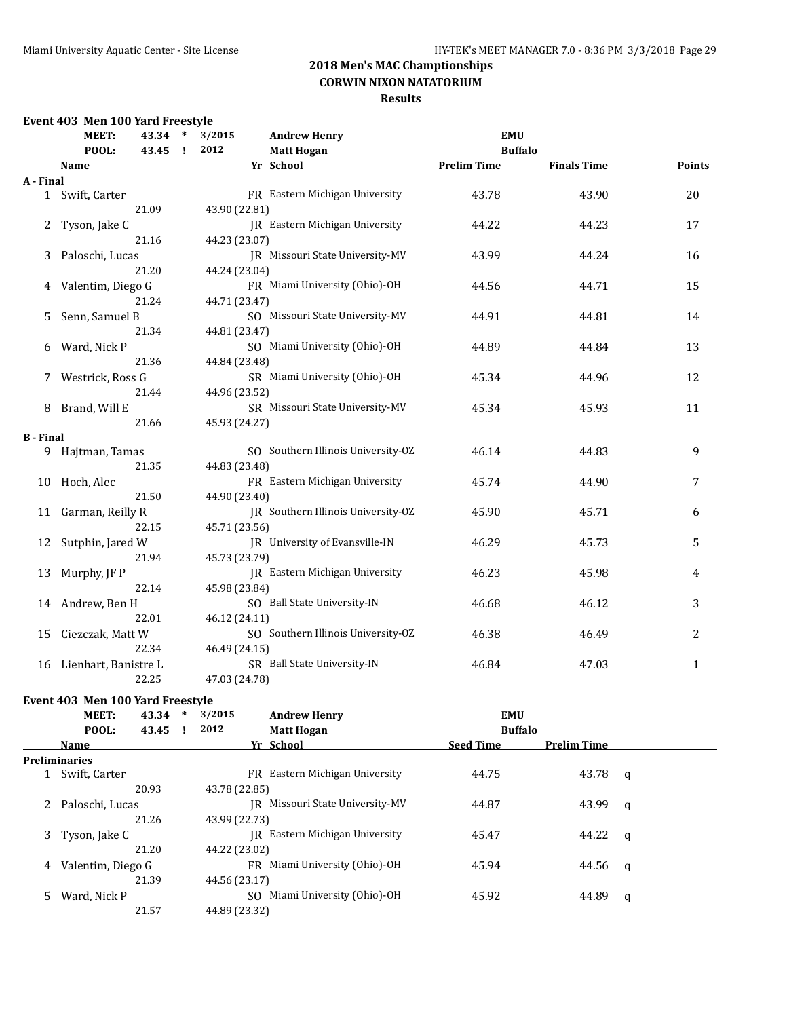### **Results**

### **Event 403 Men 100 Yard Freestyle**

|                  | MEET:<br>$\ast$<br>43.34 |       | 3/2015 | <b>Andrew Henry</b> | <b>EMU</b>                            |                    |                    |        |
|------------------|--------------------------|-------|--------|---------------------|---------------------------------------|--------------------|--------------------|--------|
|                  | POOL:<br>43.45           |       | - 1    | 2012                | <b>Matt Hogan</b>                     | <b>Buffalo</b>     |                    |        |
|                  | Name                     |       |        |                     | Yr School                             | <b>Prelim Time</b> | <b>Finals Time</b> | Points |
| A - Final        |                          |       |        |                     |                                       |                    |                    |        |
|                  | 1 Swift, Carter          |       |        |                     | FR Eastern Michigan University        | 43.78              | 43.90              | 20     |
|                  |                          | 21.09 |        | 43.90 (22.81)       |                                       |                    |                    |        |
| 2                | Tyson, Jake C            |       |        |                     | <b>IR</b> Eastern Michigan University | 44.22              | 44.23              | 17     |
|                  |                          | 21.16 |        | 44.23 (23.07)       |                                       |                    |                    |        |
| 3                | Paloschi, Lucas          |       |        |                     | JR Missouri State University-MV       | 43.99              | 44.24              | 16     |
|                  |                          | 21.20 |        | 44.24 (23.04)       |                                       |                    |                    |        |
| 4                | Valentim, Diego G        |       |        |                     | FR Miami University (Ohio)-OH         | 44.56              | 44.71              | 15     |
|                  |                          | 21.24 |        | 44.71 (23.47)       |                                       |                    |                    |        |
| 5                | Senn, Samuel B           |       |        |                     | SO Missouri State University-MV       | 44.91              | 44.81              | 14     |
|                  |                          | 21.34 |        | 44.81 (23.47)       |                                       |                    |                    |        |
| 6                | Ward, Nick P             |       |        |                     | SO Miami University (Ohio)-OH         | 44.89              | 44.84              | 13     |
|                  |                          | 21.36 |        | 44.84 (23.48)       |                                       |                    |                    |        |
| 7                | Westrick, Ross G         |       |        |                     | SR Miami University (Ohio)-OH         | 45.34              | 44.96              | 12     |
|                  |                          | 21.44 |        | 44.96 (23.52)       |                                       |                    |                    |        |
| 8                | Brand, Will E            |       |        |                     | SR Missouri State University-MV       | 45.34              | 45.93              | 11     |
|                  |                          | 21.66 |        | 45.93 (24.27)       |                                       |                    |                    |        |
| <b>B</b> - Final |                          |       |        |                     |                                       |                    |                    |        |
|                  | 9 Hajtman, Tamas         |       |        |                     | SO Southern Illinois University-OZ    | 46.14              | 44.83              | 9      |
|                  |                          | 21.35 |        | 44.83 (23.48)       |                                       |                    |                    |        |
| 10               | Hoch, Alec               |       |        |                     | FR Eastern Michigan University        | 45.74              | 44.90              | 7      |
|                  |                          | 21.50 |        | 44.90 (23.40)       |                                       |                    |                    |        |
| 11               | Garman, Reilly R         |       |        |                     | JR Southern Illinois University-OZ    | 45.90              | 45.71              | 6      |
|                  |                          | 22.15 |        | 45.71 (23.56)       |                                       |                    |                    |        |
| 12               | Sutphin, Jared W         |       |        |                     | JR University of Evansville-IN        | 46.29              | 45.73              | 5      |
|                  |                          | 21.94 |        | 45.73 (23.79)       |                                       |                    |                    |        |
| 13               | Murphy, JF P             |       |        |                     | JR Eastern Michigan University        | 46.23              | 45.98              | 4      |
|                  |                          | 22.14 |        | 45.98 (23.84)       |                                       |                    |                    |        |
| 14               | Andrew, Ben H            |       |        |                     | SO Ball State University-IN           | 46.68              | 46.12              | 3      |
|                  |                          | 22.01 |        | 46.12 (24.11)       |                                       |                    |                    |        |
| 15               | Ciezczak, Matt W         |       |        |                     | SO Southern Illinois University-OZ    | 46.38              | 46.49              | 2      |
|                  |                          | 22.34 |        | 46.49 (24.15)       |                                       |                    |                    |        |
| 16               | Lienhart, Banistre L     |       |        |                     | SR Ball State University-IN           | 46.84              | 47.03              | 1      |
|                  |                          | 22.25 |        | 47.03 (24.78)       |                                       |                    |                    |        |

### **Event 403 Men 100 Yard Freestyle**

|   | MEET:                | 43.34 | $\ast$ | 3/2015        | <b>Andrew Henry</b>           | <b>EMU</b>       |                    |   |
|---|----------------------|-------|--------|---------------|-------------------------------|------------------|--------------------|---|
|   | POOL:                | 43.45 |        | 2012          | <b>Matt Hogan</b>             | <b>Buffalo</b>   |                    |   |
|   | <b>Name</b>          |       |        |               | Yr School                     | <b>Seed Time</b> | <b>Prelim Time</b> |   |
|   | <b>Preliminaries</b> |       |        |               |                               |                  |                    |   |
|   | Swift, Carter        |       |        | FR.           | Eastern Michigan University   | 44.75            | 43.78              | q |
|   |                      | 20.93 |        | 43.78 (22.85) |                               |                  |                    |   |
|   | Paloschi, Lucas      |       |        | IR            | Missouri State University-MV  | 44.87            | 43.99              | q |
|   |                      | 21.26 |        | 43.99 (22.73) |                               |                  |                    |   |
| 3 | Tyson, Jake C        |       |        | IR            | Eastern Michigan University   | 45.47            | 44.22              | q |
|   |                      | 21.20 |        | 44.22 (23.02) |                               |                  |                    |   |
| 4 | Valentim, Diego G    |       |        |               | FR Miami University (Ohio)-OH | 45.94            | 44.56              | q |
|   |                      | 21.39 |        | 44.56 (23.17) |                               |                  |                    |   |
|   | Ward, Nick P         |       |        | SO.           | Miami University (Ohio)-OH    | 45.92            | 44.89              | q |
|   |                      | 21.57 |        | 44.89 (23.32) |                               |                  |                    |   |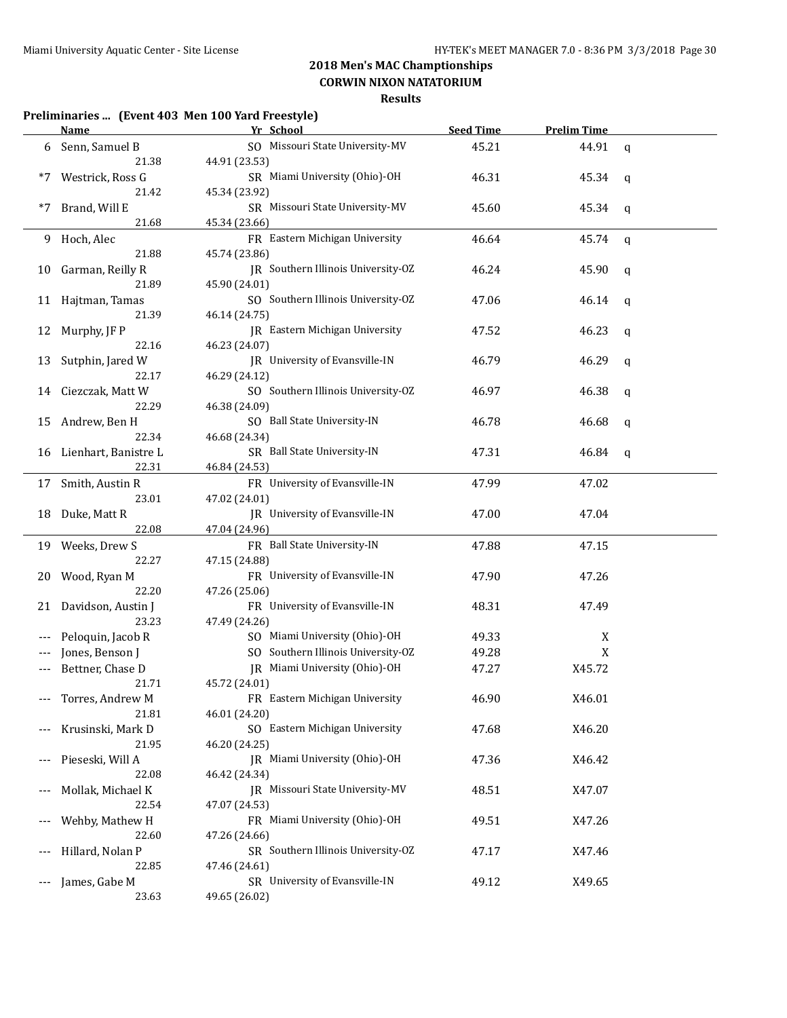**CORWIN NIXON NATATORIUM**

| Preliminaries  (Event 403 Men 100 Yard Freestyle) |  |  |
|---------------------------------------------------|--|--|
|---------------------------------------------------|--|--|

|     | <b>Name</b>            | Yr School                          | <b>Seed Time</b> | <b>Prelim Time</b> |             |
|-----|------------------------|------------------------------------|------------------|--------------------|-------------|
| 6   | Senn, Samuel B         | SO Missouri State University-MV    | 45.21            | 44.91              | $\mathbf q$ |
|     | 21.38                  | 44.91 (23.53)                      |                  |                    |             |
| *7  | Westrick, Ross G       | SR Miami University (Ohio)-OH      | 46.31            | 45.34              | q           |
|     | 21.42                  | 45.34 (23.92)                      |                  |                    |             |
| *7  | Brand, Will E          | SR Missouri State University-MV    | 45.60            | 45.34              | q           |
|     | 21.68                  | 45.34 (23.66)                      |                  |                    |             |
| 9.  | Hoch, Alec             | FR Eastern Michigan University     | 46.64            | 45.74              | q           |
|     | 21.88                  | 45.74 (23.86)                      |                  |                    |             |
| 10  | Garman, Reilly R       | JR Southern Illinois University-OZ | 46.24            | 45.90              | q           |
|     | 21.89                  | 45.90 (24.01)                      |                  |                    |             |
|     | 11 Hajtman, Tamas      | SO Southern Illinois University-OZ | 47.06            | 46.14              | q           |
|     | 21.39                  | 46.14 (24.75)                      |                  |                    |             |
| 12  | Murphy, JF P           | JR Eastern Michigan University     | 47.52            | 46.23              |             |
|     | 22.16                  | 46.23 (24.07)                      |                  |                    | q           |
| 13  | Sutphin, Jared W       | JR University of Evansville-IN     | 46.79            | 46.29              |             |
|     | 22.17                  | 46.29 (24.12)                      |                  |                    | q           |
|     | Ciezczak, Matt W       | SO Southern Illinois University-OZ | 46.97            | 46.38              |             |
| 14  | 22.29                  | 46.38 (24.09)                      |                  |                    | q           |
|     |                        | SO Ball State University-IN        | 46.78            |                    |             |
| 15  | Andrew, Ben H<br>22.34 | 46.68 (24.34)                      |                  | 46.68              | q           |
|     | Lienhart, Banistre L   | SR Ball State University-IN        | 47.31            |                    |             |
| 16  | 22.31                  | 46.84 (24.53)                      |                  | 46.84              | q           |
|     |                        |                                    |                  |                    |             |
| 17  | Smith, Austin R        | FR University of Evansville-IN     | 47.99            | 47.02              |             |
|     | 23.01                  | 47.02 (24.01)                      |                  |                    |             |
| 18  | Duke, Matt R           | JR University of Evansville-IN     | 47.00            | 47.04              |             |
|     | 22.08                  | 47.04 (24.96)                      |                  |                    |             |
| 19  | Weeks, Drew S          | FR Ball State University-IN        | 47.88            | 47.15              |             |
|     | 22.27                  | 47.15 (24.88)                      |                  |                    |             |
| 20  | Wood, Ryan M           | FR University of Evansville-IN     | 47.90            | 47.26              |             |
|     | 22.20                  | 47.26 (25.06)                      |                  |                    |             |
| 21  | Davidson, Austin J     | FR University of Evansville-IN     | 48.31            | 47.49              |             |
|     | 23.23                  | 47.49 (24.26)                      |                  |                    |             |
| --- | Peloquin, Jacob R      | SO Miami University (Ohio)-OH      | 49.33            | X                  |             |
|     | Jones, Benson J        | SO Southern Illinois University-OZ | 49.28            | X                  |             |
|     | Bettner, Chase D       | JR Miami University (Ohio)-OH      | 47.27            | X45.72             |             |
|     | 21.71                  | 45.72 (24.01)                      |                  |                    |             |
|     | Torres, Andrew M       | FR Eastern Michigan University     | 46.90            | X46.01             |             |
|     | 21.81                  | 46.01 (24.20)                      |                  |                    |             |
|     | Krusinski, Mark D      | SO Eastern Michigan University     | 47.68            | X46.20             |             |
|     | 21.95                  | 46.20 (24.25)                      |                  |                    |             |
| --- | Pieseski, Will A       | JR Miami University (Ohio)-OH      | 47.36            | X46.42             |             |
|     | 22.08                  | 46.42 (24.34)                      |                  |                    |             |
| --- | Mollak, Michael K      | JR Missouri State University-MV    | 48.51            | X47.07             |             |
|     | 22.54                  | 47.07 (24.53)                      |                  |                    |             |
|     | Wehby, Mathew H        | FR Miami University (Ohio)-OH      | 49.51            | X47.26             |             |
|     | 22.60                  | 47.26 (24.66)                      |                  |                    |             |
|     | Hillard, Nolan P       | SR Southern Illinois University-OZ | 47.17            | X47.46             |             |
|     | 22.85                  | 47.46 (24.61)                      |                  |                    |             |
|     | James, Gabe M          | SR University of Evansville-IN     | 49.12            | X49.65             |             |
|     | 23.63                  | 49.65 (26.02)                      |                  |                    |             |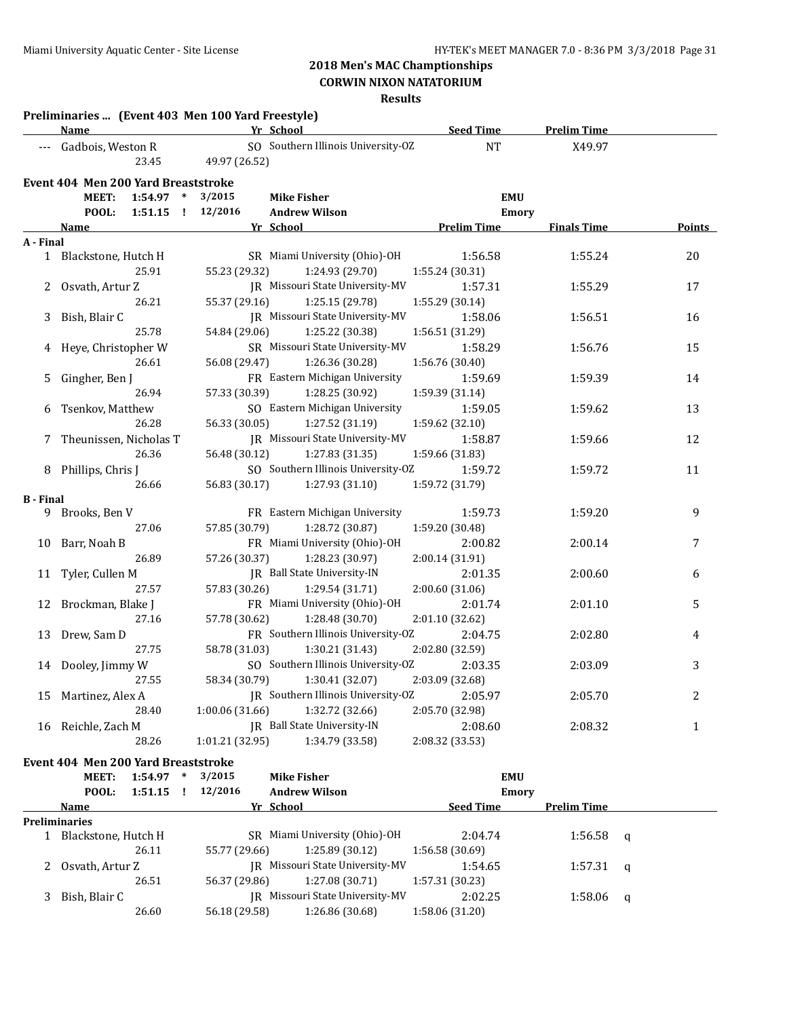**CORWIN NIXON NATATORIUM**

|                  | Preliminaries  (Event 403 Men 100 Yard Freestyle)<br><b>Name</b>      |                   | Yr School                                        | <b>Seed Time</b>           | <b>Prelim Time</b> |                |
|------------------|-----------------------------------------------------------------------|-------------------|--------------------------------------------------|----------------------------|--------------------|----------------|
| $---$            | Gadbois, Weston R<br>23.45                                            | 49.97 (26.52)     | SO Southern Illinois University-OZ               | NT                         | X49.97             |                |
|                  | Event 404 Men 200 Yard Breaststroke                                   |                   |                                                  |                            |                    |                |
|                  | <b>MEET:</b><br>1:54.97<br>$\ast$<br>POOL:<br>1:51.15<br>$\mathbf{I}$ | 3/2015<br>12/2016 | <b>Mike Fisher</b><br><b>Andrew Wilson</b>       | <b>EMU</b><br><b>Emory</b> |                    |                |
|                  | Name                                                                  |                   | Yr School                                        | <b>Prelim Time</b>         | <b>Finals Time</b> | Points         |
| A - Final        |                                                                       |                   |                                                  |                            |                    |                |
|                  | 1 Blackstone, Hutch H<br>25.91                                        | 55.23 (29.32)     | SR Miami University (Ohio)-OH<br>1:24.93 (29.70) | 1:56.58<br>1:55.24 (30.31) | 1:55.24            | 20             |
| 2                | Osvath, Artur Z                                                       |                   | <b>IR</b> Missouri State University-MV           | 1:57.31                    | 1:55.29            | 17             |
|                  | 26.21                                                                 | 55.37 (29.16)     | 1:25.15 (29.78)                                  | 1:55.29 (30.14)            |                    |                |
| 3                | Bish, Blair C                                                         |                   | IR Missouri State University-MV                  | 1:58.06                    | 1:56.51            | 16             |
|                  | 25.78                                                                 | 54.84 (29.06)     | 1:25.22 (30.38)                                  | 1:56.51 (31.29)            |                    |                |
| 4                | Heye, Christopher W                                                   |                   | SR Missouri State University-MV                  | 1:58.29                    | 1:56.76            | 15             |
|                  | 26.61                                                                 | 56.08 (29.47)     | 1:26.36 (30.28)                                  | 1:56.76 (30.40)            |                    |                |
| 5                | Gingher, Ben J                                                        |                   | FR Eastern Michigan University                   | 1:59.69                    | 1:59.39            | 14             |
|                  | 26.94                                                                 | 57.33 (30.39)     | 1:28.25 (30.92)                                  | 1:59.39 (31.14)            |                    |                |
| 6                | Tsenkov, Matthew                                                      |                   | SO Eastern Michigan University                   | 1:59.05                    | 1:59.62            | 13             |
|                  | 26.28                                                                 | 56.33 (30.05)     | 1:27.52 (31.19)                                  | 1:59.62 (32.10)            |                    |                |
| 7                | Theunissen, Nicholas T                                                |                   | <b>IR</b> Missouri State University-MV           | 1:58.87                    | 1:59.66            | 12             |
|                  | 26.36                                                                 | 56.48 (30.12)     | 1:27.83 (31.35)                                  | 1:59.66 (31.83)            |                    |                |
| 8                | Phillips, Chris J                                                     |                   | SO Southern Illinois University-OZ               | 1:59.72                    | 1:59.72            | 11             |
|                  | 26.66                                                                 | 56.83 (30.17)     | 1:27.93 (31.10)                                  | 1:59.72 (31.79)            |                    |                |
| <b>B</b> - Final |                                                                       |                   |                                                  |                            |                    |                |
| 9                | Brooks, Ben V                                                         |                   | FR Eastern Michigan University                   | 1:59.73                    | 1:59.20            | 9              |
|                  | 27.06                                                                 | 57.85 (30.79)     | 1:28.72 (30.87)                                  | 1:59.20 (30.48)            |                    |                |
| 10               | Barr, Noah B                                                          |                   | FR Miami University (Ohio)-OH                    | 2:00.82                    | 2:00.14            | $\overline{7}$ |
|                  | 26.89                                                                 | 57.26 (30.37)     | 1:28.23 (30.97)                                  | 2:00.14 (31.91)            |                    |                |
| 11               | Tyler, Cullen M                                                       |                   | IR Ball State University-IN                      | 2:01.35                    | 2:00.60            | 6              |
|                  | 27.57                                                                 | 57.83 (30.26)     | 1:29.54 (31.71)                                  | 2:00.60 (31.06)            |                    |                |
| 12               | Brockman, Blake J                                                     |                   | FR Miami University (Ohio)-OH                    | 2:01.74                    | 2:01.10            | 5              |
|                  | 27.16                                                                 | 57.78 (30.62)     | 1:28.48 (30.70)                                  | 2:01.10 (32.62)            |                    |                |
| 13               | Drew, Sam D                                                           |                   | FR Southern Illinois University-OZ               | 2:04.75                    | 2:02.80            | 4              |
|                  | 27.75                                                                 | 58.78 (31.03)     | 1:30.21 (31.43)                                  | 2:02.80 (32.59)            |                    |                |
| 14               | Dooley, Jimmy W                                                       |                   | SO Southern Illinois University-OZ               | 2:03.35                    | 2:03.09            | 3              |
|                  | 27.55                                                                 | 58.34 (30.79)     | 1:30.41 (32.07)                                  | 2:03.09 (32.68)            |                    |                |
| 15               | Martinez, Alex A                                                      |                   | JR Southern Illinois University-OZ               | 2:05.97                    | 2:05.70            | 2              |
|                  | 28.40                                                                 | 1:00.06 (31.66)   | 1:32.72 (32.66)                                  | 2:05.70 (32.98)            |                    |                |
| 16               | Reichle, Zach M                                                       |                   | JR Ball State University-IN                      | 2:08.60                    | 2:08.32            | $\mathbf{1}$   |
|                  | 28.26                                                                 | 1:01.21 (32.95)   | 1:34.79 (33.58)                                  | 2:08.32 (33.53)            |                    |                |
|                  | Event 404 Men 200 Yard Breaststroke                                   |                   |                                                  |                            |                    |                |

| MEET:<br>POOL:       | 1:54.97<br>1:51.15 | ∗<br>- 1 | 3/2015<br>12/2016 | Mike Fisher<br><b>Andrew Wilson</b> |                  | <b>EMU</b><br>Emory |   |
|----------------------|--------------------|----------|-------------------|-------------------------------------|------------------|---------------------|---|
| Name                 |                    |          |                   | Yr School                           | <b>Seed Time</b> | <b>Prelim Time</b>  |   |
| <b>Preliminaries</b> |                    |          |                   |                                     |                  |                     |   |
| Blackstone, Hutch H  |                    |          |                   | SR Miami University (Ohio)-OH       | 2:04.74          | 1:56.58             | a |
|                      | 26.11              |          | 55.77 (29.66)     | 1:25.89(30.12)                      | 1:56.58(30.69)   |                     |   |
| Osvath, Artur Z      |                    |          |                   | IR Missouri State University-MV     | 1:54.65          | $1:57.31$ q         |   |
|                      | 26.51              |          | 56.37 (29.86)     | 1:27.08(30.71)                      | 1:57.31(30.23)   |                     |   |
| Bish, Blair C        |                    |          |                   | IR Missouri State University-MV     | 2:02.25          | 1:58.06             | q |
|                      | 26.60              |          | 56.18 (29.58)     | 1:26.86 (30.68)                     | 1:58.06 (31.20)  |                     |   |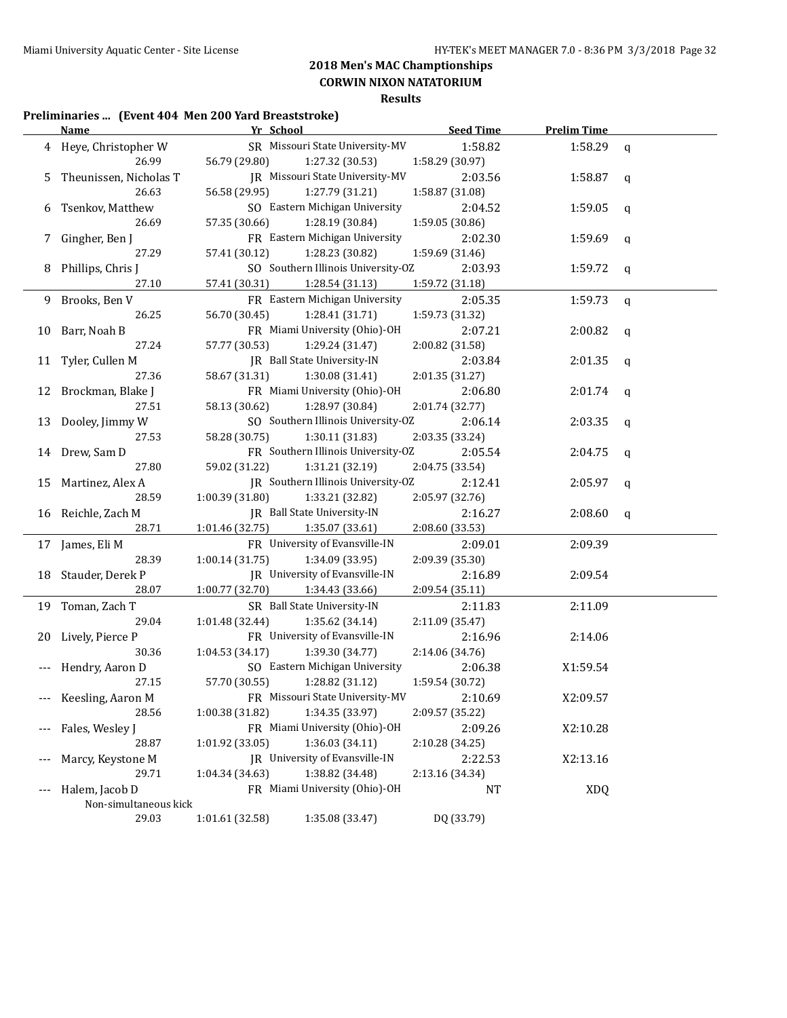**CORWIN NIXON NATATORIUM**

### **Results**

#### **Preliminaries ... (Event 404 Men 200 Yard Breaststroke)**

|     | <u>Name - </u>         |                 | Yr School                               | <b>Seed Time</b> | <b>Prelim Time</b> |             |
|-----|------------------------|-----------------|-----------------------------------------|------------------|--------------------|-------------|
|     | 4 Heye, Christopher W  |                 | SR Missouri State University-MV         | 1:58.82          | 1:58.29            | q           |
|     | 26.99                  | 56.79 (29.80)   | 1:27.32 (30.53)                         | 1:58.29 (30.97)  |                    |             |
| 5   | Theunissen, Nicholas T |                 | JR Missouri State University-MV         | 2:03.56          | 1:58.87            | $\mathbf q$ |
|     | 26.63                  | 56.58 (29.95)   | 1:27.79 (31.21)                         | 1:58.87 (31.08)  |                    |             |
| 6   | Tsenkov, Matthew       |                 | SO Eastern Michigan University          | 2:04.52          | 1:59.05            | q           |
|     | 26.69                  | 57.35 (30.66)   | 1:28.19 (30.84)                         | 1:59.05 (30.86)  |                    |             |
| 7   | Gingher, Ben J         |                 | FR Eastern Michigan University          | 2:02.30          | 1:59.69            | q           |
|     | 27.29                  | 57.41 (30.12)   | 1:28.23 (30.82)                         | 1:59.69 (31.46)  |                    |             |
| 8   | Phillips, Chris J      |                 | SO Southern Illinois University-OZ      | 2:03.93          | 1:59.72            | q           |
|     | 27.10                  | 57.41 (30.31)   | 1:28.54(31.13)                          | 1:59.72 (31.18)  |                    |             |
| 9   | Brooks, Ben V          |                 | FR Eastern Michigan University          | 2:05.35          | 1:59.73            | $\mathbf q$ |
|     | 26.25                  | 56.70 (30.45)   | 1:28.41 (31.71)                         | 1:59.73 (31.32)  |                    |             |
| 10  | Barr, Noah B           |                 | FR Miami University (Ohio)-OH           | 2:07.21          | 2:00.82            | q           |
|     | 27.24                  | 57.77 (30.53)   | 1:29.24 (31.47)                         | 2:00.82 (31.58)  |                    |             |
| 11  | Tyler, Cullen M        |                 | JR Ball State University-IN             | 2:03.84          | 2:01.35            | q           |
|     | 27.36                  | 58.67 (31.31)   | 1:30.08 (31.41)                         | 2:01.35 (31.27)  |                    |             |
| 12  | Brockman, Blake J      |                 | FR Miami University (Ohio)-OH           | 2:06.80          | 2:01.74            | q           |
|     | 27.51                  | 58.13 (30.62)   | 1:28.97 (30.84)                         | 2:01.74 (32.77)  |                    |             |
| 13  | Dooley, Jimmy W        |                 | SO Southern Illinois University-OZ      | 2:06.14          | 2:03.35            | q           |
|     | 27.53                  | 58.28 (30.75)   | 1:30.11 (31.83)                         | 2:03.35 (33.24)  |                    |             |
|     | 14 Drew, Sam D         |                 | FR Southern Illinois University-OZ      | 2:05.54          | 2:04.75            | q           |
|     | 27.80                  | 59.02 (31.22)   | 1:31.21 (32.19)                         | 2:04.75 (33.54)  |                    |             |
| 15  | Martinez, Alex A       |                 | JR Southern Illinois University-OZ      | 2:12.41          | 2:05.97            | q           |
|     | 28.59                  | 1:00.39(31.80)  | 1:33.21 (32.82)                         | 2:05.97 (32.76)  |                    |             |
|     | 16 Reichle, Zach M     |                 | JR Ball State University-IN             | 2:16.27          | 2:08.60            | q           |
|     | 28.71                  | 1:01.46 (32.75) | 1:35.07 (33.61)                         | 2:08.60 (33.53)  |                    |             |
|     | 17 James, Eli M        |                 | FR University of Evansville-IN          | 2:09.01          | 2:09.39            |             |
|     | 28.39                  | 1:00.14 (31.75) | 1:34.09 (33.95)                         | 2:09.39 (35.30)  |                    |             |
| 18  | Stauder, Derek P       |                 | JR University of Evansville-IN          | 2:16.89          | 2:09.54            |             |
|     | 28.07                  | 1:00.77 (32.70) | 1:34.43 (33.66)                         | 2:09.54 (35.11)  |                    |             |
|     | 19 Toman, Zach T       |                 | SR Ball State University-IN             | 2:11.83          | 2:11.09            |             |
|     | 29.04                  | 1:01.48 (32.44) | 1:35.62 (34.14)                         | 2:11.09 (35.47)  |                    |             |
| 20  | Lively, Pierce P       |                 | FR University of Evansville-IN          | 2:16.96          | 2:14.06            |             |
|     | 30.36                  | 1:04.53 (34.17) | 1:39.30 (34.77)                         | 2:14.06 (34.76)  |                    |             |
|     | Hendry, Aaron D        |                 | SO Eastern Michigan University          | 2:06.38          | X1:59.54           |             |
|     | 27.15                  | 57.70 (30.55)   | 1:28.82 (31.12)                         | 1:59.54 (30.72)  |                    |             |
|     | Keesling, Aaron M      |                 | FR Missouri State University-MV 2:10.69 |                  | X2:09.57           |             |
|     | 28.56                  | 1:00.38(31.82)  | 1:34.35 (33.97)                         | 2:09.57 (35.22)  |                    |             |
|     | Fales, Wesley J        |                 | FR Miami University (Ohio)-OH           | 2:09.26          | X2:10.28           |             |
|     | 28.87                  | 1:01.92 (33.05) | 1:36.03 (34.11)                         | 2:10.28 (34.25)  |                    |             |
|     | Marcy, Keystone M      |                 | JR University of Evansville-IN          | 2:22.53          | X2:13.16           |             |
|     | 29.71                  | 1:04.34(34.63)  | 1:38.82 (34.48)                         | 2:13.16 (34.34)  |                    |             |
| --- | Halem, Jacob D         |                 | FR Miami University (Ohio)-OH           | NT               | <b>XDQ</b>         |             |
|     | Non-simultaneous kick  |                 |                                         |                  |                    |             |
|     | 29.03                  | 1:01.61(32.58)  | 1:35.08 (33.47)                         | DQ (33.79)       |                    |             |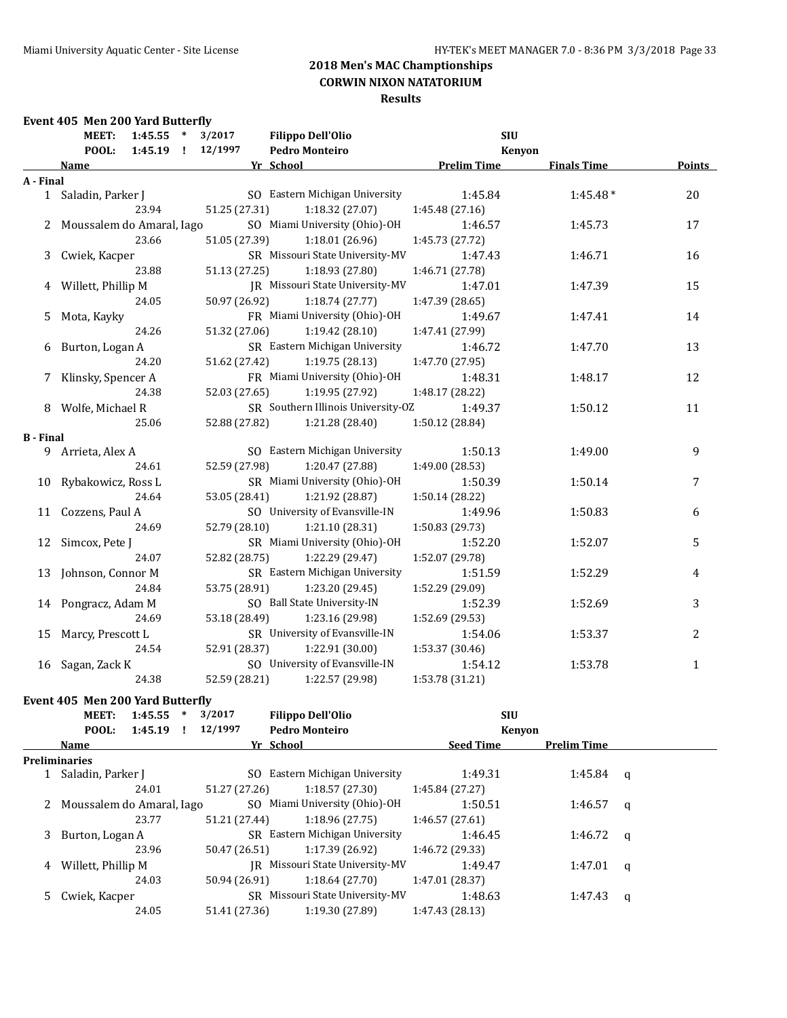#### **Results**

### **Event 405 Men 200 Yard Butterfly MEET: 1:45.55 \* 3/2017 Filippo Dell'Olio SIU POOL: 1:45.19 ! 12/1997 Pedro Monteiro Kenyon Name Yr School Prelim Time Finals Time Points A - Final** 1 Saladin, Parker J SO Eastern Michigan University 1:45.84 1:45.48 \* 20 23.94 51.25 (27.31) 1:18.32 (27.07) 1:45.48 (27.16) 2 Moussalem do Amaral, Iago SO Miami University (Ohio)-OH 1:46.57 1:45.73 17 23.66 51.05 (27.39) 1:18.01 (26.96) 1:45.73 (27.72) 3 Cwiek, Kacper SR Missouri State University-MV 1:47.43 1:46.71 16 23.88 51.13 (27.25) 1:18.93 (27.80) 1:46.71 (27.78) 4 Willett, Phillip M JR Missouri State University-MV 1:47.01 1:47.39 15 24.05 50.97 (26.92) 1:18.74 (27.77) 1:47.39 (28.65) 5 Mota, Kayky FR Miami University (Ohio)-OH 1:49.67 1:47.41 14 24.26 51.32 (27.06) 1:19.42 (28.10) 1:47.41 (27.99) 6 Burton, Logan A SR Eastern Michigan University 1:46.72 1:47.70 13 24.20 51.62 (27.42) 1:19.75 (28.13) 1:47.70 (27.95) 7 Klinsky, Spencer A FR Miami University (Ohio)-OH 1:48.31 1:48.17 12 24.38 52.03 (27.65) 1:19.95 (27.92) 1:48.17 (28.22) 8 Wolfe, Michael R SR Southern Illinois University-OZ 1:49.37 1:50.12 11 25.06 52.88 (27.82) 1:21.28 (28.40) 1:50.12 (28.84) **B - Final** 9 Arrieta, Alex A SO Eastern Michigan University 1:50.13 1:49.00 9 24.61 52.59 (27.98) 1:20.47 (27.88) 1:49.00 (28.53) 10 Rybakowicz, Ross L SR Miami University (Ohio)-OH 1:50.39 1:50.14 7 24.64 53.05 (28.41) 1:21.92 (28.87) 1:50.14 (28.22) 11 Cozzens, Paul A SO University of Evansville-IN 1:49.96 1:50.83 6 24.69 52.79 (28.10) 1:21.10 (28.31) 1:50.83 (29.73) 12 Simcox, Pete J SR Miami University (Ohio)-OH 1:52.20 1:52.07 5 24.07 52.82 (28.75) 1:22.29 (29.47) 1:52.07 (29.78) 13 Johnson, Connor M SR Eastern Michigan University 1:51.59 1:52.29 4 24.84 53.75 (28.91) 1:23.20 (29.45) 1:52.29 (29.09) 14 Pongracz, Adam M SO Ball State University-IN 1:52.39 1:52.69 1:52.69 24.69 53.18 (28.49) 1:23.16 (29.98) 1:52.69 (29.53) 15 Marcy, Prescott L SR University of Evansville-IN 1:54.06 1:53.37 2 2 24.54 52.91 (28.37) 1:22.91 (30.00) 1:53.37 (30.46) 16 Sagan, Zack K SO University of Evansville-IN 1:54.12 1:53.78 1 24.38 52.59 (28.21) 1:22.57 (29.98) 1:53.78 (31.21)

#### **Event 405 Men 200 Yard Butterfly**

|   | 1:45.55<br><b>MEET:</b><br>$\ast$ | 3/2017        | <b>Filippo Dell'Olio</b>        | <b>SIU</b>       |                    |          |
|---|-----------------------------------|---------------|---------------------------------|------------------|--------------------|----------|
|   | POOL: 1:45.19 !                   | 12/1997       | <b>Pedro Monteiro</b>           | <b>Kenvon</b>    |                    |          |
|   | Name                              |               | Yr School                       | <b>Seed Time</b> | <b>Prelim Time</b> |          |
|   | <b>Preliminaries</b>              |               |                                 |                  |                    |          |
|   | 1 Saladin, Parker J               |               | SO Eastern Michigan University  | 1:49.31          | 1:45.84            | $\alpha$ |
|   | 24.01                             | 51.27 (27.26) | 1:18.57 (27.30)                 | 1:45.84 (27.27)  |                    |          |
|   | 2 Moussalem do Amaral, Iago       |               | SO Miami University (Ohio)-OH   | 1:50.51          | 1:46.57            | a        |
|   | 23.77                             | 51.21 (27.44) | 1:18.96 (27.75)                 | 1:46.57(27.61)   |                    |          |
| 3 | Burton, Logan A                   |               | SR Eastern Michigan University  | 1:46.45          | 1:46.72            | $\alpha$ |
|   | 23.96                             | 50.47 (26.51) | 1:17.39 (26.92)                 | 1:46.72(29.33)   |                    |          |
| 4 | Willett, Phillip M                |               | IR Missouri State University-MV | 1:49.47          | 1:47.01            | q        |
|   | 24.03                             | 50.94 (26.91) | 1:18.64(27.70)                  | 1:47.01(28.37)   |                    |          |
|   | Cwiek, Kacper                     |               | SR Missouri State University-MV | 1:48.63          | 1:47.43            | q        |
|   | 24.05                             | 51.41 (27.36) | 1:19.30 (27.89)                 | 1:47.43 (28.13)  |                    |          |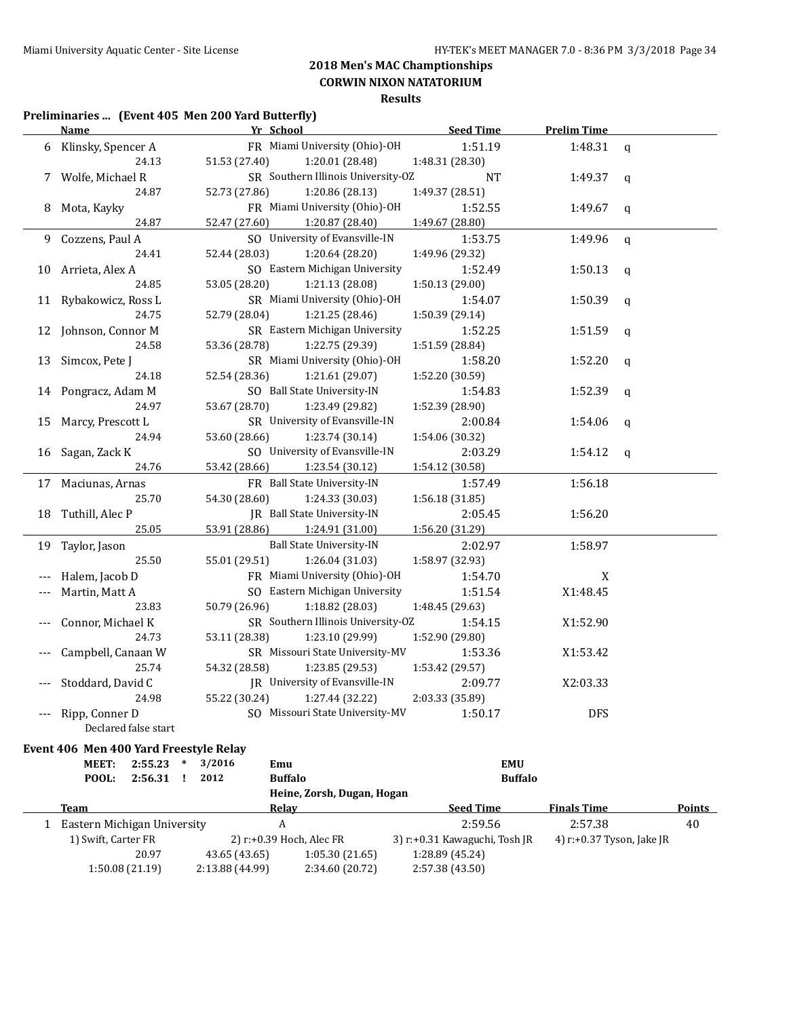**CORWIN NIXON NATATORIUM**

**Results**

### **Preliminaries ... (Event 405 Men 200 Yard Butterfly)**

|     | <b>Name</b>                            | Yr School                          | <b>Seed Time</b> | <b>Prelim Time</b> |               |  |  |  |
|-----|----------------------------------------|------------------------------------|------------------|--------------------|---------------|--|--|--|
|     | 6 Klinsky, Spencer A                   | FR Miami University (Ohio)-OH      | 1:51.19          | 1:48.31            | $\mathbf q$   |  |  |  |
|     | 24.13                                  | 51.53 (27.40)<br>1:20.01 (28.48)   | 1:48.31 (28.30)  |                    |               |  |  |  |
|     | 7 Wolfe, Michael R                     | SR Southern Illinois University-OZ | NT               | 1:49.37            | $\mathbf q$   |  |  |  |
|     | 24.87                                  | 52.73 (27.86)<br>1:20.86 (28.13)   | 1:49.37 (28.51)  |                    |               |  |  |  |
| 8   | Mota, Kayky                            | FR Miami University (Ohio)-OH      | 1:52.55          | 1:49.67            | q             |  |  |  |
|     | 24.87                                  | 52.47 (27.60)<br>1:20.87 (28.40)   | 1:49.67 (28.80)  |                    |               |  |  |  |
|     | 9 Cozzens, Paul A                      | SO University of Evansville-IN     | 1:53.75          | 1:49.96            | $\mathbf{q}$  |  |  |  |
|     | 24.41                                  | 52.44 (28.03)<br>1:20.64 (28.20)   | 1:49.96 (29.32)  |                    |               |  |  |  |
| 10  | Arrieta, Alex A                        | SO Eastern Michigan University     | 1:52.49          | 1:50.13            | q             |  |  |  |
|     | 24.85                                  | 53.05 (28.20)<br>1:21.13 (28.08)   | 1:50.13 (29.00)  |                    |               |  |  |  |
| 11  | Rybakowicz, Ross L                     | SR Miami University (Ohio)-OH      | 1:54.07          | 1:50.39            | q             |  |  |  |
|     | 24.75                                  | 52.79 (28.04)<br>1:21.25 (28.46)   | 1:50.39 (29.14)  |                    |               |  |  |  |
| 12  | Johnson, Connor M                      | SR Eastern Michigan University     | 1:52.25          | 1:51.59            | $\mathfrak q$ |  |  |  |
|     | 24.58                                  | 53.36 (28.78)<br>1:22.75 (29.39)   | 1:51.59 (28.84)  |                    |               |  |  |  |
|     | 13 Simcox, Pete J                      | SR Miami University (Ohio)-OH      | 1:58.20          | 1:52.20            | q             |  |  |  |
|     | 24.18                                  | 52.54 (28.36)<br>1:21.61 (29.07)   | 1:52.20 (30.59)  |                    |               |  |  |  |
| 14  | Pongracz, Adam M                       | SO Ball State University-IN        | 1:54.83          | 1:52.39            | $\mathbf{q}$  |  |  |  |
|     | 24.97                                  | 53.67 (28.70)<br>1:23.49 (29.82)   | 1:52.39 (28.90)  |                    |               |  |  |  |
| 15  | Marcy, Prescott L                      | SR University of Evansville-IN     | 2:00.84          | 1:54.06            | q             |  |  |  |
|     | 24.94                                  | 53.60 (28.66)<br>1:23.74 (30.14)   | 1:54.06 (30.32)  |                    |               |  |  |  |
| 16  | Sagan, Zack K                          | SO University of Evansville-IN     | 2:03.29          | 1:54.12            | $\mathbf q$   |  |  |  |
|     | 24.76                                  | 53.42 (28.66)<br>1:23.54 (30.12)   | 1:54.12 (30.58)  |                    |               |  |  |  |
|     | 17 Maciunas, Arnas                     | FR Ball State University-IN        | 1:57.49          | 1:56.18            |               |  |  |  |
|     | 25.70                                  | 54.30 (28.60)<br>1:24.33 (30.03)   | 1:56.18 (31.85)  |                    |               |  |  |  |
| 18  | Tuthill, Alec P                        | JR Ball State University-IN        | 2:05.45          | 1:56.20            |               |  |  |  |
|     | 25.05                                  | 53.91 (28.86)<br>1:24.91 (31.00)   | 1:56.20 (31.29)  |                    |               |  |  |  |
| 19  | Taylor, Jason                          | <b>Ball State University-IN</b>    | 2:02.97          | 1:58.97            |               |  |  |  |
|     | 25.50                                  | 55.01 (29.51)<br>1:26.04 (31.03)   | 1:58.97 (32.93)  |                    |               |  |  |  |
|     | Halem, Jacob D                         | FR Miami University (Ohio)-OH      | 1:54.70          | X                  |               |  |  |  |
| --- | Martin, Matt A                         | SO Eastern Michigan University     | 1:51.54          | X1:48.45           |               |  |  |  |
|     | 23.83                                  | 50.79 (26.96)<br>1:18.82 (28.03)   | 1:48.45 (29.63)  |                    |               |  |  |  |
|     | Connor, Michael K                      | SR Southern Illinois University-OZ | 1:54.15          | X1:52.90           |               |  |  |  |
|     | 24.73                                  | 53.11 (28.38)<br>1:23.10 (29.99)   | 1:52.90 (29.80)  |                    |               |  |  |  |
| --- | Campbell, Canaan W                     | SR Missouri State University-MV    | 1:53.36          | X1:53.42           |               |  |  |  |
|     | 25.74                                  | 54.32 (28.58)<br>1:23.85 (29.53)   | 1:53.42 (29.57)  |                    |               |  |  |  |
|     | Stoddard, David C                      | JR University of Evansville-IN     | 2:09.77          | X2:03.33           |               |  |  |  |
|     | 24.98                                  | 55.22 (30.24)<br>1:27.44 (32.22)   | 2:03.33 (35.89)  |                    |               |  |  |  |
|     | Ripp, Conner D<br>Declared false start | SO Missouri State University-MV    | 1:50.17          | <b>DFS</b>         |               |  |  |  |
|     | Event 406 Men 400 Yard Freestyle Relay |                                    |                  |                    |               |  |  |  |

| <b>MEET:</b>                | 2:55.23         | 3/2016          | Emu                        | <b>EMU</b>                    |                           |               |
|-----------------------------|-----------------|-----------------|----------------------------|-------------------------------|---------------------------|---------------|
| POOL:                       | 2:56.31         | 2012            | <b>Buffalo</b>             | <b>Buffalo</b>                |                           |               |
|                             |                 |                 | Heine, Zorsh, Dugan, Hogan |                               |                           |               |
| Team                        |                 |                 | <b>Relav</b>               | <b>Seed Time</b>              | <b>Finals Time</b>        | <b>Points</b> |
| Eastern Michigan University |                 |                 | A                          | 2:59.56                       | 2:57.38                   | 40            |
| 1) Swift, Carter FR         |                 |                 | 2) r:+0.39 Hoch, Alec FR   | 3) r:+0.31 Kawaguchi, Tosh JR | 4) r:+0.37 Tyson, Jake JR |               |
|                             | 20.97           | 43.65 (43.65)   | 1:05.30(21.65)             | 1:28.89 (45.24)               |                           |               |
|                             | 1:50.08 (21.19) | 2:13.88 (44.99) | 2:34.60 (20.72)            | 2:57.38 (43.50)               |                           |               |